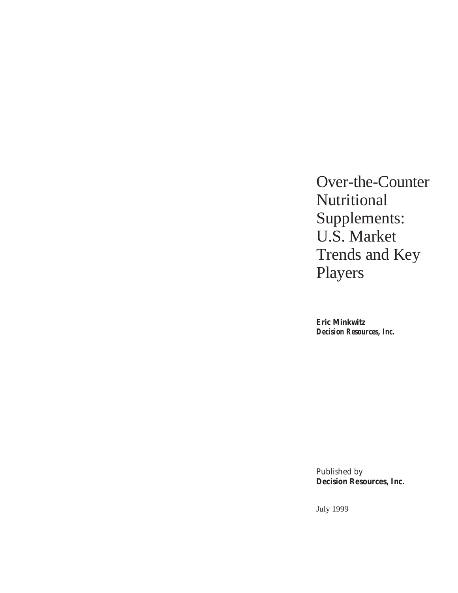Over-the-Counter Nutritional Supplements: U.S. Market Trends and Key Players

**Eric Minkwitz** *Decision Resources, Inc.*

Published by **Decision Resources, Inc.**

July 1999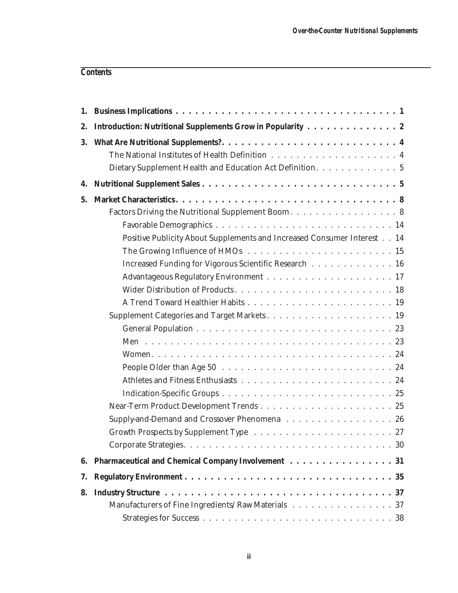# *Contents*

| 2.        | Introduction: Nutritional Supplements Grow in Popularity 2              |
|-----------|-------------------------------------------------------------------------|
| <b>3.</b> |                                                                         |
|           |                                                                         |
|           | Dietary Supplement Health and Education Act Definition. 5               |
| 4.        |                                                                         |
| 5.        |                                                                         |
|           | Factors Driving the Nutritional Supplement Boom. 8                      |
|           |                                                                         |
|           | Positive Publicity About Supplements and Increased Consumer Interest 14 |
|           |                                                                         |
|           | Increased Funding for Vigorous Scientific Research 16                   |
|           |                                                                         |
|           |                                                                         |
|           |                                                                         |
|           |                                                                         |
|           |                                                                         |
|           |                                                                         |
|           |                                                                         |
|           |                                                                         |
|           |                                                                         |
|           |                                                                         |
|           |                                                                         |
|           | Supply-and-Demand and Crossover Phenomena 26                            |
|           |                                                                         |
|           |                                                                         |
| 6.        | Pharmaceutical and Chemical Company Involvement 31                      |
| 7.        |                                                                         |
| 8.        |                                                                         |
|           | Manufacturers of Fine Ingredients/Raw Materials 37                      |
|           |                                                                         |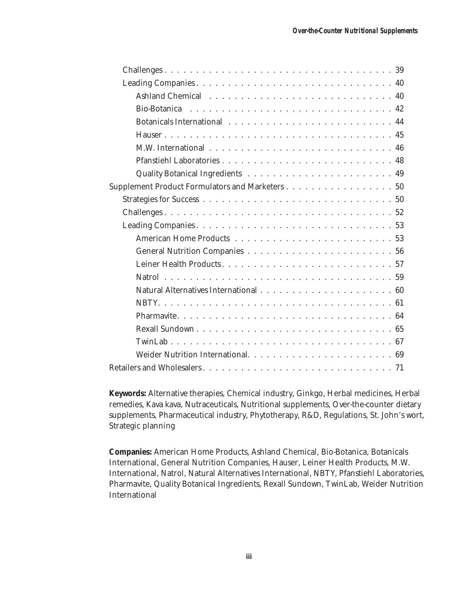| Supplement Product Formulators and Marketers 50 |
|-------------------------------------------------|
|                                                 |
|                                                 |
|                                                 |
|                                                 |
|                                                 |
|                                                 |
|                                                 |
|                                                 |
|                                                 |
|                                                 |
|                                                 |
|                                                 |
|                                                 |
|                                                 |

**Keywords:** Alternative therapies, Chemical industry, Ginkgo, Herbal medicines, Herbal remedies, Kava kava, Nutraceuticals, Nutritional supplements, Over-the-counter dietary supplements, Pharmaceutical industry, Phytotherapy, R&D, Regulations, St. John's wort, Strategic planning

**Companies:** American Home Products, Ashland Chemical, Bio-Botanica, Botanicals International, General Nutrition Companies, Hauser, Leiner Health Products, M.W. International, Natrol, Natural Alternatives International, NBTY, Pfanstiehl Laboratories, Pharmavite, Quality Botanical Ingredients, Rexall Sundown, TwinLab, Weider Nutrition International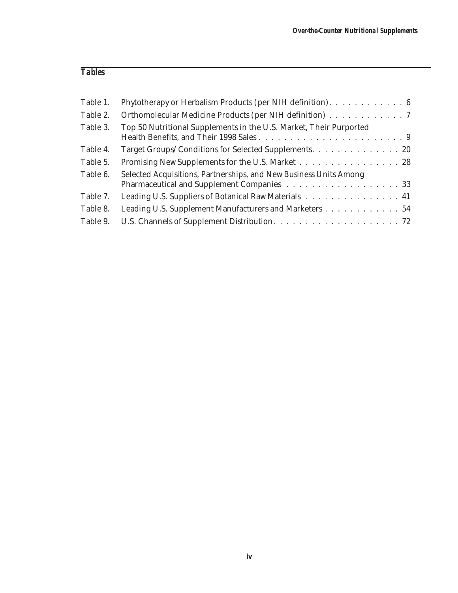# *Tables*

| Table 1. | Phytotherapy or Herbalism Products (per NIH definition). 6                                                      |
|----------|-----------------------------------------------------------------------------------------------------------------|
| Table 2. | Orthomolecular Medicine Products (per NIH definition) 7                                                         |
| Table 3. | Top 50 Nutritional Supplements in the U.S. Market, Their Purported                                              |
| Table 4. | Target Groups/Conditions for Selected Supplements. 20                                                           |
| Table 5. | Promising New Supplements for the U.S. Market 28                                                                |
| Table 6. | Selected Acquisitions, Partnerships, and New Business Units Among<br>Pharmaceutical and Supplement Companies 33 |
| Table 7. | Leading U.S. Suppliers of Botanical Raw Materials 41                                                            |
| Table 8. | Leading U.S. Supplement Manufacturers and Marketers 54                                                          |
| Table 9. |                                                                                                                 |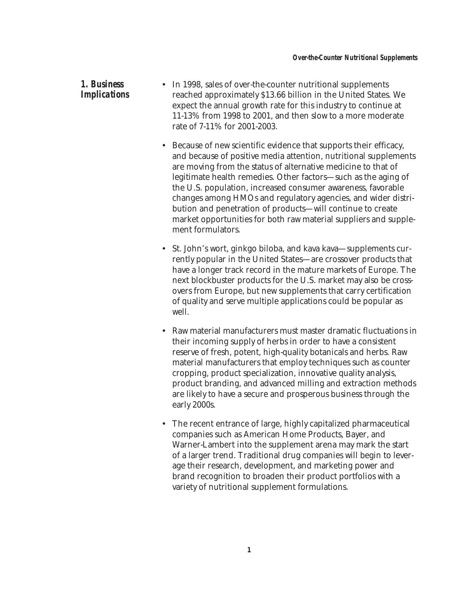### *1. Business Implications*

- In 1998, sales of over-the-counter nutritional supplements reached approximately \$13.66 billion in the United States. We expect the annual growth rate for this industry to continue at 11-13% from 1998 to 2001, and then slow to a more moderate rate of 7-11% for 2001-2003.
- Because of new scientific evidence that supports their efficacy, and because of positive media attention, nutritional supplements are moving from the status of alternative medicine to that of legitimate health remedies. Other factors—such as the aging of the U.S. population, increased consumer awareness, favorable changes among HMOs and regulatory agencies, and wider distribution and penetration of products—will continue to create market opportunities for both raw material suppliers and supplement formulators.
- St. John's wort, ginkgo biloba, and kava kava—supplements currently popular in the United States—are crossover products that have a longer track record in the mature markets of Europe. The next blockbuster products for the U.S. market may also be crossovers from Europe, but new supplements that carry certification of quality and serve multiple applications could be popular as well.
- Raw material manufacturers must master dramatic fluctuations in their incoming supply of herbs in order to have a consistent reserve of fresh, potent, high-quality botanicals and herbs. Raw material manufacturers that employ techniques such as counter cropping, product specialization, innovative quality analysis, product branding, and advanced milling and extraction methods are likely to have a secure and prosperous business through the early 2000s.
- The recent entrance of large, highly capitalized pharmaceutical companies such as American Home Products, Bayer, and Warner-Lambert into the supplement arena may mark the start of a larger trend. Traditional drug companies will begin to leverage their research, development, and marketing power and brand recognition to broaden their product portfolios with a variety of nutritional supplement formulations.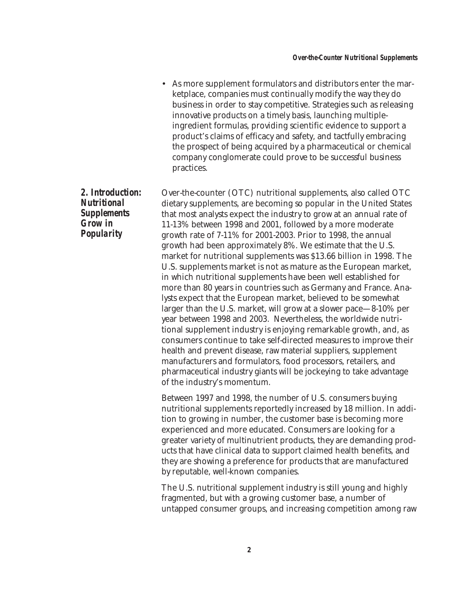• As more supplement formulators and distributors enter the marketplace, companies must continually modify the way they do business in order to stay competitive. Strategies such as releasing innovative products on a timely basis, launching multipleingredient formulas, providing scientific evidence to support a product's claims of efficacy and safety, and tactfully embracing the prospect of being acquired by a pharmaceutical or chemical company conglomerate could prove to be successful business practices.

Over-the-counter (OTC) nutritional supplements, also called OTC dietary supplements, are becoming so popular in the United States that most analysts expect the industry to grow at an annual rate of 11-13% between 1998 and 2001, followed by a more moderate growth rate of 7-11% for 2001-2003. Prior to 1998, the annual growth had been approximately 8%. We estimate that the U.S. market for nutritional supplements was \$13.66 billion in 1998. The U.S. supplements market is not as mature as the European market, in which nutritional supplements have been well established for more than 80 years in countries such as Germany and France. Analysts expect that the European market, believed to be somewhat larger than the U.S. market, will grow at a slower pace—8-10% per year between 1998 and 2003. Nevertheless, the worldwide nutritional supplement industry is enjoying remarkable growth, and, as consumers continue to take self-directed measures to improve their health and prevent disease, raw material suppliers, supplement manufacturers and formulators, food processors, retailers, and pharmaceutical industry giants will be jockeying to take advantage of the industry's momentum.

> Between 1997 and 1998, the number of U.S. consumers buying nutritional supplements reportedly increased by 18 million. In addition to growing in number, the customer base is becoming more experienced and more educated. Consumers are looking for a greater variety of multinutrient products, they are demanding products that have clinical data to support claimed health benefits, and they are showing a preference for products that are manufactured by reputable, well-known companies.

> The U.S. nutritional supplement industry is still young and highly fragmented, but with a growing customer base, a number of untapped consumer groups, and increasing competition among raw

*2. Introduction: Nutritional Supplements Grow in Popularity*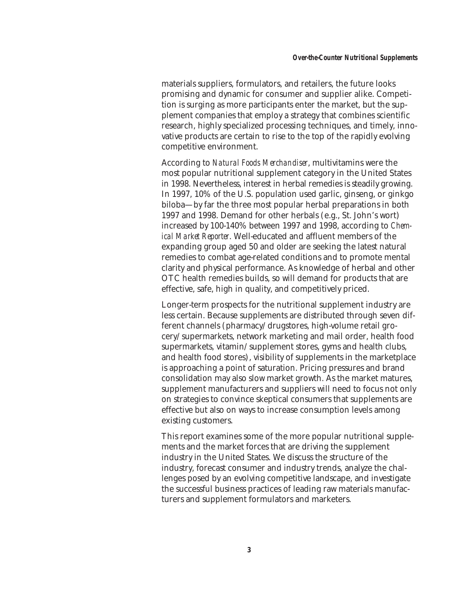materials suppliers, formulators, and retailers, the future looks promising and dynamic for consumer and supplier alike. Competition is surging as more participants enter the market, but the supplement companies that employ a strategy that combines scientific research, highly specialized processing techniques, and timely, innovative products are certain to rise to the top of the rapidly evolving competitive environment.

According to *Natural Foods Merchandiser*, multivitamins were the most popular nutritional supplement category in the United States in 1998. Nevertheless, interest in herbal remedies is steadily growing. In 1997, 10% of the U.S. population used garlic, ginseng, or ginkgo biloba—by far the three most popular herbal preparations in both 1997 and 1998. Demand for other herbals (e.g., St. John's wort) increased by 100-140% between 1997 and 1998, according to *Chemical Market Reporter*. Well-educated and affluent members of the expanding group aged 50 and older are seeking the latest natural remedies to combat age-related conditions and to promote mental clarity and physical performance. As knowledge of herbal and other OTC health remedies builds, so will demand for products that are effective, safe, high in quality, and competitively priced.

Longer-term prospects for the nutritional supplement industry are less certain. Because supplements are distributed through seven different channels (pharmacy/drugstores, high-volume retail grocery/supermarkets, network marketing and mail order, health food supermarkets, vitamin/supplement stores, gyms and health clubs, and health food stores), visibility of supplements in the marketplace is approaching a point of saturation. Pricing pressures and brand consolidation may also slow market growth. As the market matures, supplement manufacturers and suppliers will need to focus not only on strategies to convince skeptical consumers that supplements are effective but also on ways to increase consumption levels among existing customers.

This report examines some of the more popular nutritional supplements and the market forces that are driving the supplement industry in the United States. We discuss the structure of the industry, forecast consumer and industry trends, analyze the challenges posed by an evolving competitive landscape, and investigate the successful business practices of leading raw materials manufacturers and supplement formulators and marketers.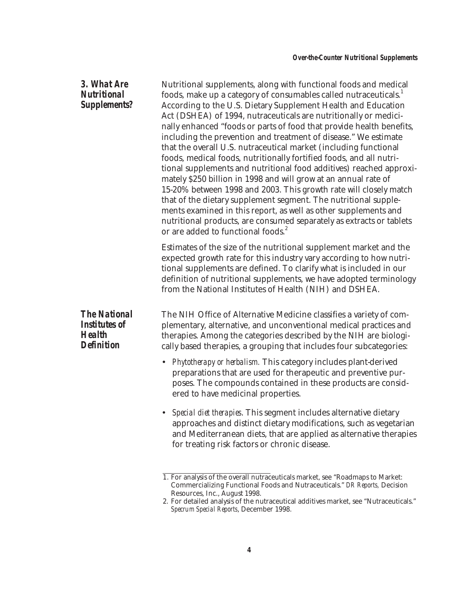#### *3. What Are Nutritional Supplements?*

Nutritional supplements, along with functional foods and medical foods, make up a category of consumables called nutraceuticals.<sup>1</sup> According to the U.S. Dietary Supplement Health and Education Act (DSHEA) of 1994, nutraceuticals are nutritionally or medicinally enhanced "foods or parts of food that provide health benefits, including the prevention and treatment of disease." We estimate that the overall U.S. nutraceutical market (including functional foods, medical foods, nutritionally fortified foods, and all nutritional supplements and nutritional food additives) reached approximately \$250 billion in 1998 and will grow at an annual rate of 15-20% between 1998 and 2003. This growth rate will closely match that of the dietary supplement segment. The nutritional supplements examined in this report, as well as other supplements and nutritional products, are consumed separately as extracts or tablets or are added to functional foods.<sup>2</sup>

Estimates of the size of the nutritional supplement market and the expected growth rate for this industry vary according to how nutritional supplements are defined. To clarify what is included in our definition of nutritional supplements, we have adopted terminology from the National Institutes of Health (NIH) and DSHEA.

*The National Institutes of Health Definition*

The NIH Office of Alternative Medicine classifies a variety of complementary, alternative, and unconventional medical practices and therapies. Among the categories described by the NIH are biologically based therapies, a grouping that includes four subcategories:

- *Phytotherapy or herbalism.* This category includes plant-derived preparations that are used for therapeutic and preventive purposes. The compounds contained in these products are considered to have medicinal properties.
- *Special diet therapies*. This segment includes alternative dietary approaches and distinct dietary modifications, such as vegetarian and Mediterranean diets, that are applied as alternative therapies for treating risk factors or chronic disease.

<sup>1.</sup> For analysis of the overall nutraceuticals market, see "Roadmaps to Market: Commercializing Functional Foods and Nutraceuticals." *DR Reports,* Decision Resources, Inc., August 1998.

<sup>2.</sup> For detailed analysis of the nutraceutical additives market, see "Nutraceuticals." *Specrum Special Reports*, December 1998.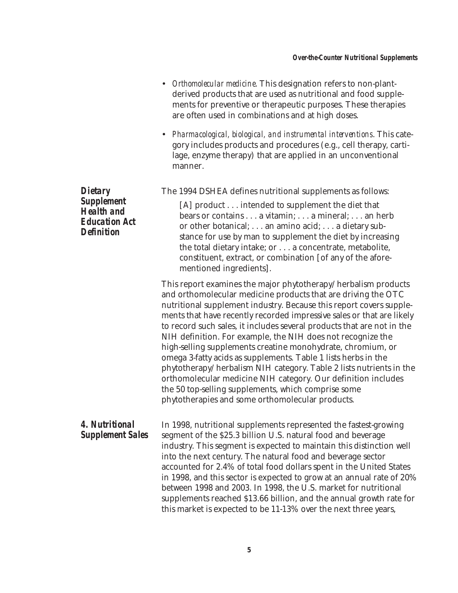- *Orthomolecular medicine*. This designation refers to non-plantderived products that are used as nutritional and food supplements for preventive or therapeutic purposes. These therapies are often used in combinations and at high doses.
- *Pharmacological, biological, and instrumental interventions*. This category includes products and procedures (e.g., cell therapy, cartilage, enzyme therapy) that are applied in an unconventional manner.

| <b>Dietary</b>                                                                      | The 1994 DSHEA defines nutritional supplements as follows:                                                                                                                                                                                                                                                                                                                                                                                                                                                                                                                                                                                                                                                                                                                                                   |  |  |  |  |
|-------------------------------------------------------------------------------------|--------------------------------------------------------------------------------------------------------------------------------------------------------------------------------------------------------------------------------------------------------------------------------------------------------------------------------------------------------------------------------------------------------------------------------------------------------------------------------------------------------------------------------------------------------------------------------------------------------------------------------------------------------------------------------------------------------------------------------------------------------------------------------------------------------------|--|--|--|--|
| <b>Supplement</b><br><b>Health and</b><br><b>Education Act</b><br><b>Definition</b> | [A] product intended to supplement the diet that<br>bears or contains a vitamin; a mineral; an herb<br>or other botanical; an amino acid; a dietary sub-<br>stance for use by man to supplement the diet by increasing<br>the total dietary intake; or a concentrate, metabolite,<br>constituent, extract, or combination [of any of the afore-<br>mentioned ingredients].                                                                                                                                                                                                                                                                                                                                                                                                                                   |  |  |  |  |
|                                                                                     | This report examines the major phytotherapy/herbalism products<br>and orthomolecular medicine products that are driving the OTC<br>nutritional supplement industry. Because this report covers supple-<br>ments that have recently recorded impressive sales or that are likely<br>to record such sales, it includes several products that are not in the<br>NIH definition. For example, the NIH does not recognize the<br>high-selling supplements creatine monohydrate, chromium, or<br>omega 3-fatty acids as supplements. Table 1 lists herbs in the<br>phytotherapy/herbalism NIH category. Table 2 lists nutrients in the<br>orthomolecular medicine NIH category. Our definition includes<br>the 50 top-selling supplements, which comprise some<br>phytotherapies and some orthomolecular products. |  |  |  |  |
| 4. Nutritional<br><b>Supplement Sales</b>                                           | In 1998, nutritional supplements represented the fastest-growing<br>segment of the \$25.3 billion U.S. natural food and beverage<br>industry. This segment is expected to maintain this distinction well<br>into the next century. The natural food and beverage sector<br>accounted for 2.4% of total food dollars spent in the United States<br>in 1998, and this sector is expected to grow at an annual rate of 20%<br>between 1998 and 2003. In 1998, the U.S. market for nutritional<br>supplements reached \$13.66 billion, and the annual growth rate for<br>this market is expected to be 11-13% over the next three years,                                                                                                                                                                         |  |  |  |  |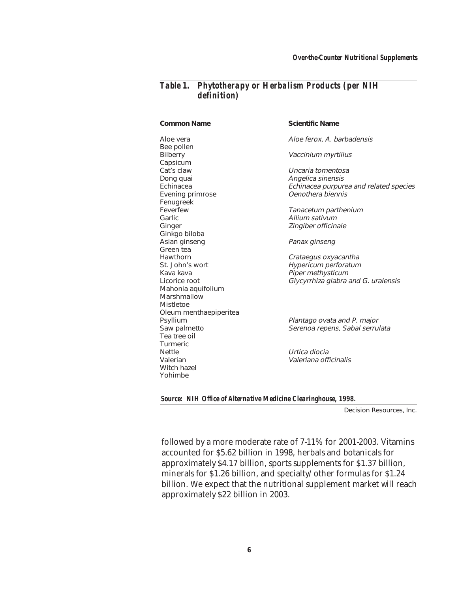#### *Table 1. Phytotherapy or Herbalism Products (per NIH definition)*

Bee pollen Bilberry **Vaccinium myrtillus** Capsicum Cat's claw Uncaria tomentosa Dong quai *Angelica sinensis*<br>1999 Echinacea Echinace*a purpur* Evening primrose Fenugreek<br>Feverfew Garlic **Garlie Allium sativum** Ginger **Ginger** Zingiber officinale Ginkgo biloba Asian ginseng **Panax ginseng** Green tea Hawthorn **Crataegus oxyacantha** St. John's wort **Example 2** Hypericum perforatum Kava kava **Piper methysticum** Mahonia aquifolium Marshmallow Mistletoe Oleum menthaepiperitea Tea tree oil Turmeric Nettle Urtica diocia Valerian Valeriana officinalis Witch hazel Yohimbe

#### **Common Name** Scientific Name

Aloe vera Aloe ferox, A. barbadensis

Echinacea purpurea and related species<br>Oenothera biennis

Tanacetum parthenium

Licorice root **Glycyrrhiza** glabra and G. uralensis

Psyllium Plantago ovata and P. major Saw palmetto Serenoa repens, Sabal serrulata

*Source: NIH Office of Alternative Medicine Clearinghouse, 1998.*

Decision Resources, Inc.

followed by a more moderate rate of 7-11% for 2001-2003. Vitamins accounted for \$5.62 billion in 1998, herbals and botanicals for approximately \$4.17 billion, sports supplements for \$1.37 billion, minerals for \$1.26 billion, and specialty/other formulas for \$1.24 billion. We expect that the nutritional supplement market will reach approximately \$22 billion in 2003.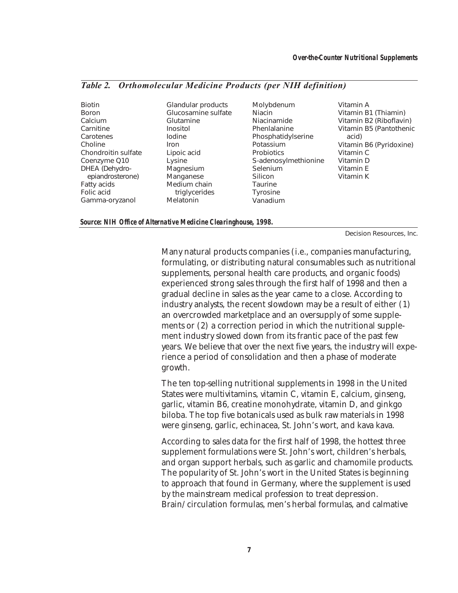#### *Table 2. Orthomolecular Medicine Products (per NIH definition)*

Biotin Boron Calcium **Carnitine** Carotenes Choline Chondroitin sulfate Coenzyme Q10 DHEA (Dehydroepiandrosterone) Fatty acids Folic acid Gamma-oryzanol

Glandular products Glucosamine sulfate Glutamine Inositol Iodine Iron Lipoic acid Lysine Magnesium Manganese Medium chain triglycerides Melatonin

Molybdenum Niacin Niacinamide Phenlalanine Phosphatidylserine Potassium **Probiotics** S-adenosylmethionine Selenium **Silicon Taurine** Tyrosine Vanadium

#### Vitamin A Vitamin B1 (Thiamin) Vitamin B2 (Riboflavin) Vitamin B5 (Pantothenic acid) Vitamin B6 (Pyridoxine) Vitamin C Vitamin D Vitamin E Vitamin K

#### *Source: NIH Office of Alternative Medicine Clearinghouse, 1998.*

Decision Resources, Inc.

Many natural products companies (i.e., companies manufacturing, formulating, or distributing natural consumables such as nutritional supplements, personal health care products, and organic foods) experienced strong sales through the first half of 1998 and then a gradual decline in sales as the year came to a close. According to industry analysts, the recent slowdown may be a result of either (1) an overcrowded marketplace and an oversupply of some supplements or (2) a correction period in which the nutritional supplement industry slowed down from its frantic pace of the past few years. We believe that over the next five years, the industry will experience a period of consolidation and then a phase of moderate growth.

The ten top-selling nutritional supplements in 1998 in the United States were multivitamins, vitamin C, vitamin E, calcium, ginseng, garlic, vitamin B6, creatine monohydrate, vitamin D, and ginkgo biloba. The top five botanicals used as bulk raw materials in 1998 were ginseng, garlic, echinacea, St. John's wort, and kava kava.

According to sales data for the first half of 1998, the hottest three supplement formulations were St. John's wort, children's herbals, and organ support herbals, such as garlic and chamomile products. The popularity of St. John's wort in the United States is beginning to approach that found in Germany, where the supplement is used by the mainstream medical profession to treat depression. Brain/circulation formulas, men's herbal formulas, and calmative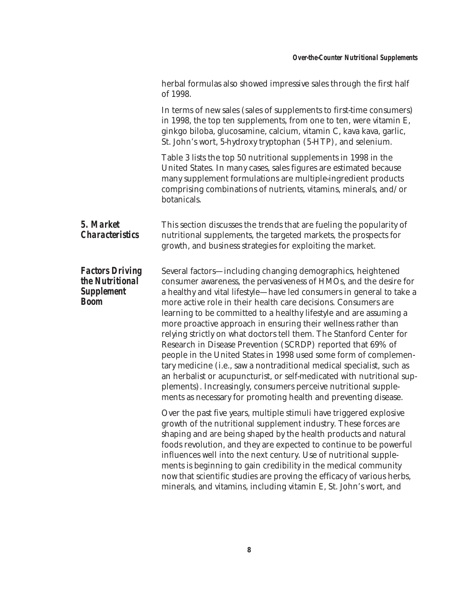|                                                                               | herbal formulas also showed impressive sales through the first half<br>of 1998.                                                                                                                                                                                                                                                                                                                                                                                                                                                                                                                                                                                                                                                                                                                                                                                                                                        |
|-------------------------------------------------------------------------------|------------------------------------------------------------------------------------------------------------------------------------------------------------------------------------------------------------------------------------------------------------------------------------------------------------------------------------------------------------------------------------------------------------------------------------------------------------------------------------------------------------------------------------------------------------------------------------------------------------------------------------------------------------------------------------------------------------------------------------------------------------------------------------------------------------------------------------------------------------------------------------------------------------------------|
|                                                                               | In terms of new sales (sales of supplements to first-time consumers)<br>in 1998, the top ten supplements, from one to ten, were vitamin E,<br>ginkgo biloba, glucosamine, calcium, vitamin C, kava kava, garlic,<br>St. John's wort, 5-hydroxy tryptophan (5-HTP), and selenium.                                                                                                                                                                                                                                                                                                                                                                                                                                                                                                                                                                                                                                       |
|                                                                               | Table 3 lists the top 50 nutritional supplements in 1998 in the<br>United States. In many cases, sales figures are estimated because<br>many supplement formulations are multiple-ingredient products<br>comprising combinations of nutrients, vitamins, minerals, and/or<br>botanicals.                                                                                                                                                                                                                                                                                                                                                                                                                                                                                                                                                                                                                               |
| 5. Market<br><i><b>Characteristics</b></i>                                    | This section discusses the trends that are fueling the popularity of<br>nutritional supplements, the targeted markets, the prospects for<br>growth, and business strategies for exploiting the market.                                                                                                                                                                                                                                                                                                                                                                                                                                                                                                                                                                                                                                                                                                                 |
| <b>Factors Driving</b><br>the Nutritional<br><b>Supplement</b><br><b>Boom</b> | Several factors-including changing demographics, heightened<br>consumer awareness, the pervasiveness of HMOs, and the desire for<br>a healthy and vital lifestyle—have led consumers in general to take a<br>more active role in their health care decisions. Consumers are<br>learning to be committed to a healthy lifestyle and are assuming a<br>more proactive approach in ensuring their wellness rather than<br>relying strictly on what doctors tell them. The Stanford Center for<br>Research in Disease Prevention (SCRDP) reported that 69% of<br>people in the United States in 1998 used some form of complemen-<br>tary medicine (i.e., saw a nontraditional medical specialist, such as<br>an herbalist or acupuncturist, or self-medicated with nutritional sup-<br>plements). Increasingly, consumers perceive nutritional supple-<br>ments as necessary for promoting health and preventing disease. |
|                                                                               | Over the past five years, multiple stimuli have triggered explosive<br>growth of the nutritional supplement industry. These forces are<br>shaping and are being shaped by the health products and natural<br>foods revolution, and they are expected to continue to be powerful<br>influences well into the next century. Use of nutritional supple-<br>ments is beginning to gain credibility in the medical community<br>now that scientific studies are proving the efficacy of various herbs,<br>minerals, and vitamins, including vitamin E, St. John's wort, and                                                                                                                                                                                                                                                                                                                                                 |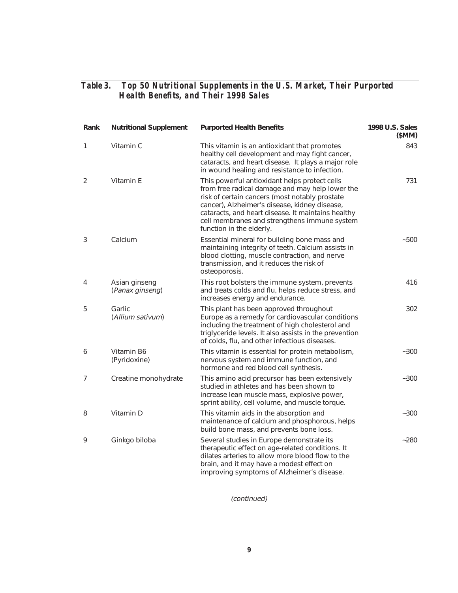| Rank | <b>Nutritional Supplement</b>    | <b>Purported Health Benefits</b>                                                                                                                                                                                                                                                                                                      | 1998 U.S. Sales<br>(SMM) |
|------|----------------------------------|---------------------------------------------------------------------------------------------------------------------------------------------------------------------------------------------------------------------------------------------------------------------------------------------------------------------------------------|--------------------------|
| 1    | Vitamin C                        | This vitamin is an antioxidant that promotes<br>healthy cell development and may fight cancer,<br>cataracts, and heart disease. It plays a major role<br>in wound healing and resistance to infection.                                                                                                                                | 843                      |
| 2    | Vitamin E                        | This powerful antioxidant helps protect cells<br>from free radical damage and may help lower the<br>risk of certain cancers (most notably prostate<br>cancer), Alzheimer's disease, kidney disease,<br>cataracts, and heart disease. It maintains healthy<br>cell membranes and strengthens immune system<br>function in the elderly. | 731                      |
| 3    | Calcium                          | Essential mineral for building bone mass and<br>maintaining integrity of teeth. Calcium assists in<br>blood clotting, muscle contraction, and nerve<br>transmission, and it reduces the risk of<br>osteoporosis.                                                                                                                      | $-500$                   |
| 4    | Asian ginseng<br>(Panax ginseng) | This root bolsters the immune system, prevents<br>and treats colds and flu, helps reduce stress, and<br>increases energy and endurance.                                                                                                                                                                                               | 416                      |
| 5    | Garlic<br>(Allium sativum)       | This plant has been approved throughout<br>Europe as a remedy for cardiovascular conditions<br>including the treatment of high cholesterol and<br>triglyceride levels. It also assists in the prevention<br>of colds, flu, and other infectious diseases.                                                                             | 302                      |
| 6    | Vitamin B6<br>(Pyridoxine)       | This vitamin is essential for protein metabolism,<br>nervous system and immune function, and<br>hormone and red blood cell synthesis.                                                                                                                                                                                                 | $-300$                   |
| 7    | Creatine monohydrate             | This amino acid precursor has been extensively<br>studied in athletes and has been shown to<br>increase lean muscle mass, explosive power,<br>sprint ability, cell volume, and muscle torque.                                                                                                                                         | $-300$                   |
| 8    | Vitamin D                        | This vitamin aids in the absorption and<br>maintenance of calcium and phosphorous, helps<br>build bone mass, and prevents bone loss.                                                                                                                                                                                                  | $-300$                   |
| 9    | Ginkgo biloba                    | Several studies in Europe demonstrate its<br>therapeutic effect on age-related conditions. It<br>dilates arteries to allow more blood flow to the<br>brain, and it may have a modest effect on<br>improving symptoms of Alzheimer's disease.                                                                                          | $-280$                   |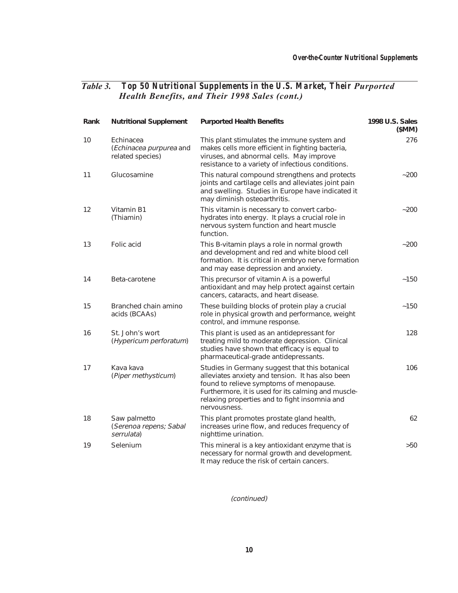| Rank | <b>Nutritional Supplement</b>                            | <b>Purported Health Benefits</b>                                                                                                                                                                                                                                      | 1998 U.S. Sales<br>(SMM) |
|------|----------------------------------------------------------|-----------------------------------------------------------------------------------------------------------------------------------------------------------------------------------------------------------------------------------------------------------------------|--------------------------|
| 10   | Echinacea<br>(Echinacea purpurea and<br>related species) | This plant stimulates the immune system and<br>makes cells more efficient in fighting bacteria,<br>viruses, and abnormal cells. May improve<br>resistance to a variety of infectious conditions.                                                                      | 276                      |
| 11   | Glucosamine                                              | This natural compound strengthens and protects<br>joints and cartilage cells and alleviates joint pain<br>and swelling. Studies in Europe have indicated it<br>may diminish osteoarthritis.                                                                           | $-200$                   |
| 12   | Vitamin B1<br>(Thiamin)                                  | This vitamin is necessary to convert carbo-<br>hydrates into energy. It plays a crucial role in<br>nervous system function and heart muscle<br>function.                                                                                                              | ~1200                    |
| 13   | Folic acid                                               | This B-vitamin plays a role in normal growth<br>and development and red and white blood cell<br>formation. It is critical in embryo nerve formation<br>and may ease depression and anxiety.                                                                           | $-200$                   |
| 14   | Beta-carotene                                            | This precursor of vitamin A is a powerful<br>antioxidant and may help protect against certain<br>cancers, cataracts, and heart disease.                                                                                                                               | ~150                     |
| 15   | Branched chain amino<br>acids (BCAAs)                    | These building blocks of protein play a crucial<br>role in physical growth and performance, weight<br>control, and immune response.                                                                                                                                   | ~150                     |
| 16   | St. John's wort<br>(Hypericum perforatum)                | This plant is used as an antidepressant for<br>treating mild to moderate depression. Clinical<br>studies have shown that efficacy is equal to<br>pharmaceutical-grade antidepressants.                                                                                | 128                      |
| 17   | Kava kava<br>(Piper methysticum)                         | Studies in Germany suggest that this botanical<br>alleviates anxiety and tension. It has also been<br>found to relieve symptoms of menopause.<br>Furthermore, it is used for its calming and muscle-<br>relaxing properties and to fight insomnia and<br>nervousness. | 106                      |
| 18   | Saw palmetto<br>(Serenoa repens; Sabal<br>serrulata)     | This plant promotes prostate gland health,<br>increases urine flow, and reduces frequency of<br>nighttime urination.                                                                                                                                                  | 62                       |
| 19   | Selenium                                                 | This mineral is a key antioxidant enzyme that is<br>necessary for normal growth and development.<br>It may reduce the risk of certain cancers.                                                                                                                        | >50                      |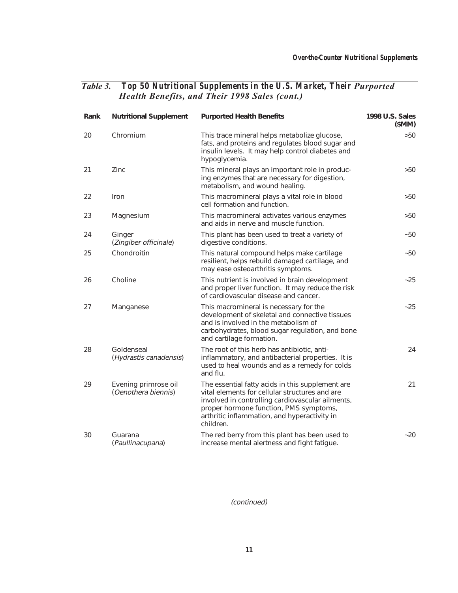| Rank | <b>Nutritional Supplement</b>               | <b>Purported Health Benefits</b>                                                                                                                                                                                                                              | 1998 U.S. Sales<br>(SMM) |
|------|---------------------------------------------|---------------------------------------------------------------------------------------------------------------------------------------------------------------------------------------------------------------------------------------------------------------|--------------------------|
| 20   | Chromium                                    | This trace mineral helps metabolize glucose,<br>fats, and proteins and regulates blood sugar and<br>insulin levels. It may help control diabetes and<br>hypoglycemia.                                                                                         | >50                      |
| 21   | Zinc                                        | This mineral plays an important role in produc-<br>ing enzymes that are necessary for digestion,<br>metabolism, and wound healing.                                                                                                                            | >50                      |
| 22   | Iron                                        | This macromineral plays a vital role in blood<br>cell formation and function.                                                                                                                                                                                 | >50                      |
| 23   | Magnesium                                   | This macromineral activates various enzymes<br>and aids in nerve and muscle function.                                                                                                                                                                         | >50                      |
| 24   | Ginger<br>(Zingiber officinale)             | This plant has been used to treat a variety of<br>digestive conditions.                                                                                                                                                                                       | $-50$                    |
| 25   | Chondroitin                                 | This natural compound helps make cartilage<br>resilient, helps rebuild damaged cartilage, and<br>may ease osteoarthritis symptoms.                                                                                                                            | $-50$                    |
| 26   | Choline                                     | This nutrient is involved in brain development<br>and proper liver function. It may reduce the risk<br>of cardiovascular disease and cancer.                                                                                                                  | $-25$                    |
| 27   | Manganese                                   | This macromineral is necessary for the<br>development of skeletal and connective tissues<br>and is involved in the metabolism of<br>carbohydrates, blood sugar regulation, and bone<br>and cartilage formation.                                               | ~25                      |
| 28   | Goldenseal<br>(Hydrastis canadensis)        | The root of this herb has antibiotic, anti-<br>inflammatory, and antibacterial properties. It is<br>used to heal wounds and as a remedy for colds<br>and flu.                                                                                                 | 24                       |
| 29   | Evening primrose oil<br>(Oenothera biennis) | The essential fatty acids in this supplement are<br>vital elements for cellular structures and are<br>involved in controlling cardiovascular ailments,<br>proper hormone function, PMS symptoms,<br>arthritic inflammation, and hyperactivity in<br>children. | 21                       |
| 30   | Guarana<br>(Paullinacupana)                 | The red berry from this plant has been used to<br>increase mental alertness and fight fatigue.                                                                                                                                                                | $-20$                    |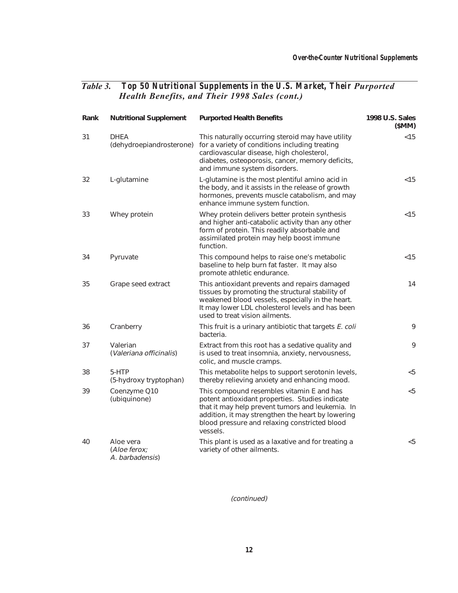| Rank | <b>Nutritional Supplement</b>                | <b>Purported Health Benefits</b>                                                                                                                                                                                                                                   | 1998 U.S. Sales<br>(SMM) |
|------|----------------------------------------------|--------------------------------------------------------------------------------------------------------------------------------------------------------------------------------------------------------------------------------------------------------------------|--------------------------|
| 31   | <b>DHEA</b><br>(dehydroepiandrosterone)      | This naturally occurring steroid may have utility<br>for a variety of conditions including treating<br>cardiovascular disease, high cholesterol,<br>diabetes, osteoporosis, cancer, memory deficits,<br>and immune system disorders.                               | < 15                     |
| 32   | L-glutamine                                  | L-glutamine is the most plentiful amino acid in<br>the body, and it assists in the release of growth<br>hormones, prevents muscle catabolism, and may<br>enhance immune system function.                                                                           | < 15                     |
| 33   | Whey protein                                 | Whey protein delivers better protein synthesis<br>and higher anti-catabolic activity than any other<br>form of protein. This readily absorbable and<br>assimilated protein may help boost immune<br>function.                                                      | < 15                     |
| 34   | Pyruvate                                     | This compound helps to raise one's metabolic<br>baseline to help burn fat faster. It may also<br>promote athletic endurance.                                                                                                                                       | < 15                     |
| 35   | Grape seed extract                           | This antioxidant prevents and repairs damaged<br>tissues by promoting the structural stability of<br>weakened blood vessels, especially in the heart.<br>It may lower LDL cholesterol levels and has been<br>used to treat vision ailments.                        | 14                       |
| 36   | Cranberry                                    | This fruit is a urinary antibiotic that targets E. coli<br>bacteria.                                                                                                                                                                                               | 9                        |
| 37   | Valerian<br>(Valeriana officinalis)          | Extract from this root has a sedative quality and<br>is used to treat insomnia, anxiety, nervousness,<br>colic, and muscle cramps.                                                                                                                                 | 9                        |
| 38   | 5-HTP<br>(5-hydroxy tryptophan)              | This metabolite helps to support serotonin levels,<br>thereby relieving anxiety and enhancing mood.                                                                                                                                                                | < 5                      |
| 39   | Coenzyme Q10<br>(ubiquinone)                 | This compound resembles vitamin E and has<br>potent antioxidant properties. Studies indicate<br>that it may help prevent tumors and leukemia. In<br>addition, it may strengthen the heart by lowering<br>blood pressure and relaxing constricted blood<br>vessels. | < 5                      |
| 40   | Aloe vera<br>(Aloe ferox;<br>A. barbadensis) | This plant is used as a laxative and for treating a<br>variety of other ailments.                                                                                                                                                                                  | < 5                      |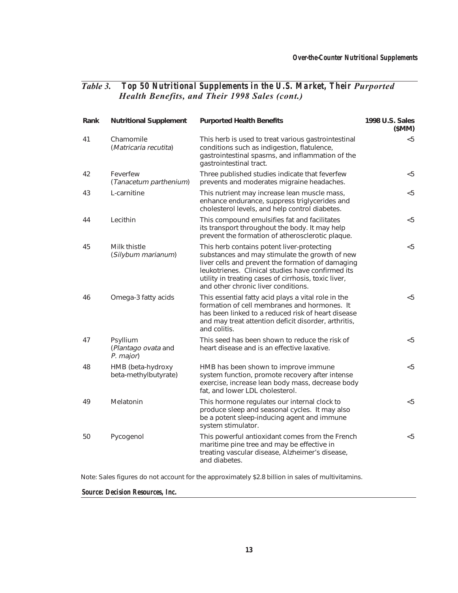| Rank | <b>Nutritional Supplement</b>                | <b>Purported Health Benefits</b>                                                                                                                                                                                                                                                                      | 1998 U.S. Sales<br>(SMM) |
|------|----------------------------------------------|-------------------------------------------------------------------------------------------------------------------------------------------------------------------------------------------------------------------------------------------------------------------------------------------------------|--------------------------|
| 41   | Chamomile<br>(Matricaria recutita)           | This herb is used to treat various gastrointestinal<br>conditions such as indigestion, flatulence,<br>gastrointestinal spasms, and inflammation of the<br>gastrointestinal tract.                                                                                                                     | < 5                      |
| 42   | Feverfew<br>(Tanacetum parthenium)           | Three published studies indicate that feverfew<br>prevents and moderates migraine headaches.                                                                                                                                                                                                          | $<$ 5                    |
| 43   | L-carnitine                                  | This nutrient may increase lean muscle mass,<br>enhance endurance, suppress triglycerides and<br>cholesterol levels, and help control diabetes.                                                                                                                                                       | $<$ 5                    |
| 44   | Lecithin                                     | This compound emulsifies fat and facilitates<br>its transport throughout the body. It may help<br>prevent the formation of atherosclerotic plaque.                                                                                                                                                    | < 5                      |
| 45   | Milk thistle<br>(Silybum marianum)           | This herb contains potent liver-protecting<br>substances and may stimulate the growth of new<br>liver cells and prevent the formation of damaging<br>leukotrienes. Clinical studies have confirmed its<br>utility in treating cases of cirrhosis, toxic liver,<br>and other chronic liver conditions. | $5$                      |
| 46   | Omega-3 fatty acids                          | This essential fatty acid plays a vital role in the<br>formation of cell membranes and hormones. It<br>has been linked to a reduced risk of heart disease<br>and may treat attention deficit disorder, arthritis,<br>and colitis.                                                                     | $<$ 5                    |
| 47   | Psyllium<br>(Plantago ovata and<br>P. major) | This seed has been shown to reduce the risk of<br>heart disease and is an effective laxative.                                                                                                                                                                                                         | $5$                      |
| 48   | HMB (beta-hydroxy<br>beta-methylbutyrate)    | HMB has been shown to improve immune<br>system function, promote recovery after intense<br>exercise, increase lean body mass, decrease body<br>fat, and lower LDL cholesterol.                                                                                                                        | $<$ 5                    |
| 49   | Melatonin                                    | This hormone regulates our internal clock to<br>produce sleep and seasonal cycles. It may also<br>be a potent sleep-inducing agent and immune<br>system stimulator.                                                                                                                                   | < 5                      |
| 50   | Pycogenol                                    | This powerful antioxidant comes from the French<br>maritime pine tree and may be effective in<br>treating vascular disease, Alzheimer's disease,<br>and diabetes.                                                                                                                                     | $<$ 5                    |

Note: Sales figures do not account for the approximately \$2.8 billion in sales of multivitamins.

*Source: Decision Resources, Inc.*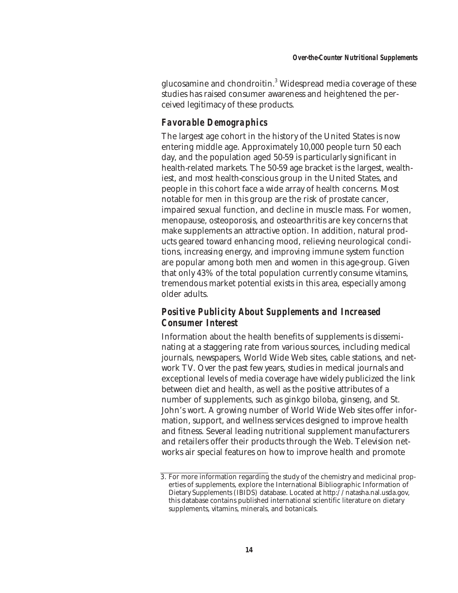glucosamine and chondroitin.3 Widespread media coverage of these studies has raised consumer awareness and heightened the perceived legitimacy of these products.

# *Favorable Demographics*

The largest age cohort in the history of the United States is now entering middle age. Approximately 10,000 people turn 50 each day, and the population aged 50-59 is particularly significant in health-related markets. The 50-59 age bracket is the largest, wealthiest, and most health-conscious group in the United States, and people in this cohort face a wide array of health concerns. Most notable for men in this group are the risk of prostate cancer, impaired sexual function, and decline in muscle mass. For women, menopause, osteoporosis, and osteoarthritis are key concerns that make supplements an attractive option. In addition, natural products geared toward enhancing mood, relieving neurological conditions, increasing energy, and improving immune system function are popular among both men and women in this age-group. Given that only 43% of the total population currently consume vitamins, tremendous market potential exists in this area, especially among older adults.

# *Positive Publicity About Supplements and Increased Consumer Interest*

Information about the health benefits of supplements is disseminating at a staggering rate from various sources, including medical journals, newspapers, World Wide Web sites, cable stations, and network TV. Over the past few years, studies in medical journals and exceptional levels of media coverage have widely publicized the link between diet and health, as well as the positive attributes of a number of supplements, such as ginkgo biloba, ginseng, and St. John's wort. A growing number of World Wide Web sites offer information, support, and wellness services designed to improve health and fitness. Several leading nutritional supplement manufacturers and retailers offer their products through the Web. Television networks air special features on how to improve health and promote

<sup>3.</sup> For more information regarding the study of the chemistry and medicinal properties of supplements, explore the International Bibliographic Information of Dietary Supplements (IBIDS) database. Located at http://natasha.nal.usda.gov, this database contains published international scientific literature on dietary supplements, vitamins, minerals, and botanicals.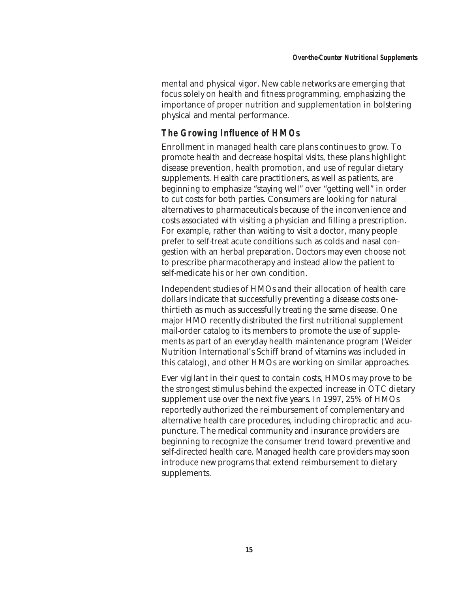mental and physical vigor. New cable networks are emerging that focus solely on health and fitness programming, emphasizing the importance of proper nutrition and supplementation in bolstering physical and mental performance.

# *The Growing Influence of HMOs*

Enrollment in managed health care plans continues to grow. To promote health and decrease hospital visits, these plans highlight disease prevention, health promotion, and use of regular dietary supplements. Health care practitioners, as well as patients, are beginning to emphasize "staying well" over "getting well" in order to cut costs for both parties. Consumers are looking for natural alternatives to pharmaceuticals because of the inconvenience and costs associated with visiting a physician and filling a prescription. For example, rather than waiting to visit a doctor, many people prefer to self-treat acute conditions such as colds and nasal congestion with an herbal preparation. Doctors may even choose not to prescribe pharmacotherapy and instead allow the patient to self-medicate his or her own condition.

Independent studies of HMOs and their allocation of health care dollars indicate that successfully preventing a disease costs onethirtieth as much as successfully treating the same disease. One major HMO recently distributed the first nutritional supplement mail-order catalog to its members to promote the use of supplements as part of an everyday health maintenance program (Weider Nutrition International's Schiff brand of vitamins was included in this catalog), and other HMOs are working on similar approaches.

Ever vigilant in their quest to contain costs, HMOs may prove to be the strongest stimulus behind the expected increase in OTC dietary supplement use over the next five years. In 1997, 25% of HMOs reportedly authorized the reimbursement of complementary and alternative health care procedures, including chiropractic and acupuncture. The medical community and insurance providers are beginning to recognize the consumer trend toward preventive and self-directed health care. Managed health care providers may soon introduce new programs that extend reimbursement to dietary supplements.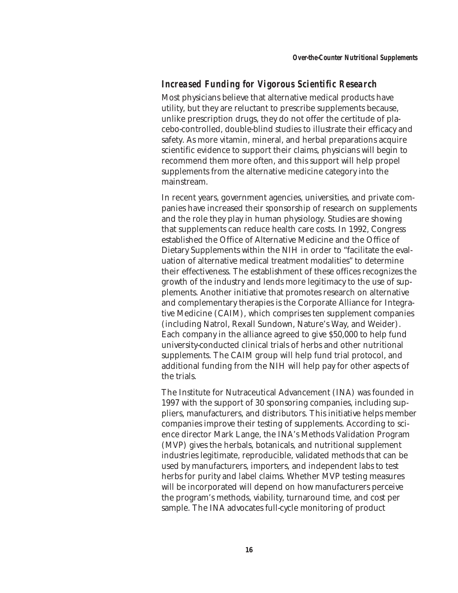#### *Increased Funding for Vigorous Scientific Research*

Most physicians believe that alternative medical products have utility, but they are reluctant to prescribe supplements because, unlike prescription drugs, they do not offer the certitude of placebo-controlled, double-blind studies to illustrate their efficacy and safety. As more vitamin, mineral, and herbal preparations acquire scientific evidence to support their claims, physicians will begin to recommend them more often, and this support will help propel supplements from the alternative medicine category into the mainstream.

In recent years, government agencies, universities, and private companies have increased their sponsorship of research on supplements and the role they play in human physiology. Studies are showing that supplements can reduce health care costs. In 1992, Congress established the Office of Alternative Medicine and the Office of Dietary Supplements within the NIH in order to "facilitate the evaluation of alternative medical treatment modalities" to determine their effectiveness. The establishment of these offices recognizes the growth of the industry and lends more legitimacy to the use of supplements. Another initiative that promotes research on alternative and complementary therapies is the Corporate Alliance for Integrative Medicine (CAIM), which comprises ten supplement companies (including Natrol, Rexall Sundown, Nature's Way, and Weider). Each company in the alliance agreed to give \$50,000 to help fund university-conducted clinical trials of herbs and other nutritional supplements. The CAIM group will help fund trial protocol, and additional funding from the NIH will help pay for other aspects of the trials.

The Institute for Nutraceutical Advancement (INA) was founded in 1997 with the support of 30 sponsoring companies, including suppliers, manufacturers, and distributors. This initiative helps member companies improve their testing of supplements. According to science director Mark Lange, the INA's Methods Validation Program (MVP) gives the herbals, botanicals, and nutritional supplement industries legitimate, reproducible, validated methods that can be used by manufacturers, importers, and independent labs to test herbs for purity and label claims. Whether MVP testing measures will be incorporated will depend on how manufacturers perceive the program's methods, viability, turnaround time, and cost per sample. The INA advocates full-cycle monitoring of product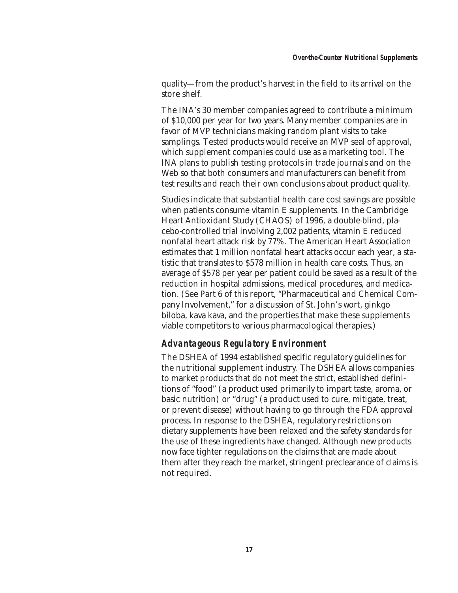quality—from the product's harvest in the field to its arrival on the store shelf.

The INA's 30 member companies agreed to contribute a minimum of \$10,000 per year for two years. Many member companies are in favor of MVP technicians making random plant visits to take samplings. Tested products would receive an MVP seal of approval, which supplement companies could use as a marketing tool. The INA plans to publish testing protocols in trade journals and on the Web so that both consumers and manufacturers can benefit from test results and reach their own conclusions about product quality.

Studies indicate that substantial health care cost savings are possible when patients consume vitamin E supplements. In the Cambridge Heart Antioxidant Study (CHAOS) of 1996, a double-blind, placebo-controlled trial involving 2,002 patients, vitamin E reduced nonfatal heart attack risk by 77%. The American Heart Association estimates that 1 million nonfatal heart attacks occur each year, a statistic that translates to \$578 million in health care costs. Thus, an average of \$578 per year per patient could be saved as a result of the reduction in hospital admissions, medical procedures, and medication. (See Part 6 of this report, "Pharmaceutical and Chemical Company Involvement," for a discussion of St. John's wort, ginkgo biloba, kava kava, and the properties that make these supplements viable competitors to various pharmacological therapies.)

# *Advantageous Regulatory Environment*

The DSHEA of 1994 established specific regulatory guidelines for the nutritional supplement industry. The DSHEA allows companies to market products that do not meet the strict, established definitions of "food" (a product used primarily to impart taste, aroma, or basic nutrition) or "drug" (a product used to cure, mitigate, treat, or prevent disease) without having to go through the FDA approval process. In response to the DSHEA, regulatory restrictions on dietary supplements have been relaxed and the safety standards for the use of these ingredients have changed. Although new products now face tighter regulations on the claims that are made about them after they reach the market, stringent preclearance of claims is not required.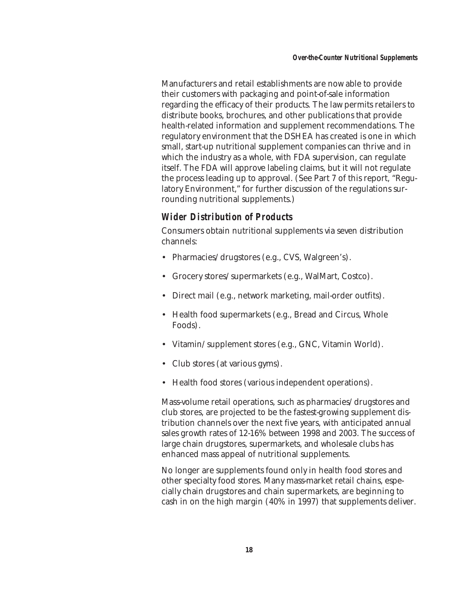Manufacturers and retail establishments are now able to provide their customers with packaging and point-of-sale information regarding the efficacy of their products. The law permits retailers to distribute books, brochures, and other publications that provide health-related information and supplement recommendations. The regulatory environment that the DSHEA has created is one in which small, start-up nutritional supplement companies can thrive and in which the industry as a whole, with FDA supervision, can regulate itself. The FDA will approve labeling claims, but it will not regulate the process leading up to approval. (See Part 7 of this report, "Regulatory Environment," for further discussion of the regulations surrounding nutritional supplements.)

# *Wider Distribution of Products*

Consumers obtain nutritional supplements via seven distribution channels:

- Pharmacies/drugstores (e.g., CVS, Walgreen's).
- Grocery stores/supermarkets (e.g., WalMart, Costco).
- Direct mail (e.g., network marketing, mail-order outfits).
- Health food supermarkets (e.g., Bread and Circus, Whole Foods).
- Vitamin/supplement stores (e.g., GNC, Vitamin World).
- Club stores (at various gyms).
- Health food stores (various independent operations).

Mass-volume retail operations, such as pharmacies/drugstores and club stores, are projected to be the fastest-growing supplement distribution channels over the next five years, with anticipated annual sales growth rates of 12-16% between 1998 and 2003. The success of large chain drugstores, supermarkets, and wholesale clubs has enhanced mass appeal of nutritional supplements.

No longer are supplements found only in health food stores and other specialty food stores. Many mass-market retail chains, especially chain drugstores and chain supermarkets, are beginning to cash in on the high margin (40% in 1997) that supplements deliver.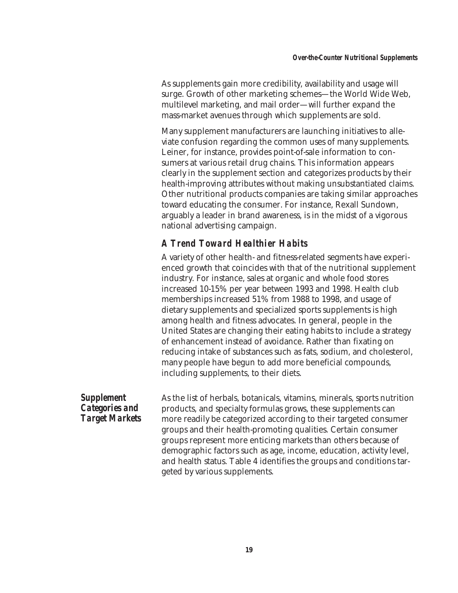As supplements gain more credibility, availability and usage will surge. Growth of other marketing schemes—the World Wide Web, multilevel marketing, and mail order—will further expand the mass-market avenues through which supplements are sold.

Many supplement manufacturers are launching initiatives to alleviate confusion regarding the common uses of many supplements. Leiner, for instance, provides point-of-sale information to consumers at various retail drug chains. This information appears clearly in the supplement section and categorizes products by their health-improving attributes without making unsubstantiated claims. Other nutritional products companies are taking similar approaches toward educating the consumer. For instance, Rexall Sundown, arguably a leader in brand awareness, is in the midst of a vigorous national advertising campaign.

# *A Trend Toward Healthier Habits*

A variety of other health- and fitness-related segments have experienced growth that coincides with that of the nutritional supplement industry. For instance, sales at organic and whole food stores increased 10-15% per year between 1993 and 1998. Health club memberships increased 51% from 1988 to 1998, and usage of dietary supplements and specialized sports supplements is high among health and fitness advocates. In general, people in the United States are changing their eating habits to include a strategy of enhancement instead of avoidance. Rather than fixating on reducing intake of substances such as fats, sodium, and cholesterol, many people have begun to add more beneficial compounds, including supplements, to their diets.

*Supplement Categories and Target Markets* As the list of herbals, botanicals, vitamins, minerals, sports nutrition products, and specialty formulas grows, these supplements can more readily be categorized according to their targeted consumer groups and their health-promoting qualities. Certain consumer groups represent more enticing markets than others because of demographic factors such as age, income, education, activity level, and health status. Table 4 identifies the groups and conditions targeted by various supplements.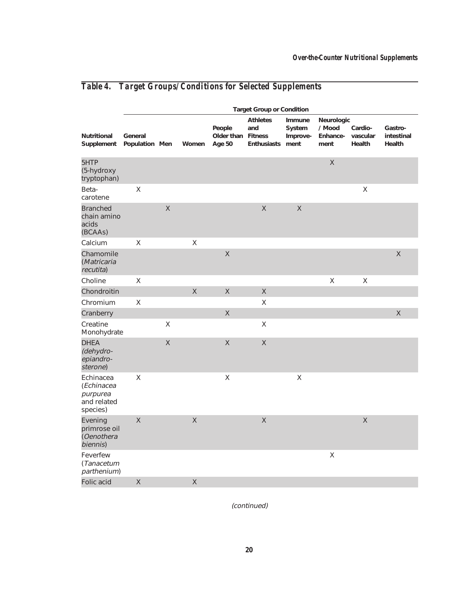|                                                                | <b>Target Group or Condition</b> |              |                    |                                        |                                       |                                      |                                          |                               |                                 |
|----------------------------------------------------------------|----------------------------------|--------------|--------------------|----------------------------------------|---------------------------------------|--------------------------------------|------------------------------------------|-------------------------------|---------------------------------|
| <b>Nutritional</b><br>Supplement                               | General<br>Population Men        |              | Women              | People<br>Older than Fitness<br>Age 50 | <b>Athletes</b><br>and<br>Enthusiasts | Immune<br>System<br>Improve-<br>ment | Neurologic<br>/ Mood<br>Enhance-<br>ment | Cardio-<br>vascular<br>Health | Gastro-<br>intestinal<br>Health |
| 5HTP<br>(5-hydroxy<br>tryptophan)                              |                                  |              |                    |                                        |                                       |                                      | $\mathsf X$                              |                               |                                 |
| Beta-<br>carotene                                              | $\mathsf X$                      |              |                    |                                        |                                       |                                      |                                          | $\mathsf X$                   |                                 |
| <b>Branched</b><br>chain amino<br>acids<br>(BCAAs)             |                                  | $\mathsf{X}$ |                    |                                        | $\mathsf X$                           | $\mathsf X$                          |                                          |                               |                                 |
| Calcium                                                        | $\sf X$                          |              | $\mathsf X$        |                                        |                                       |                                      |                                          |                               |                                 |
| Chamomile<br>(Matricaria<br>recutita)                          |                                  |              |                    | $\mathsf{X}$                           |                                       |                                      |                                          |                               | $\overline{\mathsf{X}}$         |
| Choline                                                        | $\mathsf X$                      |              |                    |                                        |                                       |                                      | $\sf X$                                  | $\mathsf X$                   |                                 |
| Chondroitin                                                    |                                  |              | $\mathsf X$        | $\mathsf X$                            | $\mathsf X$                           |                                      |                                          |                               |                                 |
| Chromium                                                       | $\mathsf X$                      |              |                    |                                        | $\mathsf X$                           |                                      |                                          |                               |                                 |
| Cranberry                                                      |                                  |              |                    | $\mathsf{X}% _{0}$                     |                                       |                                      |                                          |                               | $\mathsf X$                     |
| Creatine<br>Monohydrate                                        |                                  | $\mathsf X$  |                    |                                        | $\mathsf X$                           |                                      |                                          |                               |                                 |
| <b>DHEA</b><br>(dehydro-<br>epiandro-<br>sterone)              |                                  | $\mathsf{X}$ |                    | $\mathsf X$                            | $\mathsf X$                           |                                      |                                          |                               |                                 |
| Echinacea<br>(Echinacea<br>purpurea<br>and related<br>species) | X                                |              |                    | X                                      |                                       | X                                    |                                          |                               |                                 |
| Evening<br>primrose oil<br>(Oenothera<br>biennis)              | $\mathsf{X}$                     |              | $\mathsf X$        |                                        | $\mathsf X$                           |                                      |                                          | $\mathsf X$                   |                                 |
| Feverfew<br>(Tanacetum<br>parthenium)                          |                                  |              |                    |                                        |                                       |                                      | $\mathsf X$                              |                               |                                 |
| Folic acid                                                     | $\mathsf X$                      |              | $\mathsf{X}% _{0}$ |                                        |                                       |                                      |                                          |                               |                                 |

# *Table 4. Target Groups/Conditions for Selected Supplements*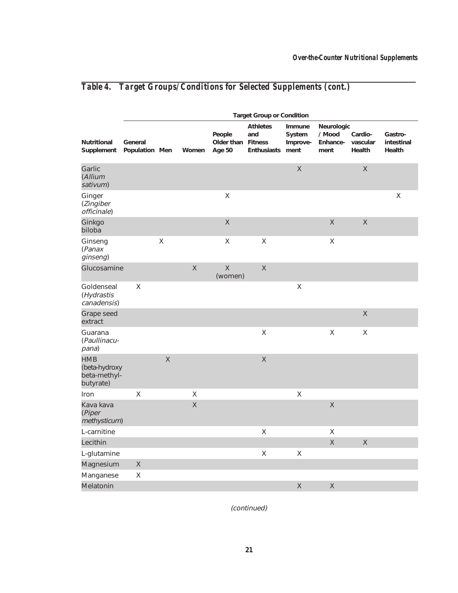|                                                          | <b>Target Group or Condition</b> |                    |             |                                        |                                       |                                      |                                          |                               |                                 |
|----------------------------------------------------------|----------------------------------|--------------------|-------------|----------------------------------------|---------------------------------------|--------------------------------------|------------------------------------------|-------------------------------|---------------------------------|
| Nutritional<br>Supplement                                | General<br>Population Men        |                    | Women       | People<br>Older than Fitness<br>Age 50 | <b>Athletes</b><br>and<br>Enthusiasts | Immune<br>System<br>Improve-<br>ment | Neurologic<br>/ Mood<br>Enhance-<br>ment | Cardio-<br>vascular<br>Health | Gastro-<br>intestinal<br>Health |
| Garlic<br>(Allium<br>sativum)                            |                                  |                    |             |                                        |                                       | $\mathsf{X}$                         |                                          | $\mathsf{X}% _{0}$            |                                 |
| Ginger<br>(Zingiber<br>officinale)                       |                                  |                    |             | $\sf X$                                |                                       |                                      |                                          |                               | $\sf X$                         |
| Ginkgo<br>biloba                                         |                                  |                    |             | $\mathsf{X}$                           |                                       |                                      | $\mathsf{X}% _{0}$                       | $\mathsf{X}% _{0}$            |                                 |
| Ginseng<br>(Panax<br>ginseng)                            |                                  | $\mathsf X$        |             | $\sf X$                                | $\sf X$                               |                                      | Χ                                        |                               |                                 |
| Glucosamine                                              |                                  |                    | $\mathsf X$ | $\mathsf X$<br>(women)                 | $\mathsf{X}% _{0}$                    |                                      |                                          |                               |                                 |
| Goldenseal<br>(Hydrastis<br>canadensis)                  | X                                |                    |             |                                        |                                       | $\mathsf X$                          |                                          |                               |                                 |
| Grape seed<br>extract                                    |                                  |                    |             |                                        |                                       |                                      |                                          | $\mathsf{X}% _{0}$            |                                 |
| Guarana<br>(Paullinacu-<br>pana)                         |                                  |                    |             |                                        | X                                     |                                      | X                                        | $\mathsf X$                   |                                 |
| <b>HMB</b><br>(beta-hydroxy<br>beta-methyl-<br>butyrate) |                                  | $\mathsf{X}% _{0}$ |             |                                        | $\mathsf{X}% _{0}$                    |                                      |                                          |                               |                                 |
| Iron                                                     | X                                |                    | $\mathsf X$ |                                        |                                       | X                                    |                                          |                               |                                 |
| Kava kava<br>(Piper<br>methysticum)                      |                                  |                    | $\mathsf X$ |                                        |                                       |                                      | $\mathsf{X}% _{0}$                       |                               |                                 |
| L-carnitine                                              |                                  |                    |             |                                        | $\mathsf X$                           |                                      | X                                        |                               |                                 |
| Lecithin                                                 |                                  |                    |             |                                        |                                       |                                      | $\mathsf{X}$                             | $\mathsf{X}$                  |                                 |
| L-glutamine                                              |                                  |                    |             |                                        | $\mathsf X$                           | $\mathsf X$                          |                                          |                               |                                 |
| Magnesium                                                | $\mathsf{X}$                     |                    |             |                                        |                                       |                                      |                                          |                               |                                 |
| Manganese                                                | X                                |                    |             |                                        |                                       |                                      |                                          |                               |                                 |
| Melatonin                                                |                                  |                    |             |                                        |                                       | $\mathsf{X}$                         | $\times$                                 |                               |                                 |

# *Table 4. Target Groups/Conditions for Selected Supplements (cont.)*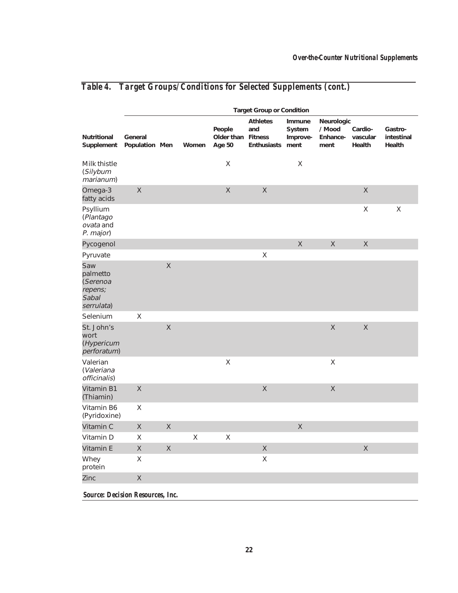|                                                               | <b>Target Group or Condition</b> |                         |         |                                |                                                         |                                      |                                          |                               |                                 |
|---------------------------------------------------------------|----------------------------------|-------------------------|---------|--------------------------------|---------------------------------------------------------|--------------------------------------|------------------------------------------|-------------------------------|---------------------------------|
| <b>Nutritional</b><br>Supplement                              | General<br>Population Men        |                         | Women   | People<br>Older than<br>Age 50 | <b>Athletes</b><br>and<br><b>Fitness</b><br>Enthusiasts | Immune<br>System<br>Improve-<br>ment | Neurologic<br>/ Mood<br>Enhance-<br>ment | Cardio-<br>vascular<br>Health | Gastro-<br>intestinal<br>Health |
| Milk thistle<br>(Silybum<br>marianum)                         |                                  |                         |         | $\mathsf X$                    |                                                         | X                                    |                                          |                               |                                 |
| Omega-3<br>fatty acids                                        | $\mathsf X$                      |                         |         | $\mathsf X$                    | $\mathsf X$                                             |                                      |                                          | $\mathsf X$                   |                                 |
| Psyllium<br>(Plantago<br>ovata and<br>P. major)               |                                  |                         |         |                                |                                                         |                                      |                                          | $\mathsf X$                   | $\sf X$                         |
| Pycogenol                                                     |                                  |                         |         |                                |                                                         | X                                    | $\mathsf{X}$                             | $\mathsf{X}$                  |                                 |
| Pyruvate                                                      |                                  |                         |         |                                | X                                                       |                                      |                                          |                               |                                 |
| Saw<br>palmetto<br>(Serenoa<br>repens;<br>Sabal<br>serrulata) |                                  | $\mathsf{X}% _{0}$      |         |                                |                                                         |                                      |                                          |                               |                                 |
| Selenium                                                      | X                                |                         |         |                                |                                                         |                                      |                                          |                               |                                 |
| St. John's<br>wort<br>(Hypericum<br>perforatum)               |                                  | $\mathsf{X}% _{0}$      |         |                                |                                                         |                                      | $\mathsf X$                              | $\mathsf X$                   |                                 |
| Valerian<br>(Valeriana<br>officinalis)                        |                                  |                         |         | X                              |                                                         |                                      | X                                        |                               |                                 |
| Vitamin B1<br>(Thiamin)                                       | $\mathsf X$                      |                         |         |                                | $\mathsf X$                                             |                                      | $\mathsf X$                              |                               |                                 |
| Vitamin B6<br>(Pyridoxine)                                    | X                                |                         |         |                                |                                                         |                                      |                                          |                               |                                 |
| Vitamin C                                                     | $\mathsf X$                      | $\mathsf X$             |         |                                |                                                         | $\mathsf X$                          |                                          |                               |                                 |
| Vitamin D                                                     | X                                |                         | $\sf X$ | X                              |                                                         |                                      |                                          |                               |                                 |
| Vitamin E                                                     | X                                | $\overline{\mathsf{X}}$ |         |                                | $\mathsf{X}$                                            |                                      |                                          | $\mathsf X$                   |                                 |
| Whey<br>protein                                               | Χ                                |                         |         |                                | Χ                                                       |                                      |                                          |                               |                                 |
| Zinc                                                          | $\mathsf X$                      |                         |         |                                |                                                         |                                      |                                          |                               |                                 |
| <b>Source: Decision Resources, Inc.</b>                       |                                  |                         |         |                                |                                                         |                                      |                                          |                               |                                 |

# *Table 4. Target Groups/Conditions for Selected Supplements (cont.)*

**22**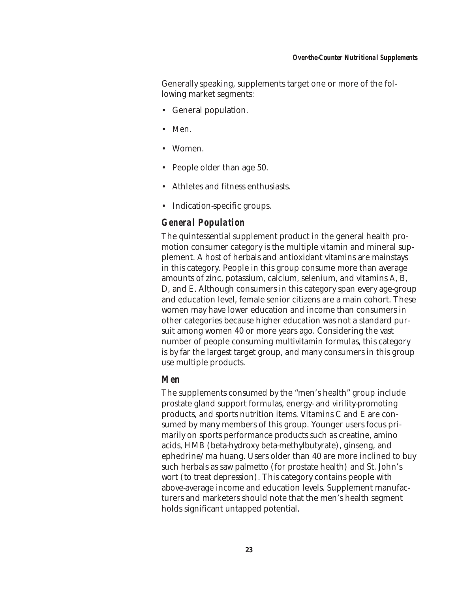Generally speaking, supplements target one or more of the following market segments:

- General population.
- Men.
- Women.
- People older than age 50.
- Athletes and fitness enthusiasts.
- Indication-specific groups.

# *General Population*

The quintessential supplement product in the general health promotion consumer category is the multiple vitamin and mineral supplement. A host of herbals and antioxidant vitamins are mainstays in this category. People in this group consume more than average amounts of zinc, potassium, calcium, selenium, and vitamins A, B, D, and E. Although consumers in this category span every age-group and education level, female senior citizens are a main cohort. These women may have lower education and income than consumers in other categories because higher education was not a standard pursuit among women 40 or more years ago. Considering the vast number of people consuming multivitamin formulas, this category is by far the largest target group, and many consumers in this group use multiple products.

### *Men*

The supplements consumed by the "men's health" group include prostate gland support formulas, energy- and virility-promoting products, and sports nutrition items. Vitamins C and E are consumed by many members of this group. Younger users focus primarily on sports performance products such as creatine, amino acids, HMB (beta-hydroxy beta-methylbutyrate), ginseng, and ephedrine/ma huang. Users older than 40 are more inclined to buy such herbals as saw palmetto (for prostate health) and St. John's wort (to treat depression). This category contains people with above-average income and education levels. Supplement manufacturers and marketers should note that the men's health segment holds significant untapped potential.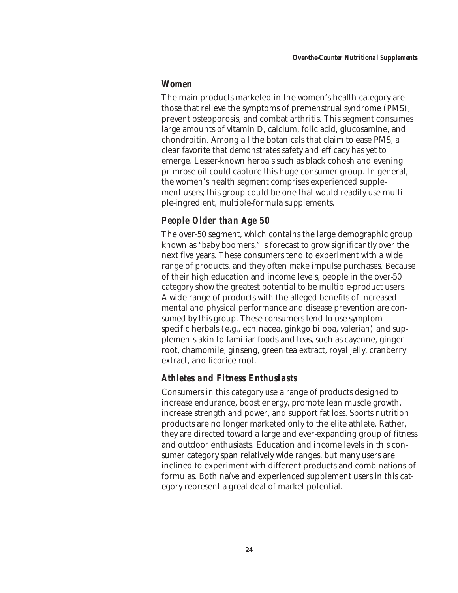#### *Women*

The main products marketed in the women's health category are those that relieve the symptoms of premenstrual syndrome (PMS), prevent osteoporosis, and combat arthritis. This segment consumes large amounts of vitamin D, calcium, folic acid, glucosamine, and chondroitin. Among all the botanicals that claim to ease PMS, a clear favorite that demonstrates safety and efficacy has yet to emerge. Lesser-known herbals such as black cohosh and evening primrose oil could capture this huge consumer group. In general, the women's health segment comprises experienced supplement users; this group could be one that would readily use multiple-ingredient, multiple-formula supplements.

# *People Older than Age 50*

The over-50 segment, which contains the large demographic group known as "baby boomers," is forecast to grow significantly over the next five years. These consumers tend to experiment with a wide range of products, and they often make impulse purchases. Because of their high education and income levels, people in the over-50 category show the greatest potential to be multiple-product users. A wide range of products with the alleged benefits of increased mental and physical performance and disease prevention are consumed by this group. These consumers tend to use symptomspecific herbals (e.g., echinacea, ginkgo biloba, valerian) and supplements akin to familiar foods and teas, such as cayenne, ginger root, chamomile, ginseng, green tea extract, royal jelly, cranberry extract, and licorice root.

# *Athletes and Fitness Enthusiasts*

Consumers in this category use a range of products designed to increase endurance, boost energy, promote lean muscle growth, increase strength and power, and support fat loss. Sports nutrition products are no longer marketed only to the elite athlete. Rather, they are directed toward a large and ever-expanding group of fitness and outdoor enthusiasts. Education and income levels in this consumer category span relatively wide ranges, but many users are inclined to experiment with different products and combinations of formulas. Both naïve and experienced supplement users in this category represent a great deal of market potential.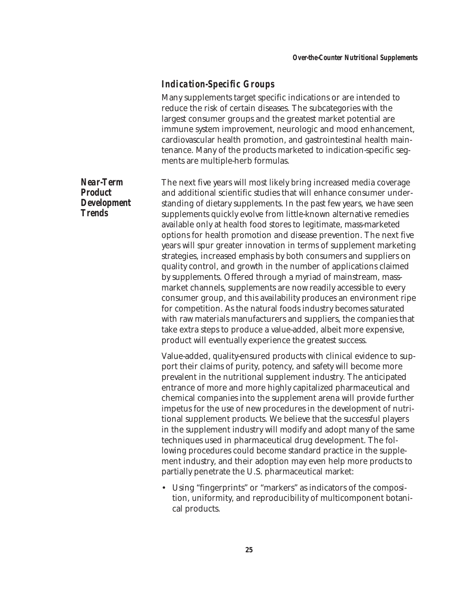### *Indication-Specific Groups*

Many supplements target specific indications or are intended to reduce the risk of certain diseases. The subcategories with the largest consumer groups and the greatest market potential are immune system improvement, neurologic and mood enhancement, cardiovascular health promotion, and gastrointestinal health maintenance. Many of the products marketed to indication-specific segments are multiple-herb formulas.

The next five years will most likely bring increased media coverage and additional scientific studies that will enhance consumer understanding of dietary supplements. In the past few years, we have seen supplements quickly evolve from little-known alternative remedies available only at health food stores to legitimate, mass-marketed options for health promotion and disease prevention. The next five years will spur greater innovation in terms of supplement marketing strategies, increased emphasis by both consumers and suppliers on quality control, and growth in the number of applications claimed by supplements. Offered through a myriad of mainstream, massmarket channels, supplements are now readily accessible to every consumer group, and this availability produces an environment ripe for competition. As the natural foods industry becomes saturated with raw materials manufacturers and suppliers, the companies that take extra steps to produce a value-added, albeit more expensive, product will eventually experience the greatest success.

Value-added, quality-ensured products with clinical evidence to support their claims of purity, potency, and safety will become more prevalent in the nutritional supplement industry. The anticipated entrance of more and more highly capitalized pharmaceutical and chemical companies into the supplement arena will provide further impetus for the use of new procedures in the development of nutritional supplement products. We believe that the successful players in the supplement industry will modify and adopt many of the same techniques used in pharmaceutical drug development. The following procedures could become standard practice in the supplement industry, and their adoption may even help more products to partially penetrate the U.S. pharmaceutical market:

• Using "fingerprints" or "markers" as indicators of the composition, uniformity, and reproducibility of multicomponent botanical products.

*Near-Term Product Development Trends*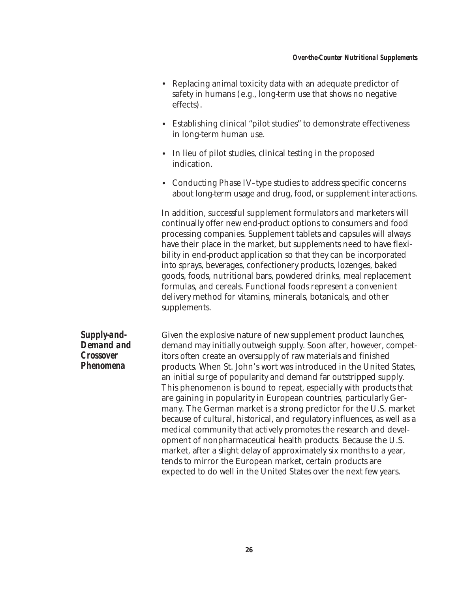- Replacing animal toxicity data with an adequate predictor of safety in humans (e.g., long-term use that shows no negative effects).
- Establishing clinical "pilot studies" to demonstrate effectiveness in long-term human use.
- In lieu of pilot studies, clinical testing in the proposed indication.
- Conducting Phase IV–type studies to address specific concerns about long-term usage and drug, food, or supplement interactions.

In addition, successful supplement formulators and marketers will continually offer new end-product options to consumers and food processing companies. Supplement tablets and capsules will always have their place in the market, but supplements need to have flexibility in end-product application so that they can be incorporated into sprays, beverages, confectionery products, lozenges, baked goods, foods, nutritional bars, powdered drinks, meal replacement formulas, and cereals. Functional foods represent a convenient delivery method for vitamins, minerals, botanicals, and other supplements.

*Supply-and-Demand and Crossover Phenomena*

Given the explosive nature of new supplement product launches, demand may initially outweigh supply. Soon after, however, competitors often create an oversupply of raw materials and finished products. When St. John's wort was introduced in the United States, an initial surge of popularity and demand far outstripped supply. This phenomenon is bound to repeat, especially with products that are gaining in popularity in European countries, particularly Germany. The German market is a strong predictor for the U.S. market because of cultural, historical, and regulatory influences, as well as a medical community that actively promotes the research and development of nonpharmaceutical health products. Because the U.S. market, after a slight delay of approximately six months to a year, tends to mirror the European market, certain products are expected to do well in the United States over the next few years.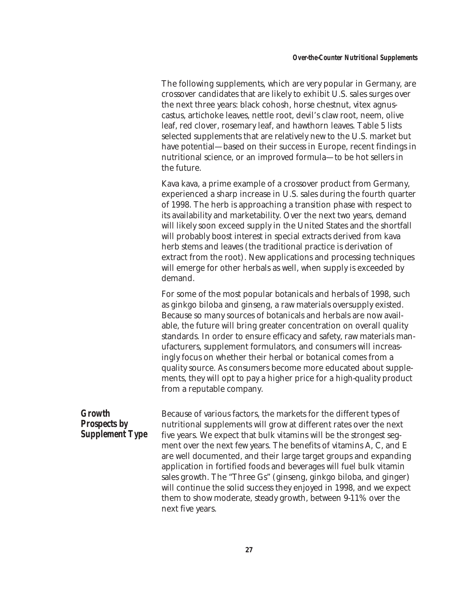The following supplements, which are very popular in Germany, are crossover candidates that are likely to exhibit U.S. sales surges over the next three years: black cohosh, horse chestnut, vitex agnuscastus, artichoke leaves, nettle root, devil's claw root, neem, olive leaf, red clover, rosemary leaf, and hawthorn leaves. Table 5 lists selected supplements that are relatively new to the U.S. market but have potential—based on their success in Europe, recent findings in nutritional science, or an improved formula—to be hot sellers in the future.

Kava kava, a prime example of a crossover product from Germany, experienced a sharp increase in U.S. sales during the fourth quarter of 1998. The herb is approaching a transition phase with respect to its availability and marketability. Over the next two years, demand will likely soon exceed supply in the United States and the shortfall will probably boost interest in special extracts derived from kava herb stems and leaves (the traditional practice is derivation of extract from the root). New applications and processing techniques will emerge for other herbals as well, when supply is exceeded by demand.

For some of the most popular botanicals and herbals of 1998, such as ginkgo biloba and ginseng, a raw materials oversupply existed. Because so many sources of botanicals and herbals are now available, the future will bring greater concentration on overall quality standards. In order to ensure efficacy and safety, raw materials manufacturers, supplement formulators, and consumers will increasingly focus on whether their herbal or botanical comes from a quality source. As consumers become more educated about supplements, they will opt to pay a higher price for a high-quality product from a reputable company.

*Growth Prospects by Supplement Type* Because of various factors, the markets for the different types of nutritional supplements will grow at different rates over the next five years. We expect that bulk vitamins will be the strongest segment over the next few years. The benefits of vitamins A, C, and E are well documented, and their large target groups and expanding application in fortified foods and beverages will fuel bulk vitamin sales growth. The "Three Gs" (ginseng, ginkgo biloba, and ginger) will continue the solid success they enjoyed in 1998, and we expect them to show moderate, steady growth, between 9-11% over the next five years.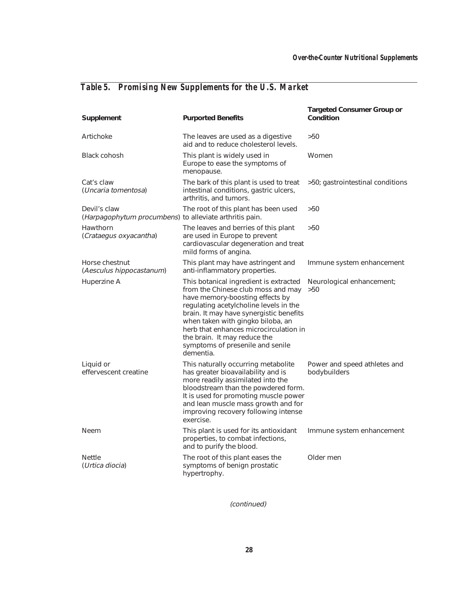# *Table 5. Promising New Supplements for the U.S. Market*

| Supplement                                                              | <b>Purported Benefits</b>                                                                                                                                                                                                                                                                                                                                            | <b>Targeted Consumer Group or</b><br>Condition |
|-------------------------------------------------------------------------|----------------------------------------------------------------------------------------------------------------------------------------------------------------------------------------------------------------------------------------------------------------------------------------------------------------------------------------------------------------------|------------------------------------------------|
| Artichoke                                                               | The leaves are used as a digestive<br>aid and to reduce cholesterol levels.                                                                                                                                                                                                                                                                                          | >50                                            |
| <b>Black cohosh</b>                                                     | This plant is widely used in<br>Europe to ease the symptoms of<br>menopause.                                                                                                                                                                                                                                                                                         | Women                                          |
| Cat's claw<br>(Uncaria tomentosa)                                       | The bark of this plant is used to treat<br>intestinal conditions, gastric ulcers,<br>arthritis, and tumors.                                                                                                                                                                                                                                                          | >50; gastrointestinal conditions               |
| Devil's claw<br>(Harpagophytum procumbens) to alleviate arthritis pain. | The root of this plant has been used                                                                                                                                                                                                                                                                                                                                 | >50                                            |
| Hawthorn<br>(Crataegus oxyacantha)                                      | The leaves and berries of this plant<br>are used in Europe to prevent<br>cardiovascular degeneration and treat<br>mild forms of angina.                                                                                                                                                                                                                              | >50                                            |
| Horse chestnut<br>(Aesculus hippocastanum)                              | This plant may have astringent and<br>anti-inflammatory properties.                                                                                                                                                                                                                                                                                                  | Immune system enhancement                      |
| Huperzine A                                                             | This botanical ingredient is extracted<br>from the Chinese club moss and may<br>have memory-boosting effects by<br>regulating acetylcholine levels in the<br>brain. It may have synergistic benefits<br>when taken with gingko biloba, an<br>herb that enhances microcirculation in<br>the brain. It may reduce the<br>symptoms of presenile and senile<br>dementia. | Neurological enhancement;<br>>50               |
| Liquid or<br>effervescent creatine                                      | This naturally occurring metabolite<br>has greater bioavailability and is<br>more readily assimilated into the<br>bloodstream than the powdered form.<br>It is used for promoting muscle power<br>and lean muscle mass growth and for<br>improving recovery following intense<br>exercise.                                                                           | Power and speed athletes and<br>bodybuilders   |
| <b>Neem</b>                                                             | This plant is used for its antioxidant<br>properties, to combat infections,<br>and to purify the blood.                                                                                                                                                                                                                                                              | Immune system enhancement                      |
| <b>Nettle</b><br>(Urtica diocia)                                        | The root of this plant eases the<br>symptoms of benign prostatic<br>hypertrophy.                                                                                                                                                                                                                                                                                     | Older men                                      |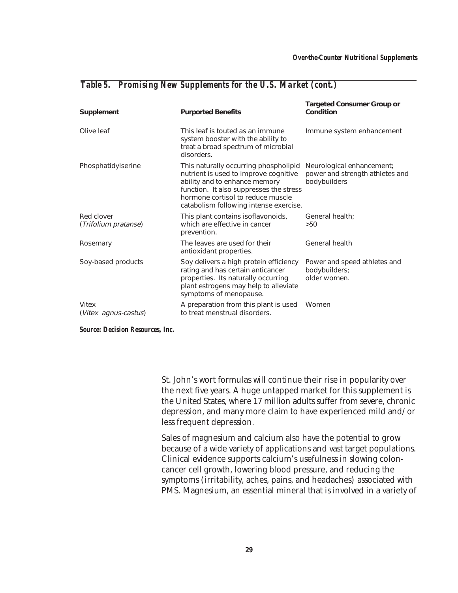| Supplement                         | <b>Purported Benefits</b>                                                                                                                                                                                                                 | <b>Targeted Consumer Group or</b><br>Condition                               |
|------------------------------------|-------------------------------------------------------------------------------------------------------------------------------------------------------------------------------------------------------------------------------------------|------------------------------------------------------------------------------|
| Olive leaf                         | This leaf is touted as an immune<br>system booster with the ability to<br>treat a broad spectrum of microbial<br>disorders.                                                                                                               | Immune system enhancement                                                    |
| Phosphatidylserine                 | This naturally occurring phospholipid<br>nutrient is used to improve cognitive<br>ability and to enhance memory<br>function. It also suppresses the stress<br>hormone cortisol to reduce muscle<br>catabolism following intense exercise. | Neurological enhancement;<br>power and strength athletes and<br>bodybuilders |
| Red clover<br>(Trifolium pratanse) | This plant contains isoflavonoids,<br>which are effective in cancer<br>prevention.                                                                                                                                                        | General health;<br>>50                                                       |
| Rosemary                           | The leaves are used for their<br>antioxidant properties.                                                                                                                                                                                  | <b>General health</b>                                                        |
| Soy-based products                 | Soy delivers a high protein efficiency<br>rating and has certain anticancer<br>properties. Its naturally occurring<br>plant estrogens may help to alleviate<br>symptoms of menopause.                                                     | Power and speed athletes and<br>bodybuilders;<br>older women.                |
| Vitex<br>(Vitex agnus-castus)      | A preparation from this plant is used<br>to treat menstrual disorders.                                                                                                                                                                    | Women                                                                        |

#### *Table 5. Promising New Supplements for the U.S. Market (cont.)*

*Source: Decision Resources, Inc.*

St. John's wort formulas will continue their rise in popularity over the next five years. A huge untapped market for this supplement is the United States, where 17 million adults suffer from severe, chronic depression, and many more claim to have experienced mild and/or less frequent depression.

Sales of magnesium and calcium also have the potential to grow because of a wide variety of applications and vast target populations. Clinical evidence supports calcium's usefulness in slowing coloncancer cell growth, lowering blood pressure, and reducing the symptoms (irritability, aches, pains, and headaches) associated with PMS. Magnesium, an essential mineral that is involved in a variety of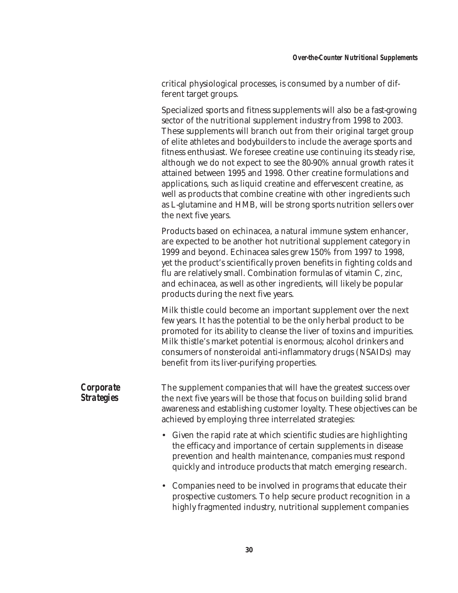critical physiological processes, is consumed by a number of different target groups.

Specialized sports and fitness supplements will also be a fast-growing sector of the nutritional supplement industry from 1998 to 2003. These supplements will branch out from their original target group of elite athletes and bodybuilders to include the average sports and fitness enthusiast. We foresee creatine use continuing its steady rise, although we do not expect to see the 80-90% annual growth rates it attained between 1995 and 1998. Other creatine formulations and applications, such as liquid creatine and effervescent creatine, as well as products that combine creatine with other ingredients such as L-glutamine and HMB, will be strong sports nutrition sellers over the next five years.

Products based on echinacea, a natural immune system enhancer, are expected to be another hot nutritional supplement category in 1999 and beyond. Echinacea sales grew 150% from 1997 to 1998, yet the product's scientifically proven benefits in fighting colds and flu are relatively small. Combination formulas of vitamin C, zinc, and echinacea, as well as other ingredients, will likely be popular products during the next five years.

Milk thistle could become an important supplement over the next few years. It has the potential to be the only herbal product to be promoted for its ability to cleanse the liver of toxins and impurities. Milk thistle's market potential is enormous; alcohol drinkers and consumers of nonsteroidal anti-inflammatory drugs (NSAIDs) may benefit from its liver-purifying properties.

| <b>Corporate</b>  |  |
|-------------------|--|
| <b>Strategies</b> |  |

The supplement companies that will have the greatest success over the next five years will be those that focus on building solid brand awareness and establishing customer loyalty. These objectives can be achieved by employing three interrelated strategies:

- Given the rapid rate at which scientific studies are highlighting the efficacy and importance of certain supplements in disease prevention and health maintenance, companies must respond quickly and introduce products that match emerging research.
- Companies need to be involved in programs that educate their prospective customers. To help secure product recognition in a highly fragmented industry, nutritional supplement companies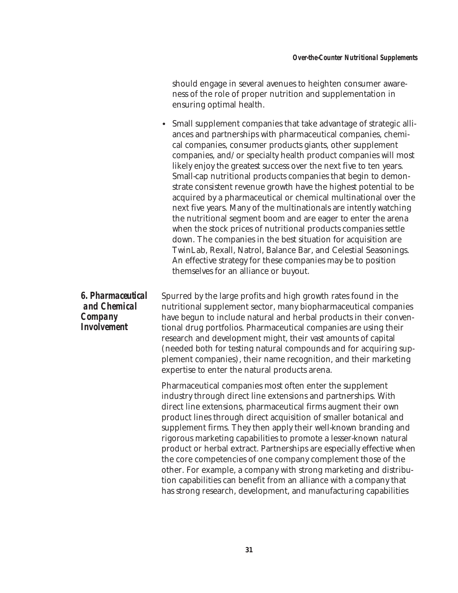should engage in several avenues to heighten consumer awareness of the role of proper nutrition and supplementation in ensuring optimal health.

• Small supplement companies that take advantage of strategic alliances and partnerships with pharmaceutical companies, chemical companies, consumer products giants, other supplement companies, and/or specialty health product companies will most likely enjoy the greatest success over the next five to ten years. Small-cap nutritional products companies that begin to demonstrate consistent revenue growth have the highest potential to be acquired by a pharmaceutical or chemical multinational over the next five years. Many of the multinationals are intently watching the nutritional segment boom and are eager to enter the arena when the stock prices of nutritional products companies settle down. The companies in the best situation for acquisition are TwinLab, Rexall, Natrol, Balance Bar, and Celestial Seasonings. An effective strategy for these companies may be to position themselves for an alliance or buyout.

Spurred by the large profits and high growth rates found in the nutritional supplement sector, many biopharmaceutical companies have begun to include natural and herbal products in their conventional drug portfolios. Pharmaceutical companies are using their research and development might, their vast amounts of capital (needed both for testing natural compounds and for acquiring supplement companies), their name recognition, and their marketing expertise to enter the natural products arena.

> Pharmaceutical companies most often enter the supplement industry through direct line extensions and partnerships. With direct line extensions, pharmaceutical firms augment their own product lines through direct acquisition of smaller botanical and supplement firms. They then apply their well-known branding and rigorous marketing capabilities to promote a lesser-known natural product or herbal extract. Partnerships are especially effective when the core competencies of one company complement those of the other. For example, a company with strong marketing and distribution capabilities can benefit from an alliance with a company that has strong research, development, and manufacturing capabilities

*6. Pharmaceutical and Chemical Company Involvement*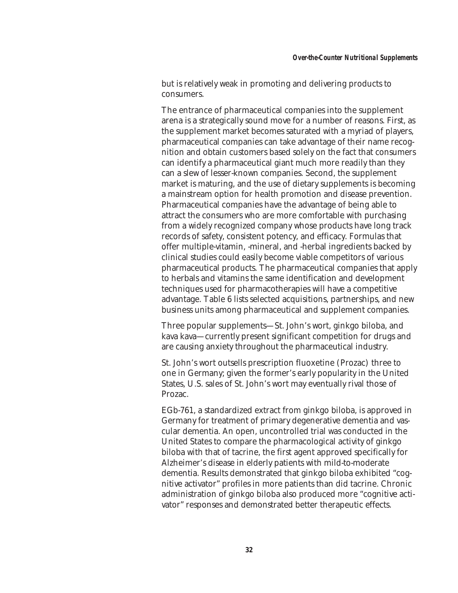but is relatively weak in promoting and delivering products to consumers.

The entrance of pharmaceutical companies into the supplement arena is a strategically sound move for a number of reasons. First, as the supplement market becomes saturated with a myriad of players, pharmaceutical companies can take advantage of their name recognition and obtain customers based solely on the fact that consumers can identify a pharmaceutical giant much more readily than they can a slew of lesser-known companies. Second, the supplement market is maturing, and the use of dietary supplements is becoming a mainstream option for health promotion and disease prevention. Pharmaceutical companies have the advantage of being able to attract the consumers who are more comfortable with purchasing from a widely recognized company whose products have long track records of safety, consistent potency, and efficacy. Formulas that offer multiple-vitamin, -mineral, and -herbal ingredients backed by clinical studies could easily become viable competitors of various pharmaceutical products. The pharmaceutical companies that apply to herbals and vitamins the same identification and development techniques used for pharmacotherapies will have a competitive advantage. Table 6 lists selected acquisitions, partnerships, and new business units among pharmaceutical and supplement companies.

Three popular supplements—St. John's wort, ginkgo biloba, and kava kava—currently present significant competition for drugs and are causing anxiety throughout the pharmaceutical industry.

St. John's wort outsells prescription fluoxetine (Prozac) three to one in Germany; given the former's early popularity in the United States, U.S. sales of St. John's wort may eventually rival those of Prozac.

EGb-761, a standardized extract from ginkgo biloba, is approved in Germany for treatment of primary degenerative dementia and vascular dementia. An open, uncontrolled trial was conducted in the United States to compare the pharmacological activity of ginkgo biloba with that of tacrine, the first agent approved specifically for Alzheimer's disease in elderly patients with mild-to-moderate dementia. Results demonstrated that ginkgo biloba exhibited "cognitive activator" profiles in more patients than did tacrine. Chronic administration of ginkgo biloba also produced more "cognitive activator" responses and demonstrated better therapeutic effects.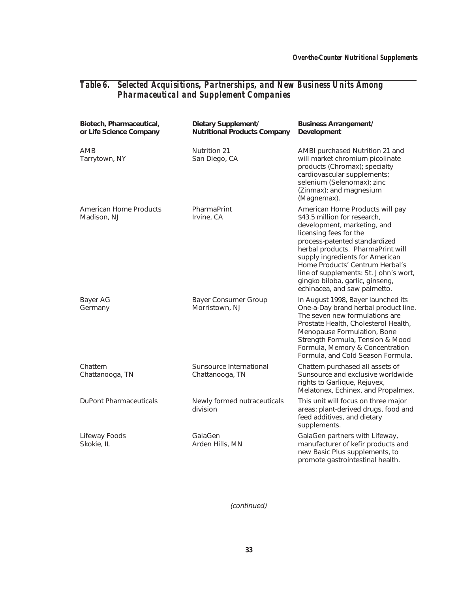#### *Table 6. Selected Acquisitions, Partnerships, and New Business Units Among Pharmaceutical and Supplement Companies*

| Biotech, Pharmaceutical,<br>or Life Science Company | Dietary Supplement/<br><b>Nutritional Products Company</b> | <b>Business Arrangement/</b><br>Development                                                                                                                                                                                                                                                                                                                                      |
|-----------------------------------------------------|------------------------------------------------------------|----------------------------------------------------------------------------------------------------------------------------------------------------------------------------------------------------------------------------------------------------------------------------------------------------------------------------------------------------------------------------------|
| AMB<br>Tarrytown, NY                                | <b>Nutrition 21</b><br>San Diego, CA                       | AMBI purchased Nutrition 21 and<br>will market chromium picolinate<br>products (Chromax); specialty<br>cardiovascular supplements;<br>selenium (Selenomax); zinc<br>(Zinmax); and magnesium<br>(Magnemax).                                                                                                                                                                       |
| American Home Products<br>Madison, NJ               | PharmaPrint<br>Irvine, CA                                  | American Home Products will pay<br>\$43.5 million for research,<br>development, marketing, and<br>licensing fees for the<br>process-patented standardized<br>herbal products. PharmaPrint will<br>supply ingredients for American<br>Home Products' Centrum Herbal's<br>line of supplements: St. John's wort,<br>gingko biloba, garlic, ginseng,<br>echinacea, and saw palmetto. |
| Bayer AG<br>Germany                                 | <b>Bayer Consumer Group</b><br>Morristown, NJ              | In August 1998, Bayer launched its<br>One-a-Day brand herbal product line.<br>The seven new formulations are<br>Prostate Health, Cholesterol Health,<br>Menopause Formulation, Bone<br>Strength Formula, Tension & Mood<br>Formula, Memory & Concentration<br>Formula, and Cold Season Formula.                                                                                  |
| Chattem<br>Chattanooga, TN                          | Sunsource International<br>Chattanooga, TN                 | Chattem purchased all assets of<br>Sunsource and exclusive worldwide<br>rights to Garlique, Rejuvex,<br>Melatonex, Echinex, and Propalmex.                                                                                                                                                                                                                                       |
| <b>DuPont Pharmaceuticals</b>                       | Newly formed nutraceuticals<br>division                    | This unit will focus on three major<br>areas: plant-derived drugs, food and<br>feed additives, and dietary<br>supplements.                                                                                                                                                                                                                                                       |
| Lifeway Foods<br>Skokie, IL                         | GalaGen<br>Arden Hills, MN                                 | GalaGen partners with Lifeway,<br>manufacturer of kefir products and<br>new Basic Plus supplements, to<br>promote gastrointestinal health.                                                                                                                                                                                                                                       |

(continued)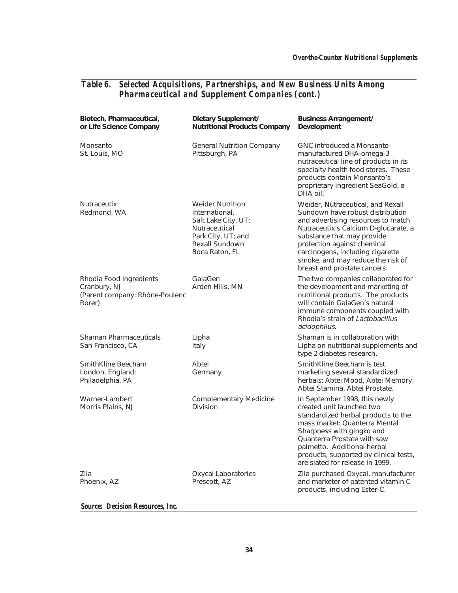#### *Table 6. Selected Acquisitions, Partnerships, and New Business Units Among Pharmaceutical and Supplement Companies (cont.)*

| Biotech, Pharmaceutical,<br>or Life Science Company                                 | Dietary Supplement/<br><b>Nutritional Products Company</b>                                                                                  | <b>Business Arrangement/</b><br>Development                                                                                                                                                                                                                                                                               |
|-------------------------------------------------------------------------------------|---------------------------------------------------------------------------------------------------------------------------------------------|---------------------------------------------------------------------------------------------------------------------------------------------------------------------------------------------------------------------------------------------------------------------------------------------------------------------------|
| Monsanto<br>St. Louis, MO                                                           | <b>General Nutrition Company</b><br>Pittsburgh, PA                                                                                          | <b>GNC introduced a Monsanto-</b><br>manufactured DHA-omega-3<br>nutraceutical line of products in its<br>specialty health food stores. These<br>products contain Monsanto's<br>proprietary ingredient SeaGold, a<br>DHA oil.                                                                                             |
| Nutraceutix<br>Redmond, WA                                                          | <b>Weider Nutrition</b><br>International.<br>Salt Lake City, UT;<br>Nutraceutical<br>Park City, UT; and<br>Rexall Sundown<br>Boca Raton, FL | Weider, Nutraceutical, and Rexall<br>Sundown have robust distribution<br>and advertising resources to match<br>Nutraceutix's Calcium D-glucarate, a<br>substance that may provide<br>protection against chemical<br>carcinogens, including cigarette<br>smoke, and may reduce the risk of<br>breast and prostate cancers. |
| Rhodia Food Ingredients<br>Cranbury, NJ<br>(Parent company: Rhône-Poulenc<br>Rorer) | GalaGen<br>Arden Hills, MN                                                                                                                  | The two companies collaborated for<br>the development and marketing of<br>nutritional products. The products<br>will contain GalaGen's natural<br>immune components coupled with<br>Rhodia's strain of Lactobacillus<br>acidophilus.                                                                                      |
| Shaman Pharmaceuticals<br>San Francisco, CA                                         | Lipha<br>Italy                                                                                                                              | Shaman is in collaboration with<br>Lipha on nutritional supplements and<br>type 2 diabetes research.                                                                                                                                                                                                                      |
| SmithKline Beecham<br>London, England;<br>Philadelphia, PA                          | Abtei<br>Germany                                                                                                                            | SmithKline Beecham is test<br>marketing several standardized<br>herbals: Abtei Mood, Abtei Memory,<br>Abtei Stamina, Abtei Prostate.                                                                                                                                                                                      |
| Warner-Lambert<br>Morris Plains, NJ                                                 | <b>Complementary Medicine</b><br>Division                                                                                                   | In September 1998, this newly<br>created unit launched two<br>standardized herbal products to the<br>mass market: Quanterra Mental<br>Sharpness with gingko and<br>Quanterra Prostate with saw<br>palmetto. Additional herbal<br>products, supported by clinical tests,<br>are slated for release in 1999.                |
| Zila<br>Phoenix, AZ                                                                 | Oxycal Laboratories<br>Prescott, AZ                                                                                                         | Zila purchased Oxycal, manufacturer<br>and marketer of patented vitamin C<br>products, including Ester-C.                                                                                                                                                                                                                 |

*Source: Decision Resources, Inc.*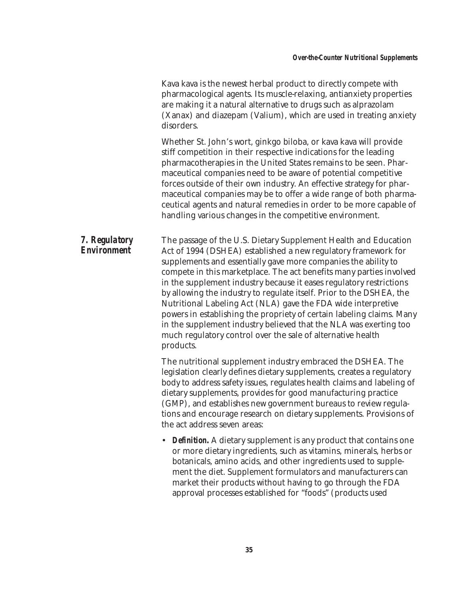Kava kava is the newest herbal product to directly compete with pharmacological agents. Its muscle-relaxing, antianxiety properties are making it a natural alternative to drugs such as alprazolam (Xanax) and diazepam (Valium), which are used in treating anxiety disorders. Whether St. John's wort, ginkgo biloba, or kava kava will provide stiff competition in their respective indications for the leading pharmacotherapies in the United States remains to be seen. Pharmaceutical companies need to be aware of potential competitive forces outside of their own industry. An effective strategy for pharmaceutical companies may be to offer a wide range of both pharmaceutical agents and natural remedies in order to be more capable of handling various changes in the competitive environment. *7. Regulatory Environment* The passage of the U.S. Dietary Supplement Health and Education Act of 1994 (DSHEA) established a new regulatory framework for supplements and essentially gave more companies the ability to compete in this marketplace. The act benefits many parties involved in the supplement industry because it eases regulatory restrictions by allowing the industry to regulate itself. Prior to the DSHEA, the Nutritional Labeling Act (NLA) gave the FDA wide interpretive powers in establishing the propriety of certain labeling claims. Many in the supplement industry believed that the NLA was exerting too much regulatory control over the sale of alternative health products.

The nutritional supplement industry embraced the DSHEA. The legislation clearly defines dietary supplements, creates a regulatory body to address safety issues, regulates health claims and labeling of dietary supplements, provides for good manufacturing practice (GMP), and establishes new government bureaus to review regulations and encourage research on dietary supplements. Provisions of the act address seven areas:

• **Definition.** A dietary supplement is any product that contains one or more dietary ingredients, such as vitamins, minerals, herbs or botanicals, amino acids, and other ingredients used to supplement the diet. Supplement formulators and manufacturers can market their products without having to go through the FDA approval processes established for "foods" (products used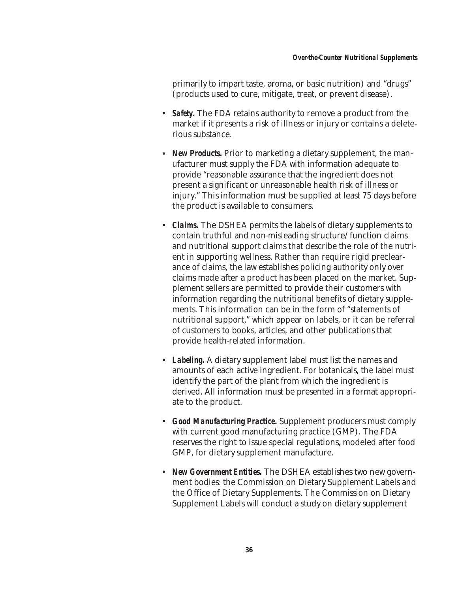primarily to impart taste, aroma, or basic nutrition) and "drugs" (products used to cure, mitigate, treat, or prevent disease).

- *Safety***.** The FDA retains authority to remove a product from the market if it presents a risk of illness or injury or contains a deleterious substance.
- *New Products*. Prior to marketing a dietary supplement, the manufacturer must supply the FDA with information adequate to provide "reasonable assurance that the ingredient does not present a significant or unreasonable health risk of illness or injury." This information must be supplied at least 75 days before the product is available to consumers.
- *Claims.* The DSHEA permits the labels of dietary supplements to contain truthful and non-misleading structure/function claims and nutritional support claims that describe the role of the nutrient in supporting wellness. Rather than require rigid preclearance of claims, the law establishes policing authority only over claims made after a product has been placed on the market. Supplement sellers are permitted to provide their customers with information regarding the nutritional benefits of dietary supplements. This information can be in the form of "statements of nutritional support," which appear on labels, or it can be referral of customers to books, articles, and other publications that provide health-related information.
- *Labeling***.** A dietary supplement label must list the names and amounts of each active ingredient. For botanicals, the label must identify the part of the plant from which the ingredient is derived. All information must be presented in a format appropriate to the product.
- *Good Manufacturing Practice***.** Supplement producers must comply with current good manufacturing practice (GMP). The FDA reserves the right to issue special regulations, modeled after food GMP, for dietary supplement manufacture.
- *New Government Entities*. The DSHEA establishes two new government bodies: the Commission on Dietary Supplement Labels and the Office of Dietary Supplements. The Commission on Dietary Supplement Labels will conduct a study on dietary supplement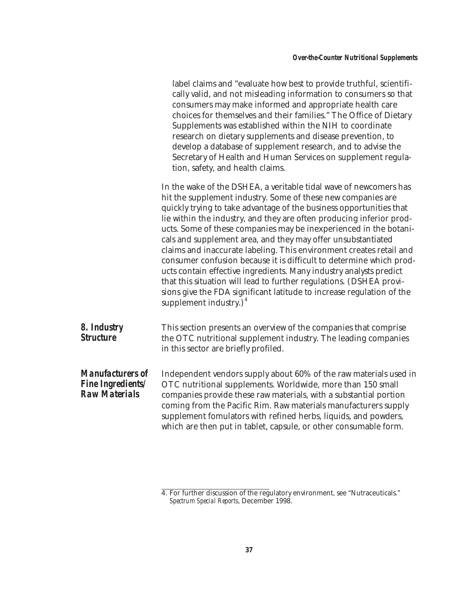|                                                                             | label claims and "evaluate how best to provide truthful, scientifi-<br>cally valid, and not misleading information to consumers so that<br>consumers may make informed and appropriate health care<br>choices for themselves and their families." The Office of Dietary<br>Supplements was established within the NIH to coordinate<br>research on dietary supplements and disease prevention, to<br>develop a database of supplement research, and to advise the<br>Secretary of Health and Human Services on supplement regula-<br>tion, safety, and health claims.                                                                                                                                                                                                                                                  |
|-----------------------------------------------------------------------------|------------------------------------------------------------------------------------------------------------------------------------------------------------------------------------------------------------------------------------------------------------------------------------------------------------------------------------------------------------------------------------------------------------------------------------------------------------------------------------------------------------------------------------------------------------------------------------------------------------------------------------------------------------------------------------------------------------------------------------------------------------------------------------------------------------------------|
|                                                                             | In the wake of the DSHEA, a veritable tidal wave of newcomers has<br>hit the supplement industry. Some of these new companies are<br>quickly trying to take advantage of the business opportunities that<br>lie within the industry, and they are often producing inferior prod-<br>ucts. Some of these companies may be inexperienced in the botani-<br>cals and supplement area, and they may offer unsubstantiated<br>claims and inaccurate labeling. This environment creates retail and<br>consumer confusion because it is difficult to determine which prod-<br>ucts contain effective ingredients. Many industry analysts predict<br>that this situation will lead to further regulations. (DSHEA provi-<br>sions give the FDA significant latitude to increase regulation of the<br>supplement industry.) $4$ |
| 8. Industry<br><b>Structure</b>                                             | This section presents an overview of the companies that comprise<br>the OTC nutritional supplement industry. The leading companies<br>in this sector are briefly profiled.                                                                                                                                                                                                                                                                                                                                                                                                                                                                                                                                                                                                                                             |
| <b>Manufacturers of</b><br><b>Fine Ingredients/</b><br><b>Raw Materials</b> | Independent vendors supply about 60% of the raw materials used in<br>OTC nutritional supplements. Worldwide, more than 150 small<br>companies provide these raw materials, with a substantial portion<br>coming from the Pacific Rim. Raw materials manufacturers supply<br>supplement fomulators with refined herbs, liquids, and powders,<br>which are then put in tablet, capsule, or other consumable form.                                                                                                                                                                                                                                                                                                                                                                                                        |
|                                                                             |                                                                                                                                                                                                                                                                                                                                                                                                                                                                                                                                                                                                                                                                                                                                                                                                                        |

<sup>4.</sup> For further discussion of the regulatory environment, see "Nutraceuticals." *Spectrum Special Reports*, December 1998.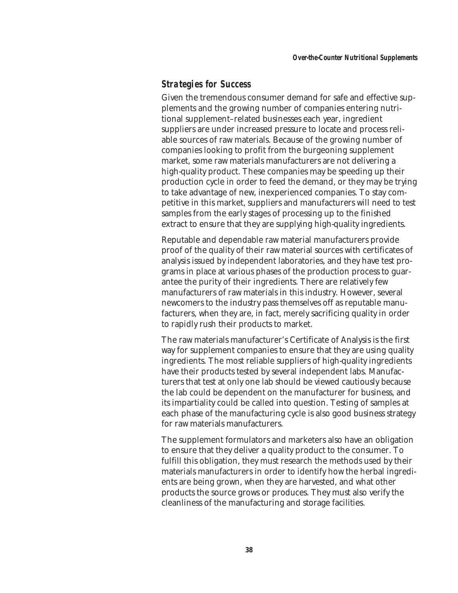#### *Strategies for Success*

Given the tremendous consumer demand for safe and effective supplements and the growing number of companies entering nutritional supplement–related businesses each year, ingredient suppliers are under increased pressure to locate and process reliable sources of raw materials. Because of the growing number of companies looking to profit from the burgeoning supplement market, some raw materials manufacturers are not delivering a high-quality product. These companies may be speeding up their production cycle in order to feed the demand, or they may be trying to take advantage of new, inexperienced companies. To stay competitive in this market, suppliers and manufacturers will need to test samples from the early stages of processing up to the finished extract to ensure that they are supplying high-quality ingredients.

Reputable and dependable raw material manufacturers provide proof of the quality of their raw material sources with certificates of analysis issued by independent laboratories, and they have test programs in place at various phases of the production process to guarantee the purity of their ingredients. There are relatively few manufacturers of raw materials in this industry. However, several newcomers to the industry pass themselves off as reputable manufacturers, when they are, in fact, merely sacrificing quality in order to rapidly rush their products to market.

The raw materials manufacturer's Certificate of Analysis is the first way for supplement companies to ensure that they are using quality ingredients. The most reliable suppliers of high-quality ingredients have their products tested by several independent labs. Manufacturers that test at only one lab should be viewed cautiously because the lab could be dependent on the manufacturer for business, and its impartiality could be called into question. Testing of samples at each phase of the manufacturing cycle is also good business strategy for raw materials manufacturers.

The supplement formulators and marketers also have an obligation to ensure that they deliver a quality product to the consumer. To fulfill this obligation, they must research the methods used by their materials manufacturers in order to identify how the herbal ingredients are being grown, when they are harvested, and what other products the source grows or produces. They must also verify the cleanliness of the manufacturing and storage facilities.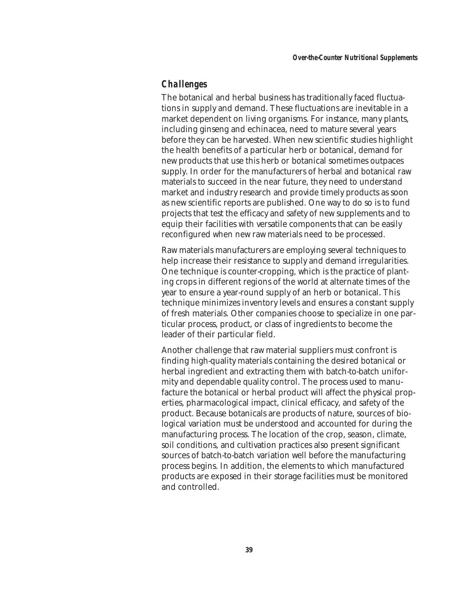## *Challenges*

The botanical and herbal business has traditionally faced fluctuations in supply and demand. These fluctuations are inevitable in a market dependent on living organisms. For instance, many plants, including ginseng and echinacea, need to mature several years before they can be harvested. When new scientific studies highlight the health benefits of a particular herb or botanical, demand for new products that use this herb or botanical sometimes outpaces supply. In order for the manufacturers of herbal and botanical raw materials to succeed in the near future, they need to understand market and industry research and provide timely products as soon as new scientific reports are published. One way to do so is to fund projects that test the efficacy and safety of new supplements and to equip their facilities with versatile components that can be easily reconfigured when new raw materials need to be processed.

Raw materials manufacturers are employing several techniques to help increase their resistance to supply and demand irregularities. One technique is counter-cropping, which is the practice of planting crops in different regions of the world at alternate times of the year to ensure a year-round supply of an herb or botanical. This technique minimizes inventory levels and ensures a constant supply of fresh materials. Other companies choose to specialize in one particular process, product, or class of ingredients to become the leader of their particular field.

Another challenge that raw material suppliers must confront is finding high-quality materials containing the desired botanical or herbal ingredient and extracting them with batch-to-batch uniformity and dependable quality control. The process used to manufacture the botanical or herbal product will affect the physical properties, pharmacological impact, clinical efficacy, and safety of the product. Because botanicals are products of nature, sources of biological variation must be understood and accounted for during the manufacturing process. The location of the crop, season, climate, soil conditions, and cultivation practices also present significant sources of batch-to-batch variation well before the manufacturing process begins. In addition, the elements to which manufactured products are exposed in their storage facilities must be monitored and controlled.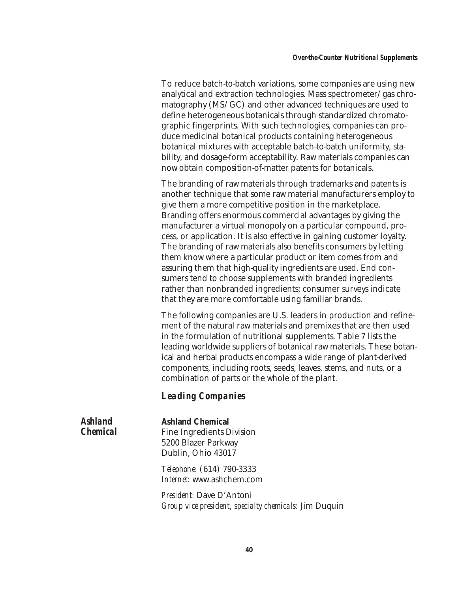To reduce batch-to-batch variations, some companies are using new analytical and extraction technologies. Mass spectrometer/gas chromatography (MS/GC) and other advanced techniques are used to define heterogeneous botanicals through standardized chromatographic fingerprints. With such technologies, companies can produce medicinal botanical products containing heterogeneous botanical mixtures with acceptable batch-to-batch uniformity, stability, and dosage-form acceptability. Raw materials companies can now obtain composition-of-matter patents for botanicals.

The branding of raw materials through trademarks and patents is another technique that some raw material manufacturers employ to give them a more competitive position in the marketplace. Branding offers enormous commercial advantages by giving the manufacturer a virtual monopoly on a particular compound, process, or application. It is also effective in gaining customer loyalty. The branding of raw materials also benefits consumers by letting them know where a particular product or item comes from and assuring them that high-quality ingredients are used. End consumers tend to choose supplements with branded ingredients rather than nonbranded ingredients; consumer surveys indicate that they are more comfortable using familiar brands.

The following companies are U.S. leaders in production and refinement of the natural raw materials and premixes that are then used in the formulation of nutritional supplements. Table 7 lists the leading worldwide suppliers of botanical raw materials. These botanical and herbal products encompass a wide range of plant-derived components, including roots, seeds, leaves, stems, and nuts, or a combination of parts or the whole of the plant.

## *Leading Companies*

*Ashland Chemical*

#### **Ashland Chemical**

Fine Ingredients Division 5200 Blazer Parkway Dublin, Ohio 43017

*Telephone:* (614) 790-3333 *Internet:* www.ashchem.com

*President:* Dave D'Antoni *Group vice president, specialty chemicals:* Jim Duquin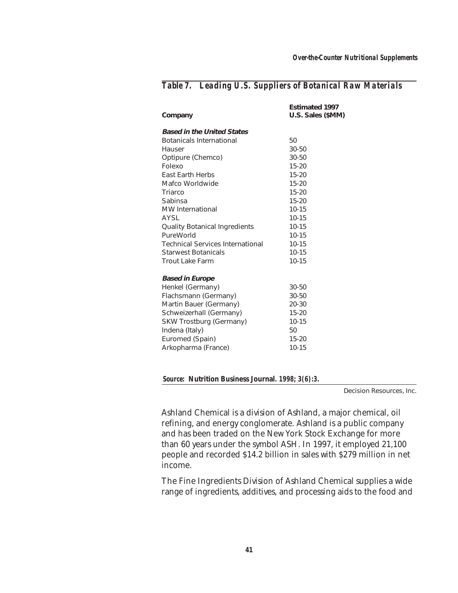| Company                                 | <b>Estimated 1997</b><br>U.S. Sales (\$MM) |
|-----------------------------------------|--------------------------------------------|
| <b>Based in the United States</b>       |                                            |
| <b>Botanicals International</b>         | 50                                         |
| Hauser                                  | $30 - 50$                                  |
| Optipure (Chemco)                       | $30 - 50$                                  |
| Folexo                                  | $15 - 20$                                  |
| <b>East Earth Herbs</b>                 | $15 - 20$                                  |
| Mafco Worldwide                         | $15 - 20$                                  |
| Triarco                                 | $15 - 20$                                  |
| Sabinsa                                 | $15 - 20$                                  |
| <b>MW</b> International                 | $10 - 15$                                  |
| AYSL                                    | $10 - 15$                                  |
| <b>Quality Botanical Ingredients</b>    | $10 - 15$                                  |
| PureWorld                               | $10 - 15$                                  |
| <b>Technical Services International</b> | $10 - 15$                                  |
| <b>Starwest Botanicals</b>              | $10 - 15$                                  |
| Trout Lake Farm                         | $10 - 15$                                  |
| <b>Based in Europe</b>                  |                                            |
| Henkel (Germany)                        | 30-50                                      |
| Flachsmann (Germany)                    | 30-50                                      |
| Martin Bauer (Germany)                  | $20 - 30$                                  |
| Schweizerhall (Germany)                 | $15 - 20$                                  |
| SKW Trostburg (Germany)                 | $10 - 15$                                  |
| Indena (Italy)                          | 50                                         |
| Euromed (Spain)                         | $15 - 20$                                  |
| Arkopharma (France)                     | $10 - 15$                                  |

## *Table 7. Leading U.S. Suppliers of Botanical Raw Materials*

*Source:* **Nutrition Business Journal***. 1998; 3(6):3.*

Decision Resources, Inc.

Ashland Chemical is a division of Ashland, a major chemical, oil refining, and energy conglomerate. Ashland is a public company and has been traded on the New York Stock Exchange for more than 60 years under the symbol ASH. In 1997, it employed 21,100 people and recorded \$14.2 billion in sales with \$279 million in net income.

The Fine Ingredients Division of Ashland Chemical supplies a wide range of ingredients, additives, and processing aids to the food and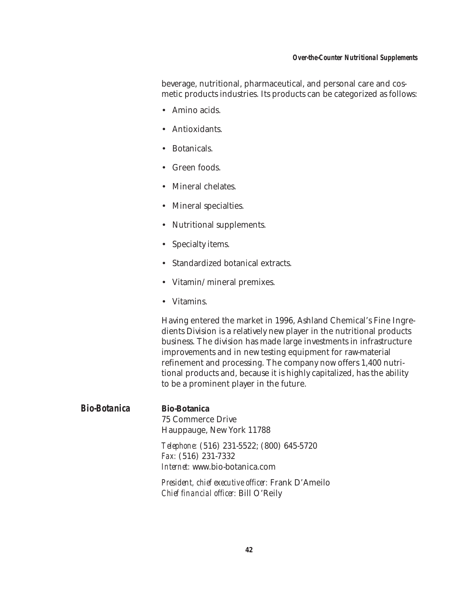#### *Over-the-Counter Nutritional Supplements*

beverage, nutritional, pharmaceutical, and personal care and cosmetic products industries. Its products can be categorized as follows:

- Amino acids.
- Antioxidants.
- Botanicals.
- Green foods.
- Mineral chelates.
- Mineral specialties.
- Nutritional supplements.
- Specialty items.
- Standardized botanical extracts.
- Vitamin/mineral premixes.
- Vitamins.

Having entered the market in 1996, Ashland Chemical's Fine Ingredients Division is a relatively new player in the nutritional products business. The division has made large investments in infrastructure improvements and in new testing equipment for raw-material refinement and processing. The company now offers 1,400 nutritional products and, because it is highly capitalized, has the ability to be a prominent player in the future.

#### *Bio-Botanica* **Bio-Botanica**

75 Commerce Drive Hauppauge, New York 11788

*Telephone:* (516) 231-5522; (800) 645-5720 *Fax:* (516) 231-7332 *Internet:* www.bio-botanica.com

*President, chief executive officer:* Frank D'Ameilo *Chief financial officer:* Bill O'Reily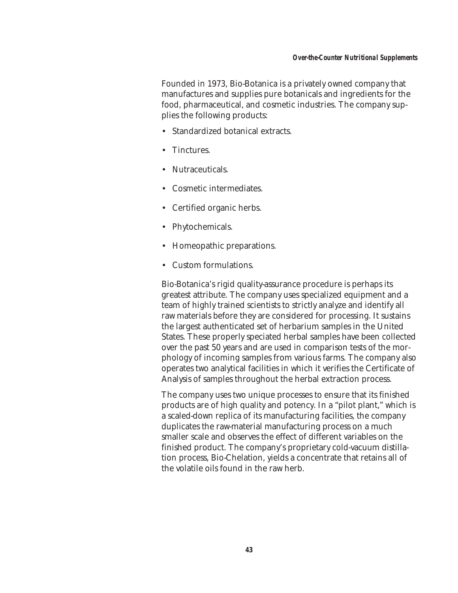Founded in 1973, Bio-Botanica is a privately owned company that manufactures and supplies pure botanicals and ingredients for the food, pharmaceutical, and cosmetic industries. The company supplies the following products:

- Standardized botanical extracts.
- Tinctures.
- Nutraceuticals.
- Cosmetic intermediates.
- Certified organic herbs.
- Phytochemicals.
- Homeopathic preparations.
- Custom formulations.

Bio-Botanica's rigid quality-assurance procedure is perhaps its greatest attribute. The company uses specialized equipment and a team of highly trained scientists to strictly analyze and identify all raw materials before they are considered for processing. It sustains the largest authenticated set of herbarium samples in the United States. These properly speciated herbal samples have been collected over the past 50 years and are used in comparison tests of the morphology of incoming samples from various farms. The company also operates two analytical facilities in which it verifies the Certificate of Analysis of samples throughout the herbal extraction process.

The company uses two unique processes to ensure that its finished products are of high quality and potency. In a "pilot plant," which is a scaled-down replica of its manufacturing facilities, the company duplicates the raw-material manufacturing process on a much smaller scale and observes the effect of different variables on the finished product. The company's proprietary cold-vacuum distillation process, Bio-Chelation, yields a concentrate that retains all of the volatile oils found in the raw herb.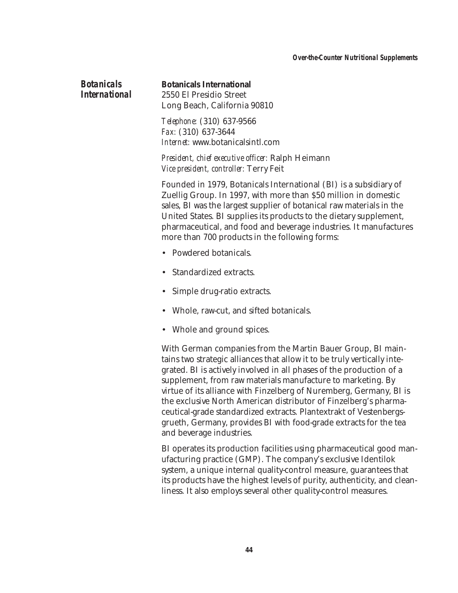#### *Botanicals International*

#### **Botanicals International**

2550 El Presidio Street Long Beach, California 90810

*Telephone:* (310) 637-9566 *Fax:* (310) 637-3644 *Internet:* www.botanicalsintl.com

*President, chief executive officer:* Ralph Heimann *Vice president, controller:* Terry Feit

Founded in 1979, Botanicals International (BI) is a subsidiary of Zuellig Group. In 1997, with more than \$50 million in domestic sales, BI was the largest supplier of botanical raw materials in the United States. BI supplies its products to the dietary supplement, pharmaceutical, and food and beverage industries. It manufactures more than 700 products in the following forms:

- Powdered botanicals.
- Standardized extracts.
- Simple drug-ratio extracts.
- Whole, raw-cut, and sifted botanicals.
- Whole and ground spices.

With German companies from the Martin Bauer Group, BI maintains two strategic alliances that allow it to be truly vertically integrated. BI is actively involved in all phases of the production of a supplement, from raw materials manufacture to marketing. By virtue of its alliance with Finzelberg of Nuremberg, Germany, BI is the exclusive North American distributor of Finzelberg's pharmaceutical-grade standardized extracts. Plantextrakt of Vestenbergsgrueth, Germany, provides BI with food-grade extracts for the tea and beverage industries.

BI operates its production facilities using pharmaceutical good manufacturing practice (GMP). The company's exclusive Identilok system, a unique internal quality-control measure, guarantees that its products have the highest levels of purity, authenticity, and cleanliness. It also employs several other quality-control measures.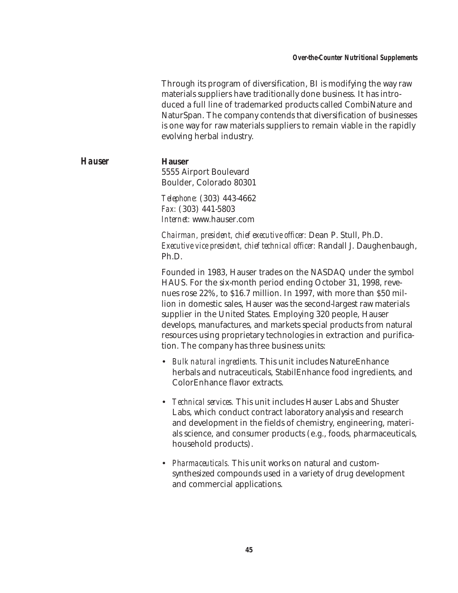Through its program of diversification, BI is modifying the way raw materials suppliers have traditionally done business. It has introduced a full line of trademarked products called CombiNature and NaturSpan. The company contends that diversification of businesses is one way for raw materials suppliers to remain viable in the rapidly evolving herbal industry.

*Hauser* **Hauser** 5555 Airport Boulevard Boulder, Colorado 80301

> *Telephone:* (303) 443-4662 *Fax:* (303) 441-5803 *Internet:* www.hauser.com

*Chairman, president, chief executive officer:* Dean P. Stull, Ph.D. *Executive vice president, chief technical officer:* Randall J. Daughenbaugh, Ph.D.

Founded in 1983, Hauser trades on the NASDAQ under the symbol HAUS. For the six-month period ending October 31, 1998, revenues rose 22%, to \$16.7 million. In 1997, with more than \$50 million in domestic sales, Hauser was the second-largest raw materials supplier in the United States. Employing 320 people, Hauser develops, manufactures, and markets special products from natural resources using proprietary technologies in extraction and purification. The company has three business units:

- *Bulk natural ingredients.* This unit includes NatureEnhance herbals and nutraceuticals, StabilEnhance food ingredients, and ColorEnhance flavor extracts.
- *Technical services.* This unit includes Hauser Labs and Shuster Labs, which conduct contract laboratory analysis and research and development in the fields of chemistry, engineering, materials science, and consumer products (e.g., foods, pharmaceuticals, household products).
- *Pharmaceuticals.* This unit works on natural and customsynthesized compounds used in a variety of drug development and commercial applications.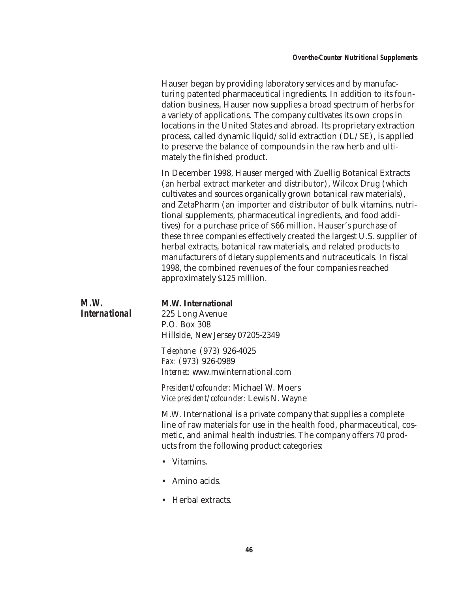Hauser began by providing laboratory services and by manufacturing patented pharmaceutical ingredients. In addition to its foundation business, Hauser now supplies a broad spectrum of herbs for a variety of applications. The company cultivates its own crops in locations in the United States and abroad. Its proprietary extraction process, called dynamic liquid/solid extraction (DL/SE), is applied to preserve the balance of compounds in the raw herb and ultimately the finished product.

In December 1998, Hauser merged with Zuellig Botanical Extracts (an herbal extract marketer and distributor), Wilcox Drug (which cultivates and sources organically grown botanical raw materials), and ZetaPharm (an importer and distributor of bulk vitamins, nutritional supplements, pharmaceutical ingredients, and food additives) for a purchase price of \$66 million. Hauser's purchase of these three companies effectively created the largest U.S. supplier of herbal extracts, botanical raw materials, and related products to manufacturers of dietary supplements and nutraceuticals. In fiscal 1998, the combined revenues of the four companies reached approximately \$125 million.

| M.W.<br><i><b>International</b></i> | <b>M.W. International</b><br>225 Long Avenue<br>P.O. Box 308<br>Hillside, New Jersey 07205-2349                                                                                                                                                               |
|-------------------------------------|---------------------------------------------------------------------------------------------------------------------------------------------------------------------------------------------------------------------------------------------------------------|
|                                     | <i>Telephone:</i> (973) 926-4025<br>Fax: (973) 926-0989<br><i>Internet:</i> www.mwinternational.com                                                                                                                                                           |
|                                     | <i>President/cofounder:</i> Michael W. Moers<br><i>Vice president/cofounder:</i> Lewis N. Wayne                                                                                                                                                               |
|                                     | M.W. International is a private company that supplies a complete<br>line of raw materials for use in the health food, pharmaceutical, cos-<br>metic, and animal health industries. The company offers 70 prod-<br>ucts from the following product categories: |

- Vitamins.
- Amino acids.
- Herbal extracts.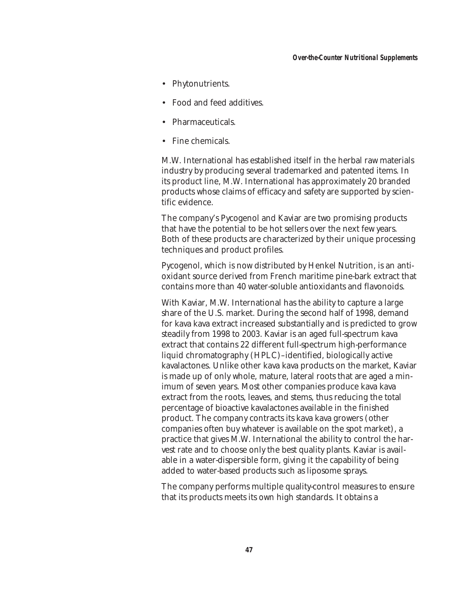- Phytonutrients.
- Food and feed additives.
- Pharmaceuticals.
- Fine chemicals.

M.W. International has established itself in the herbal raw materials industry by producing several trademarked and patented items. In its product line, M.W. International has approximately 20 branded products whose claims of efficacy and safety are supported by scientific evidence.

The company's Pycogenol and Kaviar are two promising products that have the potential to be hot sellers over the next few years. Both of these products are characterized by their unique processing techniques and product profiles.

Pycogenol, which is now distributed by Henkel Nutrition, is an antioxidant source derived from French maritime pine-bark extract that contains more than 40 water-soluble antioxidants and flavonoids.

With Kaviar, M.W. International has the ability to capture a large share of the U.S. market. During the second half of 1998, demand for kava kava extract increased substantially and is predicted to grow steadily from 1998 to 2003. Kaviar is an aged full-spectrum kava extract that contains 22 different full-spectrum high-performance liquid chromatography (HPLC)–identified, biologically active kavalactones. Unlike other kava kava products on the market, Kaviar is made up of only whole, mature, lateral roots that are aged a minimum of seven years. Most other companies produce kava kava extract from the roots, leaves, and stems, thus reducing the total percentage of bioactive kavalactones available in the finished product. The company contracts its kava kava growers (other companies often buy whatever is available on the spot market), a practice that gives M.W. International the ability to control the harvest rate and to choose only the best quality plants. Kaviar is available in a water-dispersible form, giving it the capability of being added to water-based products such as liposome sprays.

The company performs multiple quality-control measures to ensure that its products meets its own high standards. It obtains a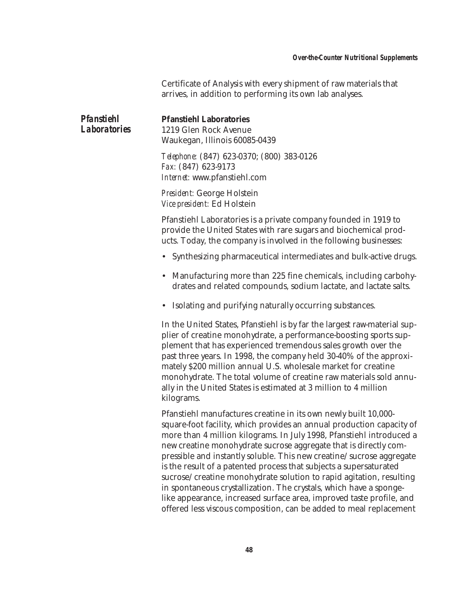Certificate of Analysis with every shipment of raw materials that arrives, in addition to performing its own lab analyses.

| Pfanstiehl<br><b>Laboratories</b> | <b>Pfanstiehl Laboratories</b><br>1219 Glen Rock Avenue<br>Waukegan, Illinois 60085-0439                                                                                                                                                                                                                                                                                                                                                                                                                       |
|-----------------------------------|----------------------------------------------------------------------------------------------------------------------------------------------------------------------------------------------------------------------------------------------------------------------------------------------------------------------------------------------------------------------------------------------------------------------------------------------------------------------------------------------------------------|
|                                   | Telephone: (847) 623-0370; (800) 383-0126<br>Fax: (847) 623-9173<br>Internet: www.pfanstiehl.com                                                                                                                                                                                                                                                                                                                                                                                                               |
|                                   | President: George Holstein<br>Vice president: Ed Holstein                                                                                                                                                                                                                                                                                                                                                                                                                                                      |
|                                   | Pfanstiehl Laboratories is a private company founded in 1919 to<br>provide the United States with rare sugars and biochemical prod-<br>ucts. Today, the company is involved in the following businesses:                                                                                                                                                                                                                                                                                                       |
|                                   | • Synthesizing pharmaceutical intermediates and bulk-active drugs.                                                                                                                                                                                                                                                                                                                                                                                                                                             |
|                                   | Manufacturing more than 225 fine chemicals, including carbohy-<br>drates and related compounds, sodium lactate, and lactate salts.                                                                                                                                                                                                                                                                                                                                                                             |
|                                   | • Isolating and purifying naturally occurring substances.                                                                                                                                                                                                                                                                                                                                                                                                                                                      |
|                                   | In the United States, Pfanstiehl is by far the largest raw-material sup-<br>plier of creatine monohydrate, a performance-boosting sports sup-<br>plement that has experienced tremendous sales growth over the<br>past three years. In 1998, the company held 30-40% of the approxi-<br>mately \$200 million annual U.S. wholesale market for creatine<br>monohydrate. The total volume of creatine raw materials sold annu-<br>ally in the United States is estimated at 3 million to 4 million<br>kilograms. |
|                                   | Pfanstiehl manufactures creatine in its own newly built 10,000-<br>a facet facility, which is seend due are accessed more directions accessible of                                                                                                                                                                                                                                                                                                                                                             |

square-foot facility, which provides an annual production capacity of more than 4 million kilograms. In July 1998, Pfanstiehl introduced a new creatine monohydrate sucrose aggregate that is directly compressible and instantly soluble. This new creatine/sucrose aggregate is the result of a patented process that subjects a supersaturated sucrose/creatine monohydrate solution to rapid agitation, resulting in spontaneous crystallization. The crystals, which have a spongelike appearance, increased surface area, improved taste profile, and offered less viscous composition, can be added to meal replacement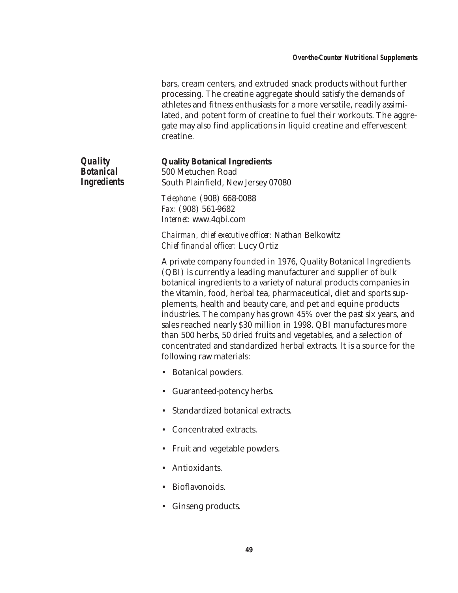bars, cream centers, and extruded snack products without further processing. The creatine aggregate should satisfy the demands of athletes and fitness enthusiasts for a more versatile, readily assimilated, and potent form of creatine to fuel their workouts. The aggregate may also find applications in liquid creatine and effervescent creatine.

*Quality Botanical Ingredients*

#### **Quality Botanical Ingredients**

500 Metuchen Road South Plainfield, New Jersey 07080

*Telephone:* (908) 668-0088 *Fax:* (908) 561-9682 *Internet:* www.4qbi.com

*Chairman, chief executive officer:* Nathan Belkowitz *Chief financial officer:* Lucy Ortiz

A private company founded in 1976, Quality Botanical Ingredients (QBI) is currently a leading manufacturer and supplier of bulk botanical ingredients to a variety of natural products companies in the vitamin, food, herbal tea, pharmaceutical, diet and sports supplements, health and beauty care, and pet and equine products industries. The company has grown 45% over the past six years, and sales reached nearly \$30 million in 1998. QBI manufactures more than 500 herbs, 50 dried fruits and vegetables, and a selection of concentrated and standardized herbal extracts. It is a source for the following raw materials:

- Botanical powders.
- Guaranteed-potency herbs.
- Standardized botanical extracts.
- Concentrated extracts.
- Fruit and vegetable powders.
- Antioxidants.
- Bioflavonoids.
- Ginseng products.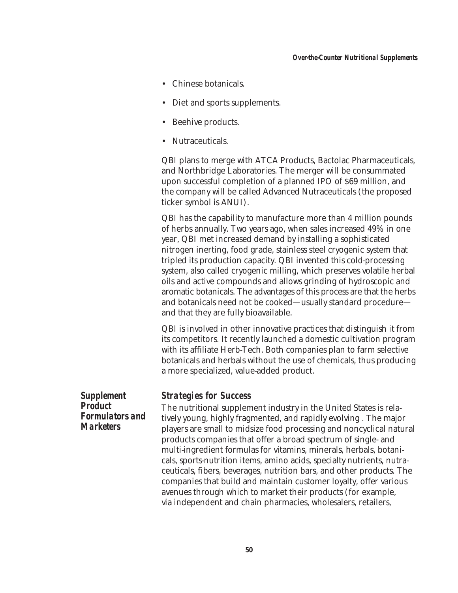- Chinese botanicals.
- Diet and sports supplements.
- Beehive products.
- Nutraceuticals.

QBI plans to merge with ATCA Products, Bactolac Pharmaceuticals, and Northbridge Laboratories. The merger will be consummated upon successful completion of a planned IPO of \$69 million, and the company will be called Advanced Nutraceuticals (the proposed ticker symbol is ANUI).

QBI has the capability to manufacture more than 4 million pounds of herbs annually. Two years ago, when sales increased 49% in one year, QBI met increased demand by installing a sophisticated nitrogen inerting, food grade, stainless steel cryogenic system that tripled its production capacity. QBI invented this cold-processing system, also called cryogenic milling, which preserves volatile herbal oils and active compounds and allows grinding of hydroscopic and aromatic botanicals. The advantages of this process are that the herbs and botanicals need not be cooked—usually standard procedure and that they are fully bioavailable.

QBI is involved in other innovative practices that distinguish it from its competitors. It recently launched a domestic cultivation program with its affiliate Herb-Tech. Both companies plan to farm selective botanicals and herbals without the use of chemicals, thus producing a more specialized, value-added product.

*Supplement Product Formulators and Marketers*

#### *Strategies for Success*

The nutritional supplement industry in the United States is relatively young, highly fragmented, and rapidly evolving . The major players are small to midsize food processing and noncyclical natural products companies that offer a broad spectrum of single- and multi-ingredient formulas for vitamins, minerals, herbals, botanicals, sports-nutrition items, amino acids, specialty nutrients, nutraceuticals, fibers, beverages, nutrition bars, and other products. The companies that build and maintain customer loyalty, offer various avenues through which to market their products (for example, via independent and chain pharmacies, wholesalers, retailers,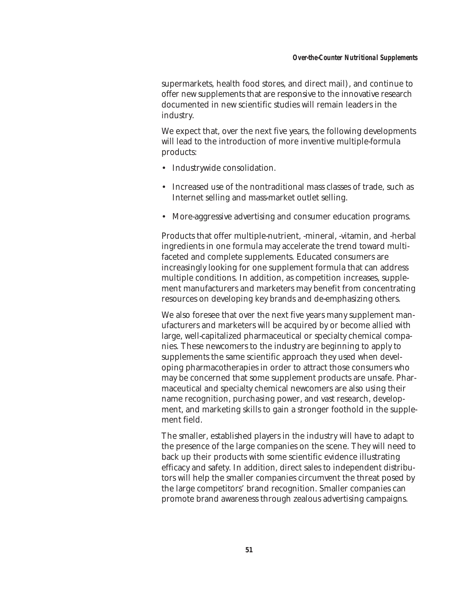supermarkets, health food stores, and direct mail), and continue to offer new supplements that are responsive to the innovative research documented in new scientific studies will remain leaders in the industry.

We expect that, over the next five years, the following developments will lead to the introduction of more inventive multiple-formula products:

- Industrywide consolidation.
- Increased use of the nontraditional mass classes of trade, such as Internet selling and mass-market outlet selling.
- More-aggressive advertising and consumer education programs.

Products that offer multiple-nutrient, -mineral, -vitamin, and -herbal ingredients in one formula may accelerate the trend toward multifaceted and complete supplements. Educated consumers are increasingly looking for one supplement formula that can address multiple conditions. In addition, as competition increases, supplement manufacturers and marketers may benefit from concentrating resources on developing key brands and de-emphasizing others.

We also foresee that over the next five years many supplement manufacturers and marketers will be acquired by or become allied with large, well-capitalized pharmaceutical or specialty chemical companies. These newcomers to the industry are beginning to apply to supplements the same scientific approach they used when developing pharmacotherapies in order to attract those consumers who may be concerned that some supplement products are unsafe. Pharmaceutical and specialty chemical newcomers are also using their name recognition, purchasing power, and vast research, development, and marketing skills to gain a stronger foothold in the supplement field.

The smaller, established players in the industry will have to adapt to the presence of the large companies on the scene. They will need to back up their products with some scientific evidence illustrating efficacy and safety. In addition, direct sales to independent distributors will help the smaller companies circumvent the threat posed by the large competitors' brand recognition. Smaller companies can promote brand awareness through zealous advertising campaigns.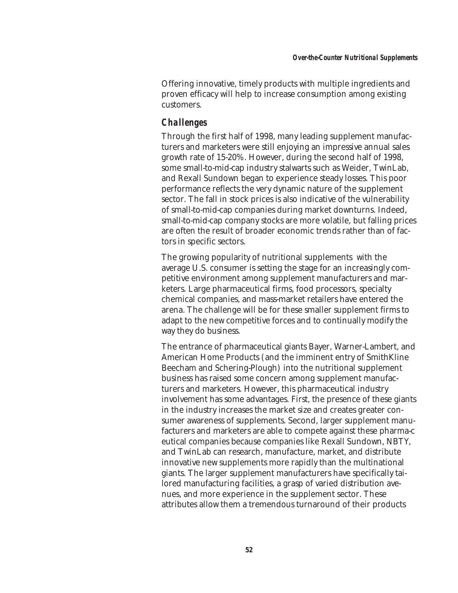Offering innovative, timely products with multiple ingredients and proven efficacy will help to increase consumption among existing customers.

# *Challenges*

Through the first half of 1998, many leading supplement manufacturers and marketers were still enjoying an impressive annual sales growth rate of 15-20%. However, during the second half of 1998, some small-to-mid-cap industry stalwarts such as Weider, TwinLab, and Rexall Sundown began to experience steady losses. This poor performance reflects the very dynamic nature of the supplement sector. The fall in stock prices is also indicative of the vulnerability of small-to-mid-cap companies during market downturns. Indeed, small-to-mid-cap company stocks are more volatile, but falling prices are often the result of broader economic trends rather than of factors in specific sectors.

The growing popularity of nutritional supplements with the average U.S. consumer is setting the stage for an increasingly competitive environment among supplement manufacturers and marketers. Large pharmaceutical firms, food processors, specialty chemical companies, and mass-market retailers have entered the arena. The challenge will be for these smaller supplement firms to adapt to the new competitive forces and to continually modify the way they do business.

The entrance of pharmaceutical giants Bayer, Warner-Lambert, and American Home Products (and the imminent entry of SmithKline Beecham and Schering-Plough) into the nutritional supplement business has raised some concern among supplement manufacturers and marketers. However, this pharmaceutical industry involvement has some advantages. First, the presence of these giants in the industry increases the market size and creates greater consumer awareness of supplements. Second, larger supplement manufacturers and marketers are able to compete against these pharma-c eutical companies because companies like Rexall Sundown, NBTY, and TwinLab can research, manufacture, market, and distribute innovative new supplements more rapidly than the multinational giants. The larger supplement manufacturers have specifically tailored manufacturing facilities, a grasp of varied distribution avenues, and more experience in the supplement sector. These attributes allow them a tremendous turnaround of their products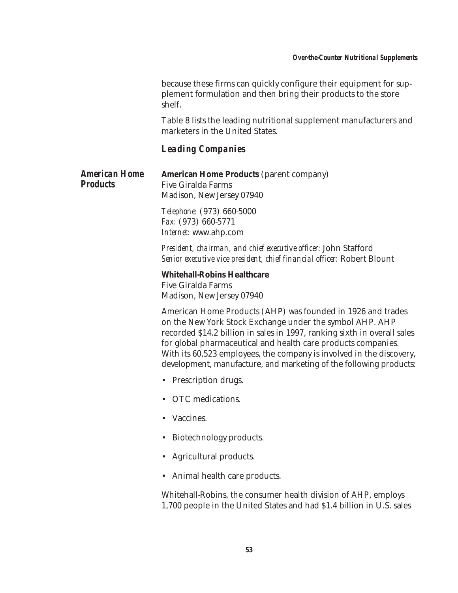because these firms can quickly configure their equipment for supplement formulation and then bring their products to the store shelf.

Table 8 lists the leading nutritional supplement manufacturers and marketers in the United States.

## *Leading Companies*

*American Home Products*

**American Home Products** (parent company) Five Giralda Farms Madison, New Jersey 07940

*Telephone:* (973) 660-5000 *Fax:* (973) 660-5771 *Internet:* www.ahp.com

*President, chairman, and chief executive officer:* John Stafford *Senior executive vice president, chief financial officer:* Robert Blount

#### **Whitehall-Robins Healthcare**

Five Giralda Farms Madison, New Jersey 07940

American Home Products (AHP) was founded in 1926 and trades on the New York Stock Exchange under the symbol AHP. AHP recorded \$14.2 billion in sales in 1997, ranking sixth in overall sales for global pharmaceutical and health care products companies. With its 60,523 employees, the company is involved in the discovery, development, manufacture, and marketing of the following products:

- Prescription drugs.
- OTC medications.
- Vaccines.
- Biotechnology products.
- Agricultural products.
- Animal health care products.

Whitehall-Robins, the consumer health division of AHP, employs 1,700 people in the United States and had \$1.4 billion in U.S. sales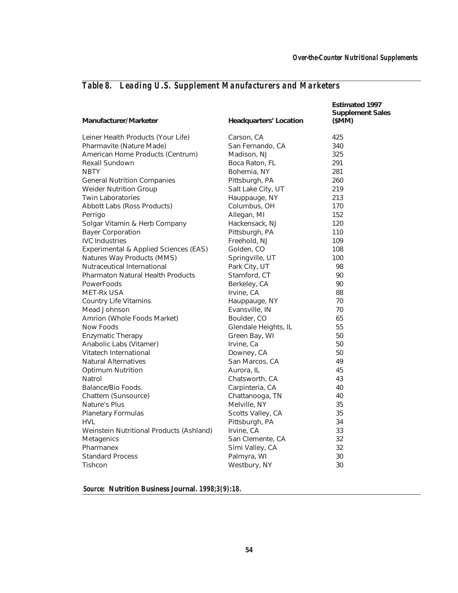| Manufacturer/Marketer                    | <b>Headquarters' Location</b> | <b>Estimated 1997</b><br><b>Supplement Sales</b><br>(SMM) |
|------------------------------------------|-------------------------------|-----------------------------------------------------------|
| Leiner Health Products (Your Life)       | Carson, CA                    | 425                                                       |
| Pharmavite (Nature Made)                 | San Fernando, CA              | 340                                                       |
| American Home Products (Centrum)         | Madison, NJ                   | 325                                                       |
| <b>Rexall Sundown</b>                    | Boca Raton, FL                | 291                                                       |
| <b>NBTY</b>                              | Bohemia, NY                   | 281                                                       |
| <b>General Nutrition Companies</b>       | Pittsburgh, PA                | 260                                                       |
| <b>Weider Nutrition Group</b>            | Salt Lake City, UT            | 219                                                       |
| <b>Twin Laboratories</b>                 | Hauppauge, NY                 | 213                                                       |
| Abbott Labs (Ross Products)              | Columbus, OH                  | 170                                                       |
| Perrigo                                  | Allegan, MI                   | 152                                                       |
| Solgar Vitamin & Herb Company            | Hackensack, NJ                | 120                                                       |
| <b>Bayer Corporation</b>                 | Pittsburgh, PA                | 110                                                       |
| <b>IVC</b> Industries                    | Freehold, NJ                  | 109                                                       |
| Experimental & Applied Sciences (EAS)    | Golden, CO                    | 108                                                       |
| Natures Way Products (MMS)               | Springville, UT               | 100                                                       |
| Nutraceutical International              | Park City, UT                 | 98                                                        |
| <b>Pharmaton Natural Health Products</b> | Stamford, CT                  | 90                                                        |
| <b>PowerFoods</b>                        | Berkeley, CA                  | 90                                                        |
| MET-Rx USA                               | Irvine, CA                    | 88                                                        |
| Country Life Vitamins                    | Hauppauge, NY                 | 70                                                        |
| Mead Johnson                             | Evansville, IN                | 70                                                        |
| Amrion (Whole Foods Market)              | Boulder, CO                   | 65                                                        |
| Now Foods                                | Glendale Heights, IL          | 55                                                        |
| <b>Enzymatic Therapy</b>                 | Green Bay, WI                 | 50                                                        |
| Anabolic Labs (Vitamer)                  | Irvine, Ca                    | 50                                                        |
| Vitatech International                   | Downey, CA                    | 50                                                        |
| <b>Natural Alternatives</b>              | San Marcos, CA                | 49                                                        |
| <b>Optimum Nutrition</b>                 | Aurora, IL                    | 45                                                        |
| Natrol                                   | Chatsworth, CA                | 43                                                        |
| Balance/Bio Foods.                       | Carpinteria, CA               | 40                                                        |
| Chattem (Sunsource)                      | Chattanooga, TN               | 40                                                        |
| Nature's Plus                            | Melville, NY                  | 35                                                        |
| <b>Planetary Formulas</b>                | Scotts Valley, CA             | 35                                                        |
| <b>HVL</b>                               | Pittsburgh, PA                | 34                                                        |
| Weinstein Nutritional Products (Ashland) | Irvine, CA                    | 33                                                        |
| Metagenics                               | San Clemente, CA              | 32                                                        |
| Pharmanex                                | Simi Valley, CA               | 32                                                        |
| <b>Standard Process</b>                  | Palmyra, WI                   | 30                                                        |
| Tishcon                                  | Westbury, NY                  | 30                                                        |

# *Table 8. Leading U.S. Supplement Manufacturers and Marketers*

*Source:* **Nutrition Business Journal.** *1998;3(9):18.*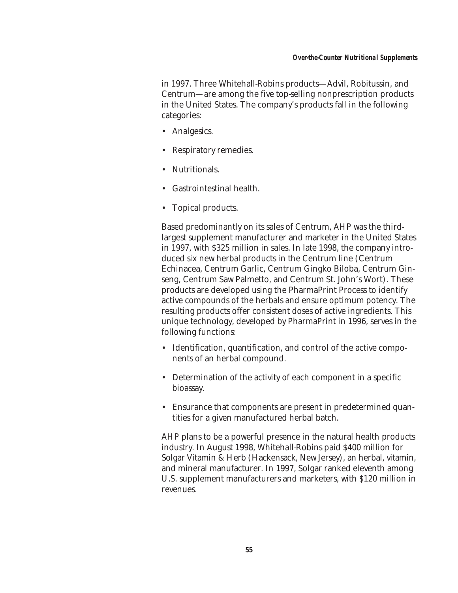in 1997. Three Whitehall-Robins products—Advil, Robitussin, and Centrum—are among the five top-selling nonprescription products in the United States. The company's products fall in the following categories:

- Analgesics.
- Respiratory remedies.
- Nutritionals.
- Gastrointestinal health.
- Topical products.

Based predominantly on its sales of Centrum, AHP was the thirdlargest supplement manufacturer and marketer in the United States in 1997, with \$325 million in sales. In late 1998, the company introduced six new herbal products in the Centrum line (Centrum Echinacea, Centrum Garlic, Centrum Gingko Biloba, Centrum Ginseng, Centrum Saw Palmetto, and Centrum St. John's Wort). These products are developed using the PharmaPrint Process to identify active compounds of the herbals and ensure optimum potency. The resulting products offer consistent doses of active ingredients. This unique technology, developed by PharmaPrint in 1996, serves in the following functions:

- Identification, quantification, and control of the active components of an herbal compound.
- Determination of the activity of each component in a specific bioassay.
- Ensurance that components are present in predetermined quantities for a given manufactured herbal batch.

AHP plans to be a powerful presence in the natural health products industry. In August 1998, Whitehall-Robins paid \$400 million for Solgar Vitamin & Herb (Hackensack, New Jersey), an herbal, vitamin, and mineral manufacturer. In 1997, Solgar ranked eleventh among U.S. supplement manufacturers and marketers, with \$120 million in revenues.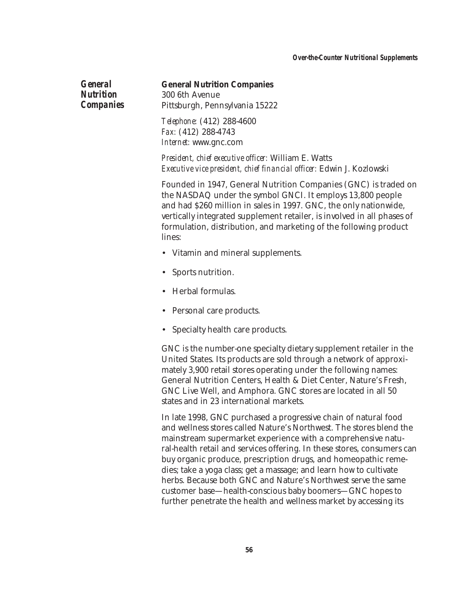*General Nutrition Companies*

#### **General Nutrition Companies**

300 6th Avenue Pittsburgh, Pennsylvania 15222

*Telephone:* (412) 288-4600 *Fax:* (412) 288-4743 *Internet:* www.gnc.com

*President, chief executive officer:* William E. Watts *Executive vice president, chief financial officer:* Edwin J. Kozlowski

Founded in 1947, General Nutrition Companies (GNC) is traded on the NASDAQ under the symbol GNCI. It employs 13,800 people and had \$260 million in sales in 1997. GNC, the only nationwide, vertically integrated supplement retailer, is involved in all phases of formulation, distribution, and marketing of the following product lines:

- Vitamin and mineral supplements.
- Sports nutrition.
- Herbal formulas.
- Personal care products.
- Specialty health care products.

GNC is the number-one specialty dietary supplement retailer in the United States. Its products are sold through a network of approximately 3,900 retail stores operating under the following names: General Nutrition Centers, Health & Diet Center, Nature's Fresh, GNC Live Well, and Amphora. GNC stores are located in all 50 states and in 23 international markets.

In late 1998, GNC purchased a progressive chain of natural food and wellness stores called Nature's Northwest. The stores blend the mainstream supermarket experience with a comprehensive natural-health retail and services offering. In these stores, consumers can buy organic produce, prescription drugs, and homeopathic remedies; take a yoga class; get a massage; and learn how to cultivate herbs. Because both GNC and Nature's Northwest serve the same customer base—health-conscious baby boomers—GNC hopes to further penetrate the health and wellness market by accessing its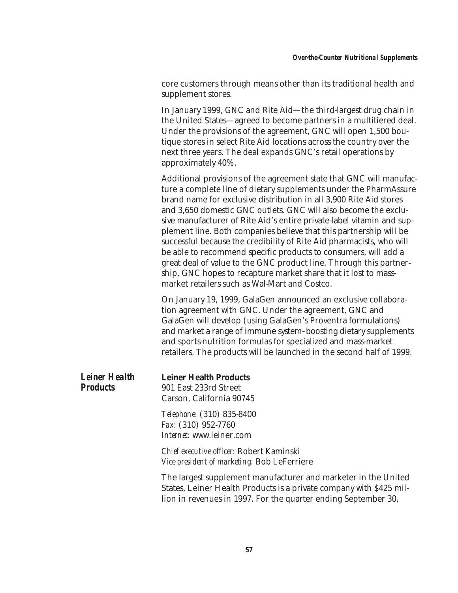core customers through means other than its traditional health and supplement stores.

In January 1999, GNC and Rite Aid—the third-largest drug chain in the United States—agreed to become partners in a multitiered deal. Under the provisions of the agreement, GNC will open 1,500 boutique stores in select Rite Aid locations across the country over the next three years. The deal expands GNC's retail operations by approximately 40%.

Additional provisions of the agreement state that GNC will manufacture a complete line of dietary supplements under the PharmAssure brand name for exclusive distribution in all 3,900 Rite Aid stores and 3,650 domestic GNC outlets. GNC will also become the exclusive manufacturer of Rite Aid's entire private-label vitamin and supplement line. Both companies believe that this partnership will be successful because the credibility of Rite Aid pharmacists, who will be able to recommend specific products to consumers, will add a great deal of value to the GNC product line. Through this partnership, GNC hopes to recapture market share that it lost to massmarket retailers such as Wal-Mart and Costco.

On January 19, 1999, GalaGen announced an exclusive collaboration agreement with GNC. Under the agreement, GNC and GalaGen will develop (using GalaGen's Proventra formulations) and market a range of immune system–boosting dietary supplements and sports-nutrition formulas for specialized and mass-market retailers. The products will be launched in the second half of 1999.

| <i><b>Leiner Health</b></i> | <b>Leiner Health Products</b> |
|-----------------------------|-------------------------------|
| <b>Products</b>             | 901 East 233rd Street         |
|                             | Carson, California 90745      |

*Telephone:* (310) 835-8400 *Fax:* (310) 952-7760 *Internet:* www.leiner.com

*Chief executive officer:* Robert Kaminski *Vice president of marketing:* Bob LeFerriere

The largest supplement manufacturer and marketer in the United States, Leiner Health Products is a private company with \$425 million in revenues in 1997. For the quarter ending September 30,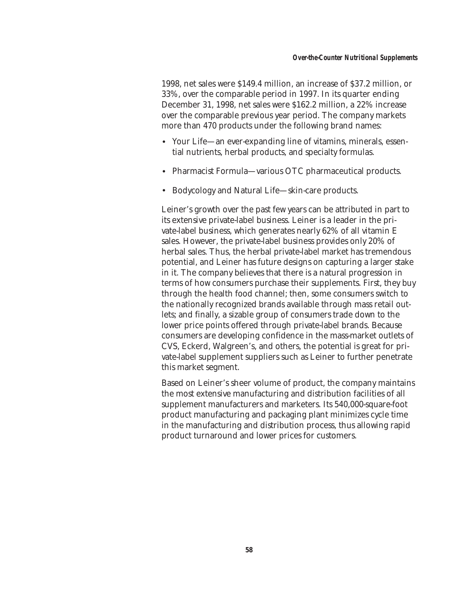1998, net sales were \$149.4 million, an increase of \$37.2 million, or 33%, over the comparable period in 1997. In its quarter ending December 31, 1998, net sales were \$162.2 million, a 22% increase over the comparable previous year period. The company markets more than 470 products under the following brand names:

- Your Life—an ever-expanding line of vitamins, minerals, essential nutrients, herbal products, and specialty formulas.
- Pharmacist Formula—various OTC pharmaceutical products.
- Bodycology and Natural Life—skin-care products.

Leiner's growth over the past few years can be attributed in part to its extensive private-label business. Leiner is a leader in the private-label business, which generates nearly 62% of all vitamin E sales. However, the private-label business provides only 20% of herbal sales. Thus, the herbal private-label market has tremendous potential, and Leiner has future designs on capturing a larger stake in it. The company believes that there is a natural progression in terms of how consumers purchase their supplements. First, they buy through the health food channel; then, some consumers switch to the nationally recognized brands available through mass retail outlets; and finally, a sizable group of consumers trade down to the lower price points offered through private-label brands. Because consumers are developing confidence in the mass-market outlets of CVS, Eckerd, Walgreen's, and others, the potential is great for private-label supplement suppliers such as Leiner to further penetrate this market segment.

Based on Leiner's sheer volume of product, the company maintains the most extensive manufacturing and distribution facilities of all supplement manufacturers and marketers. Its 540,000-square-foot product manufacturing and packaging plant minimizes cycle time in the manufacturing and distribution process, thus allowing rapid product turnaround and lower prices for customers.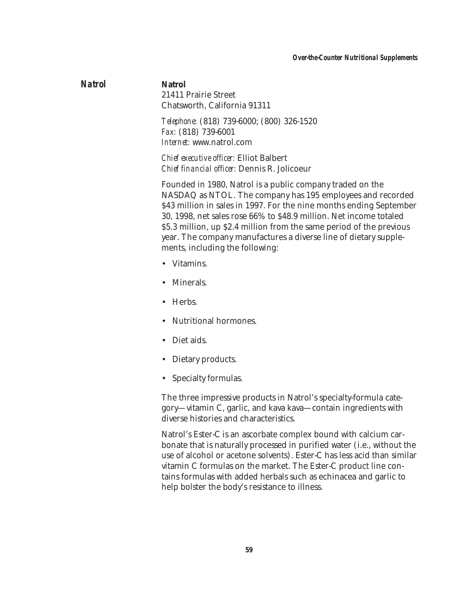## *Natrol* **Natrol** 21411 Prairie Street Chatsworth, California 91311

*Telephone:* (818) 739-6000; (800) 326-1520 *Fax:* (818) 739-6001 *Internet:* www.natrol.com

*Chief executive officer:* Elliot Balbert *Chief financial officer:* Dennis R. Jolicoeur

Founded in 1980, Natrol is a public company traded on the NASDAQ as NTOL. The company has 195 employees and recorded \$43 million in sales in 1997. For the nine months ending September 30, 1998, net sales rose 66% to \$48.9 million. Net income totaled \$5.3 million, up \$2.4 million from the same period of the previous year. The company manufactures a diverse line of dietary supplements, including the following:

- Vitamins.
- Minerals.
- Herbs.
- Nutritional hormones.
- Diet aids.
- Dietary products.
- Specialty formulas.

The three impressive products in Natrol's specialty-formula category—vitamin C, garlic, and kava kava—contain ingredients with diverse histories and characteristics.

Natrol's Ester-C is an ascorbate complex bound with calcium carbonate that is naturally processed in purified water (i.e., without the use of alcohol or acetone solvents). Ester-C has less acid than similar vitamin C formulas on the market. The Ester-C product line contains formulas with added herbals such as echinacea and garlic to help bolster the body's resistance to illness.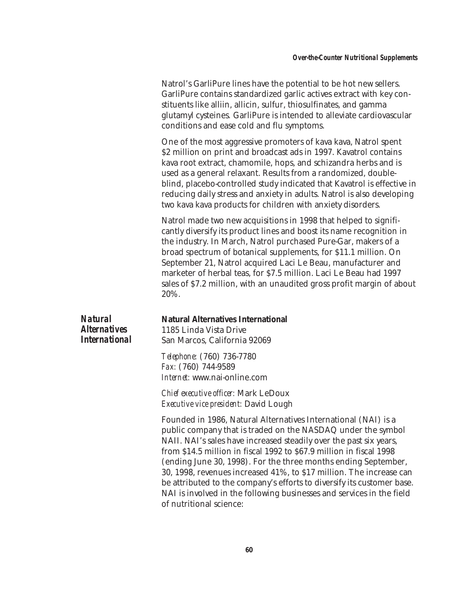Natrol's GarliPure lines have the potential to be hot new sellers. GarliPure contains standardized garlic actives extract with key constituents like alliin, allicin, sulfur, thiosulfinates, and gamma glutamyl cysteines*.* GarliPure is intended to alleviate cardiovascular conditions and ease cold and flu symptoms.

One of the most aggressive promoters of kava kava, Natrol spent \$2 million on print and broadcast ads in 1997. Kavatrol contains kava root extract, chamomile, hops, and schizandra herbs and is used as a general relaxant. Results from a randomized, doubleblind, placebo-controlled study indicated that Kavatrol is effective in reducing daily stress and anxiety in adults. Natrol is also developing two kava kava products for children with anxiety disorders.

Natrol made two new acquisitions in 1998 that helped to significantly diversify its product lines and boost its name recognition in the industry. In March, Natrol purchased Pure-Gar, makers of a broad spectrum of botanical supplements, for \$11.1 million. On September 21, Natrol acquired Laci Le Beau, manufacturer and marketer of herbal teas, for \$7.5 million. Laci Le Beau had 1997 sales of \$7.2 million, with an unaudited gross profit margin of about 20%.

| <b>Natural</b>             |
|----------------------------|
| <i><b>Alternatives</b></i> |
| <i>International</i>       |

# **Natural Alternatives International**

1185 Linda Vista Drive San Marcos, California 92069

*Telephone:* (760) 736-7780 *Fax:* (760) 744-9589 *Internet:* www.nai-online.com

*Chief executive officer:* Mark LeDoux *Executive vice president:* David Lough

Founded in 1986, Natural Alternatives International (NAI) is a public company that is traded on the NASDAQ under the symbol NAII. NAI's sales have increased steadily over the past six years, from \$14.5 million in fiscal 1992 to \$67.9 million in fiscal 1998 (ending June 30, 1998). For the three months ending September, 30, 1998, revenues increased 41%, to \$17 million. The increase can be attributed to the company's efforts to diversify its customer base. NAI is involved in the following businesses and services in the field of nutritional science: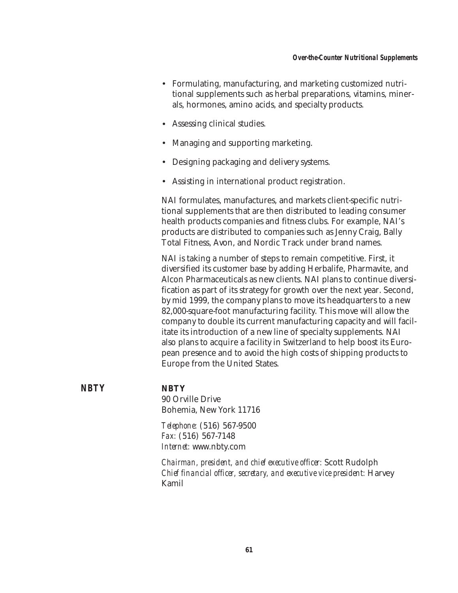- Formulating, manufacturing, and marketing customized nutritional supplements such as herbal preparations, vitamins, minerals, hormones, amino acids, and specialty products.
- Assessing clinical studies.
- Managing and supporting marketing.
- Designing packaging and delivery systems.
- Assisting in international product registration.

NAI formulates, manufactures, and markets client-specific nutritional supplements that are then distributed to leading consumer health products companies and fitness clubs. For example, NAI's products are distributed to companies such as Jenny Craig, Bally Total Fitness, Avon, and Nordic Track under brand names.

NAI is taking a number of steps to remain competitive. First, it diversified its customer base by adding Herbalife, Pharmavite, and Alcon Pharmaceuticals as new clients. NAI plans to continue diversification as part of its strategy for growth over the next year. Second, by mid 1999, the company plans to move its headquarters to a new 82,000-square-foot manufacturing facility. This move will allow the company to double its current manufacturing capacity and will facilitate its introduction of a new line of specialty supplements. NAI also plans to acquire a facility in Switzerland to help boost its European presence and to avoid the high costs of shipping products to Europe from the United States.

*NBTY* **NBTY**

90 Orville Drive Bohemia, New York 11716

*Telephone:* (516) 567-9500 *Fax:* (516) 567-7148 *Internet:* www.nbty.com

*Chairman, president, and chief executive officer:* Scott Rudolph *Chief financial officer, secretary, and executive vice president:* Harvey Kamil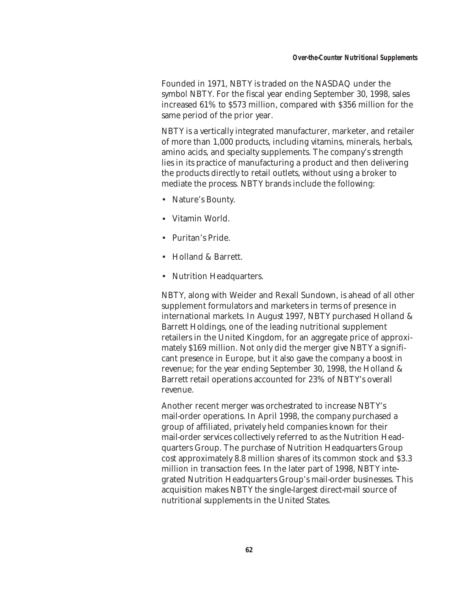Founded in 1971, NBTY is traded on the NASDAQ under the symbol NBTY. For the fiscal year ending September 30, 1998, sales increased 61% to \$573 million, compared with \$356 million for the same period of the prior year.

NBTY is a vertically integrated manufacturer, marketer, and retailer of more than 1,000 products, including vitamins, minerals, herbals, amino acids, and specialty supplements. The company's strength lies in its practice of manufacturing a product and then delivering the products directly to retail outlets, without using a broker to mediate the process. NBTY brands include the following:

- Nature's Bounty.
- Vitamin World.
- Puritan's Pride.
- Holland & Barrett.
- Nutrition Headquarters.

NBTY, along with Weider and Rexall Sundown, is ahead of all other supplement formulators and marketers in terms of presence in international markets. In August 1997, NBTY purchased Holland & Barrett Holdings, one of the leading nutritional supplement retailers in the United Kingdom, for an aggregate price of approximately \$169 million. Not only did the merger give NBTY a significant presence in Europe, but it also gave the company a boost in revenue; for the year ending September 30, 1998, the Holland & Barrett retail operations accounted for 23% of NBTY's overall revenue.

Another recent merger was orchestrated to increase NBTY's mail-order operations. In April 1998, the company purchased a group of affiliated, privately held companies known for their mail-order services collectively referred to as the Nutrition Headquarters Group. The purchase of Nutrition Headquarters Group cost approximately 8.8 million shares of its common stock and \$3.3 million in transaction fees. In the later part of 1998, NBTY integrated Nutrition Headquarters Group's mail-order businesses. This acquisition makes NBTY the single-largest direct-mail source of nutritional supplements in the United States.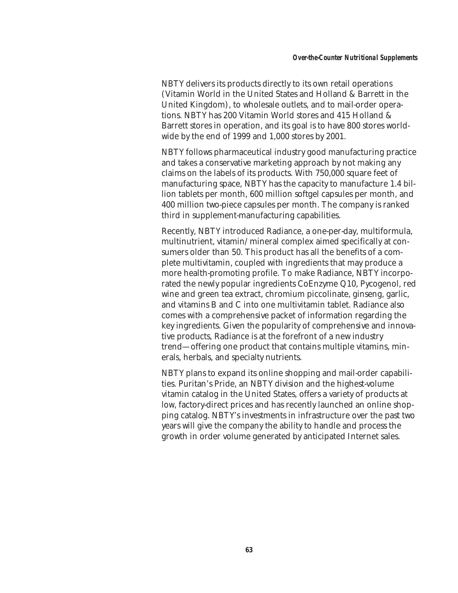NBTY delivers its products directly to its own retail operations (Vitamin World in the United States and Holland & Barrett in the United Kingdom), to wholesale outlets, and to mail-order operations. NBTY has 200 Vitamin World stores and 415 Holland & Barrett stores in operation, and its goal is to have 800 stores worldwide by the end of 1999 and 1,000 stores by 2001.

NBTY follows pharmaceutical industry good manufacturing practice and takes a conservative marketing approach by not making any claims on the labels of its products. With 750,000 square feet of manufacturing space, NBTY has the capacity to manufacture 1.4 billion tablets per month, 600 million softgel capsules per month, and 400 million two-piece capsules per month. The company is ranked third in supplement-manufacturing capabilities.

Recently, NBTY introduced Radiance, a one-per-day, multiformula, multinutrient, vitamin/mineral complex aimed specifically at consumers older than 50. This product has all the benefits of a complete multivitamin, coupled with ingredients that may produce a more health-promoting profile. To make Radiance, NBTY incorporated the newly popular ingredients CoEnzyme Q10, Pycogenol, red wine and green tea extract, chromium piccolinate, ginseng, garlic, and vitamins B and C into one multivitamin tablet. Radiance also comes with a comprehensive packet of information regarding the key ingredients. Given the popularity of comprehensive and innovative products, Radiance is at the forefront of a new industry trend—offering one product that contains multiple vitamins, minerals, herbals, and specialty nutrients.

NBTY plans to expand its online shopping and mail-order capabilities. Puritan's Pride, an NBTY division and the highest-volume vitamin catalog in the United States, offers a variety of products at low, factory-direct prices and has recently launched an online shopping catalog. NBTY's investments in infrastructure over the past two years will give the company the ability to handle and process the growth in order volume generated by anticipated Internet sales.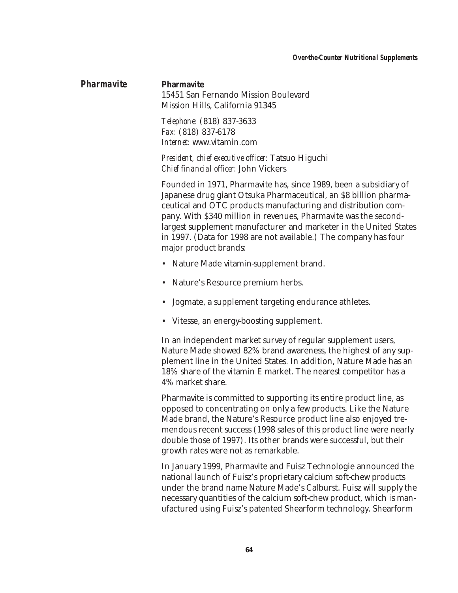#### *Over-the-Counter Nutritional Supplements*

## *Pharmavite* **Pharmavite**

15451 San Fernando Mission Boulevard Mission Hills, California 91345

*Telephone:* (818) 837-3633 *Fax:* (818) 837-6178 *Internet:* www.vitamin.com

*President, chief executive officer:* Tatsuo Higuchi *Chief financial officer:* John Vickers

Founded in 1971, Pharmavite has, since 1989, been a subsidiary of Japanese drug giant Otsuka Pharmaceutical, an \$8 billion pharmaceutical and OTC products manufacturing and distribution company. With \$340 million in revenues, Pharmavite was the secondlargest supplement manufacturer and marketer in the United States in 1997. (Data for 1998 are not available.) The company has four major product brands:

- Nature Made vitamin-supplement brand.
- Nature's Resource premium herbs.
- Jogmate, a supplement targeting endurance athletes.
- Vitesse, an energy-boosting supplement.

In an independent market survey of regular supplement users, Nature Made showed 82% brand awareness, the highest of any supplement line in the United States. In addition, Nature Made has an 18% share of the vitamin E market. The nearest competitor has a 4% market share.

Pharmavite is committed to supporting its entire product line, as opposed to concentrating on only a few products. Like the Nature Made brand, the Nature's Resource product line also enjoyed tremendous recent success (1998 sales of this product line were nearly double those of 1997). Its other brands were successful, but their growth rates were not as remarkable.

In January 1999, Pharmavite and Fuisz Technologie announced the national launch of Fuisz's proprietary calcium soft-chew products under the brand name Nature Made's Calburst. Fuisz will supply the necessary quantities of the calcium soft-chew product, which is manufactured using Fuisz's patented Shearform technology. Shearform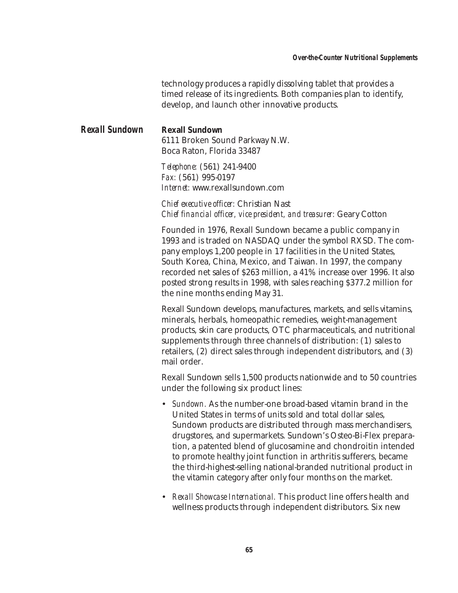technology produces a rapidly dissolving tablet that provides a timed release of its ingredients. Both companies plan to identify, develop, and launch other innovative products.

## *Rexall Sundown* **Rexall Sundown**

6111 Broken Sound Parkway N.W. Boca Raton, Florida 33487

*Telephone:* (561) 241-9400 *Fax:* (561) 995-0197 *Internet:* www.rexallsundown.com

*Chief executive officer:* Christian Nast *Chief financial officer, vice president, and treasurer:* Geary Cotton

Founded in 1976, Rexall Sundown became a public company in 1993 and is traded on NASDAQ under the symbol RXSD. The company employs 1,200 people in 17 facilities in the United States, South Korea, China, Mexico, and Taiwan. In 1997, the company recorded net sales of \$263 million, a 41% increase over 1996. It also posted strong results in 1998, with sales reaching \$377.2 million for the nine months ending May 31.

Rexall Sundown develops, manufactures, markets, and sells vitamins, minerals, herbals, homeopathic remedies, weight-management products, skin care products, OTC pharmaceuticals, and nutritional supplements through three channels of distribution: (1) sales to retailers, (2) direct sales through independent distributors, and (3) mail order.

Rexall Sundown sells 1,500 products nationwide and to 50 countries under the following six product lines:

- *Sundown.* As the number-one broad-based vitamin brand in the United States in terms of units sold and total dollar sales, Sundown products are distributed through mass merchandisers, drugstores, and supermarkets. Sundown's Osteo-Bi-Flex preparation, a patented blend of glucosamine and chondroitin intended to promote healthy joint function in arthritis sufferers, became the third-highest-selling national-branded nutritional product in the vitamin category after only four months on the market.
- *Rexall Showcase International.* This product line offers health and wellness products through independent distributors. Six new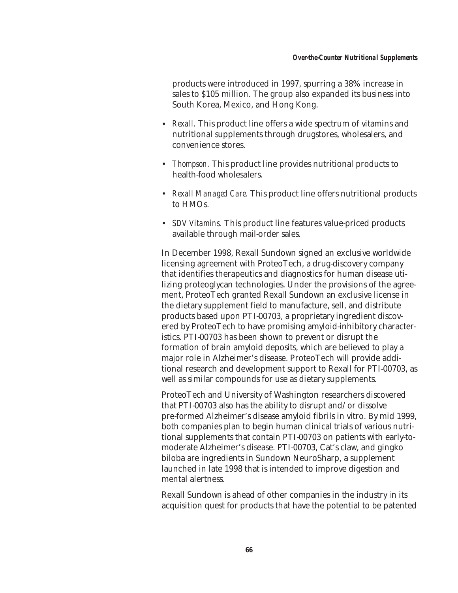products were introduced in 1997, spurring a 38% increase in sales to \$105 million. The group also expanded its business into South Korea, Mexico, and Hong Kong.

- *Rexall.* This product line offers a wide spectrum of vitamins and nutritional supplements through drugstores, wholesalers, and convenience stores.
- *Thompson.* This product line provides nutritional products to health-food wholesalers.
- *Rexall Managed Care.* This product line offers nutritional products to HMOs.
- *SDV Vitamins.* This product line features value-priced products available through mail-order sales.

In December 1998, Rexall Sundown signed an exclusive worldwide licensing agreement with ProteoTech, a drug-discovery company that identifies therapeutics and diagnostics for human disease utilizing proteoglycan technologies. Under the provisions of the agreement, ProteoTech granted Rexall Sundown an exclusive license in the dietary supplement field to manufacture, sell, and distribute products based upon PTI-00703, a proprietary ingredient discovered by ProteoTech to have promising amyloid-inhibitory characteristics. PTI-00703 has been shown to prevent or disrupt the formation of brain amyloid deposits, which are believed to play a major role in Alzheimer's disease. ProteoTech will provide additional research and development support to Rexall for PTI-00703, as well as similar compounds for use as dietary supplements.

ProteoTech and University of Washington researchers discovered that PTI-00703 also has the ability to disrupt and/or dissolve pre-formed Alzheimer's disease amyloid fibrils in vitro. By mid 1999, both companies plan to begin human clinical trials of various nutritional supplements that contain PTI-00703 on patients with early-tomoderate Alzheimer's disease. PTI-00703, Cat's claw, and gingko biloba are ingredients in Sundown NeuroSharp, a supplement launched in late 1998 that is intended to improve digestion and mental alertness.

Rexall Sundown is ahead of other companies in the industry in its acquisition quest for products that have the potential to be patented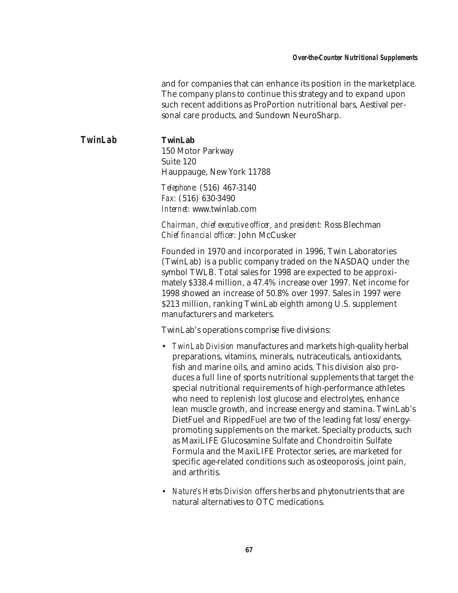and for companies that can enhance its position in the marketplace. The company plans to continue this strategy and to expand upon such recent additions as ProPortion nutritional bars, Aestival personal care products, and Sundown NeuroSharp.

*TwinLab* **TwinLab** 150 Motor Parkway Suite 120 Hauppauge, New York 11788 *Telephone:* (516) 467-3140

*Fax:* (516) 630-3490 *Internet:* www.twinlab.com

*Chairman, chief executive officer, and president:* Ross Blechman *Chief financial officer:* John McCusker

Founded in 1970 and incorporated in 1996, Twin Laboratories (TwinLab) is a public company traded on the NASDAQ under the symbol TWLB. Total sales for 1998 are expected to be approximately \$338.4 million, a 47.4% increase over 1997. Net income for 1998 showed an increase of 50.8% over 1997. Sales in 1997 were \$213 million, ranking TwinLab eighth among U.S. supplement manufacturers and marketers.

TwinLab's operations comprise five divisions:

- *TwinLab Division* manufactures and markets high-quality herbal preparations, vitamins, minerals, nutraceuticals, antioxidants, fish and marine oils, and amino acids. This division also produces a full line of sports nutritional supplements that target the special nutritional requirements of high-performance athletes who need to replenish lost glucose and electrolytes, enhance lean muscle growth, and increase energy and stamina. TwinLab's DietFuel and RippedFuel are two of the leading fat loss/energypromoting supplements on the market. Specialty products, such as MaxiLIFE Glucosamine Sulfate and Chondroitin Sulfate Formula and the MaxiLIFE Protector series, are marketed for specific age-related conditions such as osteoporosis, joint pain, and arthritis.
- *Nature's Herbs Division* offers herbs and phytonutrients that are natural alternatives to OTC medications.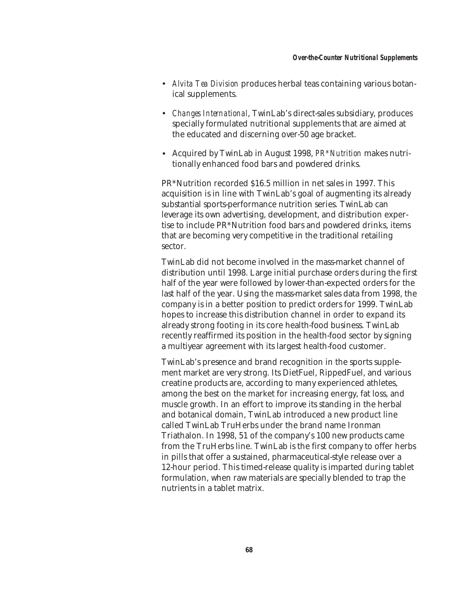- *Alvita Tea Division* produces herbal teas containing various botanical supplements.
- *Changes International*, TwinLab's direct-sales subsidiary, produces specially formulated nutritional supplements that are aimed at the educated and discerning over-50 age bracket.
- Acquired by TwinLab in August 1998, *PR\*Nutrition* makes nutritionally enhanced food bars and powdered drinks.

PR\*Nutrition recorded \$16.5 million in net sales in 1997. This acquisition is in line with TwinLab's goal of augmenting its already substantial sports-performance nutrition series. TwinLab can leverage its own advertising, development, and distribution expertise to include PR\*Nutrition food bars and powdered drinks, items that are becoming very competitive in the traditional retailing sector.

TwinLab did not become involved in the mass-market channel of distribution until 1998. Large initial purchase orders during the first half of the year were followed by lower-than-expected orders for the last half of the year. Using the mass-market sales data from 1998, the company is in a better position to predict orders for 1999. TwinLab hopes to increase this distribution channel in order to expand its already strong footing in its core health-food business. TwinLab recently reaffirmed its position in the health-food sector by signing a multiyear agreement with its largest health-food customer.

TwinLab's presence and brand recognition in the sports supplement market are very strong. Its DietFuel, RippedFuel, and various creatine products are, according to many experienced athletes, among the best on the market for increasing energy, fat loss, and muscle growth. In an effort to improve its standing in the herbal and botanical domain, TwinLab introduced a new product line called TwinLab TruHerbs under the brand name Ironman Triathalon. In 1998, 51 of the company's 100 new products came from the TruHerbs line. TwinLab is the first company to offer herbs in pills that offer a sustained, pharmaceutical-style release over a 12-hour period. This timed-release quality is imparted during tablet formulation, when raw materials are specially blended to trap the nutrients in a tablet matrix.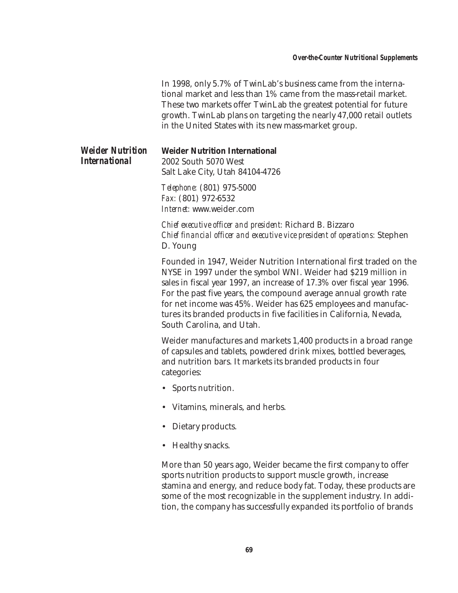In 1998, only 5.7% of TwinLab's business came from the international market and less than 1% came from the mass-retail market. These two markets offer TwinLab the greatest potential for future growth. TwinLab plans on targeting the nearly 47,000 retail outlets in the United States with its new mass-market group.

| <b>Weider Nutrition</b> | <b>Weider Nutrition International</b> |  |  |  |
|-------------------------|---------------------------------------|--|--|--|
| International           | 2002 South 5070 West                  |  |  |  |
|                         | Salt Lake City, Utah 84104-4726       |  |  |  |
|                         |                                       |  |  |  |

*Telephone:* (801) 975-5000 *Fax:* (801) 972-6532 *Internet:* www.weider.com

*Chief executive officer and president:* Richard B. Bizzaro *Chief financial officer and executive vice president of operations:* Stephen D. Young

Founded in 1947, Weider Nutrition International first traded on the NYSE in 1997 under the symbol WNI. Weider had \$219 million in sales in fiscal year 1997, an increase of 17.3% over fiscal year 1996. For the past five years, the compound average annual growth rate for net income was 45%. Weider has 625 employees and manufactures its branded products in five facilities in California, Nevada, South Carolina, and Utah.

Weider manufactures and markets 1,400 products in a broad range of capsules and tablets, powdered drink mixes, bottled beverages, and nutrition bars. It markets its branded products in four categories:

- Sports nutrition.
- Vitamins, minerals, and herbs.
- Dietary products.
- Healthy snacks.

More than 50 years ago, Weider became the first company to offer sports nutrition products to support muscle growth, increase stamina and energy, and reduce body fat. Today, these products are some of the most recognizable in the supplement industry. In addition, the company has successfully expanded its portfolio of brands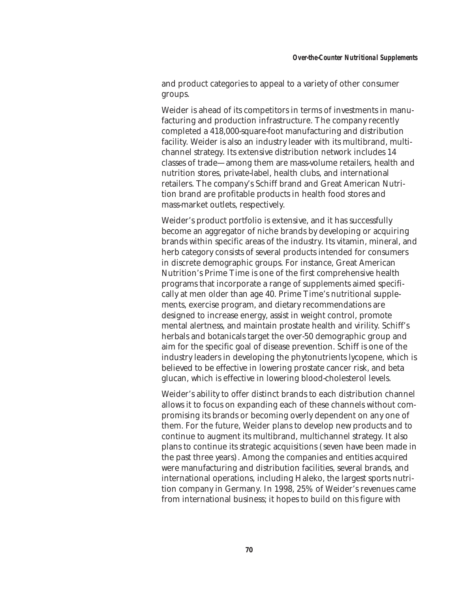and product categories to appeal to a variety of other consumer groups.

Weider is ahead of its competitors in terms of investments in manufacturing and production infrastructure. The company recently completed a 418,000-square-foot manufacturing and distribution facility. Weider is also an industry leader with its multibrand, multichannel strategy. Its extensive distribution network includes 14 classes of trade—among them are mass-volume retailers, health and nutrition stores, private-label, health clubs, and international retailers. The company's Schiff brand and Great American Nutrition brand are profitable products in health food stores and mass-market outlets, respectively.

Weider's product portfolio is extensive, and it has successfully become an aggregator of niche brands by developing or acquiring brands within specific areas of the industry. Its vitamin, mineral, and herb category consists of several products intended for consumers in discrete demographic groups. For instance, Great American Nutrition's Prime Time is one of the first comprehensive health programs that incorporate a range of supplements aimed specifically at men older than age 40. Prime Time's nutritional supplements, exercise program, and dietary recommendations are designed to increase energy, assist in weight control, promote mental alertness, and maintain prostate health and virility. Schiff's herbals and botanicals target the over-50 demographic group and aim for the specific goal of disease prevention. Schiff is one of the industry leaders in developing the phytonutrients lycopene, which is believed to be effective in lowering prostate cancer risk, and beta glucan, which is effective in lowering blood-cholesterol levels.

Weider's ability to offer distinct brands to each distribution channel allows it to focus on expanding each of these channels without compromising its brands or becoming overly dependent on any one of them. For the future, Weider plans to develop new products and to continue to augment its multibrand, multichannel strategy. It also plans to continue its strategic acquisitions (seven have been made in the past three years). Among the companies and entities acquired were manufacturing and distribution facilities, several brands, and international operations, including Haleko, the largest sports nutrition company in Germany. In 1998, 25% of Weider's revenues came from international business; it hopes to build on this figure with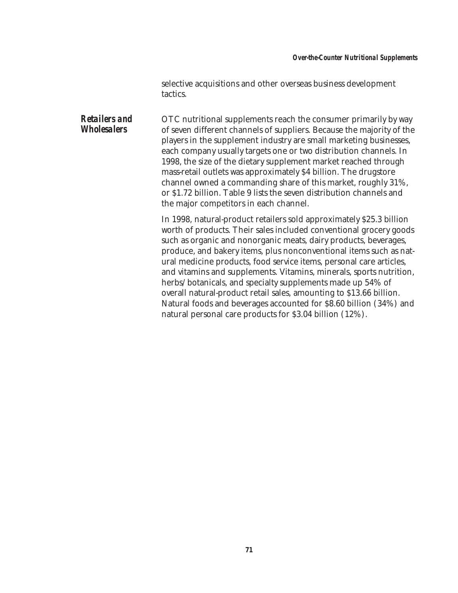## *Over-the-Counter Nutritional Supplements*

selective acquisitions and other overseas business development tactics.

*Retailers and Wholesalers* OTC nutritional supplements reach the consumer primarily by way of seven different channels of suppliers. Because the majority of the players in the supplement industry are small marketing businesses, each company usually targets one or two distribution channels. In 1998, the size of the dietary supplement market reached through mass-retail outlets was approximately \$4 billion. The drugstore channel owned a commanding share of this market, roughly 31%, or \$1.72 billion. Table 9 lists the seven distribution channels and the major competitors in each channel.

> In 1998, natural-product retailers sold approximately \$25.3 billion worth of products. Their sales included conventional grocery goods such as organic and nonorganic meats, dairy products, beverages, produce, and bakery items, plus nonconventional items such as natural medicine products, food service items, personal care articles, and vitamins and supplements. Vitamins, minerals, sports nutrition, herbs/botanicals, and specialty supplements made up 54% of overall natural-product retail sales, amounting to \$13.66 billion. Natural foods and beverages accounted for \$8.60 billion (34%) and natural personal care products for \$3.04 billion (12%).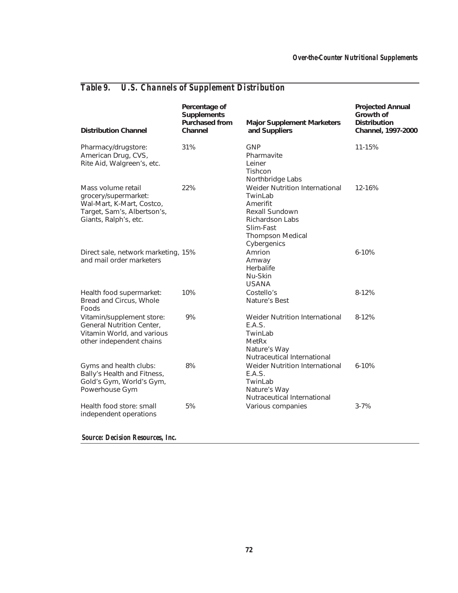| Table 9. |  |  |  | <b>U.S. Channels of Supplement Distribution</b> |
|----------|--|--|--|-------------------------------------------------|
|----------|--|--|--|-------------------------------------------------|

| <b>Distribution Channel</b>                                                                                                     | Percentage of<br><b>Supplements</b><br><b>Purchased from</b><br>Channel | <b>Major Supplement Marketers</b><br>and Suppliers                                                                                                       | <b>Projected Annual</b><br>Growth of<br><b>Distribution</b><br>Channel, 1997-2000 |
|---------------------------------------------------------------------------------------------------------------------------------|-------------------------------------------------------------------------|----------------------------------------------------------------------------------------------------------------------------------------------------------|-----------------------------------------------------------------------------------|
| Pharmacy/drugstore:<br>American Drug, CVS,<br>Rite Aid, Walgreen's, etc.                                                        | 31%                                                                     | <b>GNP</b><br>Pharmavite<br>Leiner<br>Tishcon<br>Northbridge Labs                                                                                        | 11-15%                                                                            |
| Mass volume retail<br>grocery/supermarket:<br>Wal-Mart, K-Mart, Costco,<br>Target, Sam's, Albertson's,<br>Giants, Ralph's, etc. | 22%                                                                     | Weider Nutrition International<br>TwinLab<br>Amerifit<br>Rexall Sundown<br><b>Richardson Labs</b><br>Slim-Fast<br><b>Thompson Medical</b><br>Cybergenics | 12-16%                                                                            |
| Direct sale, network marketing, 15%<br>and mail order marketers                                                                 |                                                                         | Amrion<br>Amway<br>Herbalife<br>Nu-Skin<br><b>USANA</b>                                                                                                  | $6 - 10%$                                                                         |
| Health food supermarket:<br>Bread and Circus, Whole<br>Foods                                                                    | 10%                                                                     | Costello's<br>Nature's Best                                                                                                                              | 8-12%                                                                             |
| Vitamin/supplement store:<br>General Nutrition Center,<br>Vitamin World, and various<br>other independent chains                | 9%                                                                      | Weider Nutrition International<br>E.A.S.<br>TwinLab<br>MetRx<br>Nature's Way<br>Nutraceutical International                                              | $8 - 12%$                                                                         |
| Gyms and health clubs:<br>Bally's Health and Fitness,<br>Gold's Gym, World's Gym,<br>Powerhouse Gym                             | 8%                                                                      | Weider Nutrition International<br>E.A.S.<br>TwinLab<br>Nature's Way<br>Nutraceutical International                                                       | $6 - 10%$                                                                         |
| Health food store: small<br>independent operations                                                                              | 5%                                                                      | Various companies                                                                                                                                        | $3 - 7%$                                                                          |

*Source: Decision Resources, Inc.*